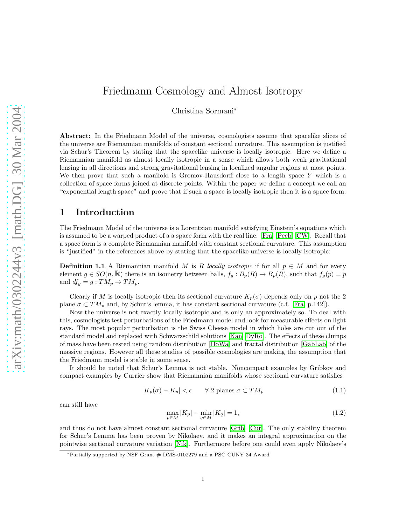# Friedmann Cosmology and Almost Isotropy

Christina Sormani<sup>∗</sup>

Abstract: In the Friedmann Model of the universe, cosmologists assume that spacelike slices of the universe are Riemannian manifolds of constant sectional curvature. This assumption is justified via Schur's Theorem by stating that the spacelike universe is locally isotropic. Here we define a Riemannian manifold as almost locally isotropic in a sense which allows both weak gravitational lensing in all directions and strong gravitational lensing in localized angular regions at most points. We then prove that such a manifold is Gromov-Hausdorff close to a length space  $Y$  which is a collection of space forms joined at discrete points. Within the paper we define a concept we call an "exponential length space" and prove that if such a space is locally isotropic then it is a space form.

### 1 Introduction

The Friedmann Model of the universe is a Lorentzian manifold satisfying Einstein's equations which is assumed to be a warped product of a a space form with the real line. [\[Fra\]](#page-42-0) [\[Peeb\]](#page-43-0) [\[CW\]](#page-42-1). Recall that a space form is a complete Riemannian manifold with constant sectional curvature. This assumption is "justified" in the references above by stating that the spacelike universe is locally isotropic:

<span id="page-0-0"></span>**Definition 1.1** A Riemannian manifold M is R locally isotropic if for all  $p \in M$  and for every element  $g \in SO(n,\mathbb{R})$  there is an isometry between balls,  $f_g : B_p(R) \to B_p(R)$ , such that  $f_g(p) = p$ and  $df_g = g : TM_p \rightarrow TM_p$ .

Clearly if M is locally isotropic then its sectional curvature  $K_p(\sigma)$  depends only on p not the 2 plane  $\sigma \subset TM_p$  and, by Schur's lemma, it has constant sectional curvature (c.f. [\[Fra,](#page-42-0) p.142]).

Now the universe is not exactly locally isotropic and is only an approximately so. To deal with this, cosmologists test perturbations of the Friedmann model and look for measurable effects on light rays. The most popular perturbation is the Swiss Cheese model in which holes are cut out of the standard model and replaced with Schwarzschild solutions [\[Kan\]](#page-43-1)[\[DyRo\]](#page-42-2). The effects of these clumps of mass have been tested using random distribution [\[HoWa\]](#page-42-3) and fractal distribution [\[GabLab\]](#page-42-4) of the massive regions. However all these studies of possible cosmologies are making the assumption that the Friedmann model is stable in some sense.

It should be noted that Schur's Lemma is not stable. Noncompact examples by Gribkov and compact examples by Currier show that Riemannian manifolds whose sectional curvature satisfies

$$
|K_p(\sigma) - K_p| < \epsilon \qquad \forall \ 2 \text{ planes } \sigma \subset TM_p \tag{1.1}
$$

can still have

$$
\max_{p \in M} |K_p| - \min_{q \in M} |K_q| = 1,
$$
\n(1.2)

and thus do not have almost constant sectional curvature [\[Grib\]](#page-42-5) [\[Cur\]](#page-42-6). The only stability theorem for Schur's Lemma has been proven by Nikolaev, and it makes an integral approximation on the pointwise sectional curvature variation [\[Nik\]](#page-43-2). Furthermore before one could even apply Nikolaev's

<sup>∗</sup>Partially supported by NSF Grant # DMS-0102279 and a PSC CUNY 34 Award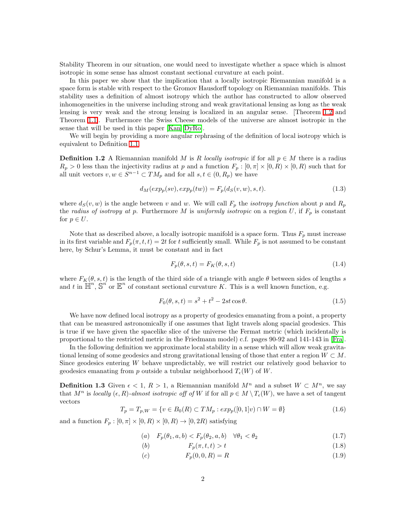Stability Theorem in our situation, one would need to investigate whether a space which is almost isotropic in some sense has almost constant sectional curvature at each point.

In this paper we show that the implication that a locally isotropic Riemannian manifold is a space form is stable with respect to the Gromov Hausdorff topology on Riemannian manifolds. This stability uses a definition of almost isotropy which the author has constructed to allow observed inhomogeneities in the universe including strong and weak gravitational lensing as long as the weak lensing is very weak and the strong lensing is localized in an angular sense. [Theorem [1.2](#page-5-0) and Theorem [1.1\]](#page-3-0). Furthermore the Swiss Cheese models of the universe are almost isotropic in the sense that will be used in this paper [\[Kan\]](#page-43-1)[\[DyRo\]](#page-42-2).

We will begin by providing a more angular rephrasing of the definition of local isotropy which is equivalent to Definition [1.1.](#page-0-0)

**Definition 1.2** A Riemannian manifold M is R locally isotropic if for all  $p \in M$  there is a radius  $R_p > 0$  less than the injectivity radius at p and a function  $F_p : [0, \pi] \times [0, R) \times [0, R)$  such that for all unit vectors  $v, w \in S^{n-1} \subset TM_p$  and for all  $s, t \in (0, R_p)$  we have

$$
d_M(exp_p(sv), exp_p(tw)) = F_p(d_S(v, w), s, t). \tag{1.3}
$$

where  $d_S(v, w)$  is the angle between v and w. We will call  $F_p$  the *isotropy function* about p and  $R_p$ the radius of isotropy at p. Furthermore M is uniformly isotropic on a region  $U$ , if  $F_p$  is constant for  $p \in U$ .

Note that as described above, a locally isotropic manifold is a space form. Thus  $F_p$  must increase in its first variable and  $F_p(\pi, t, t) = 2t$  for t sufficiently small. While  $F_p$  is not assumed to be constant here, by Schur's Lemma, it must be constant and in fact

$$
F_p(\theta, s, t) = F_K(\theta, s, t) \tag{1.4}
$$

where  $F_K(\theta, s, t)$  is the length of the third side of a triangle with angle  $\theta$  between sides of lengths s and t in  $\mathbb{H}^n$ ,  $\mathbb{S}^n$  or  $\mathbb{E}^n$  of constant sectional curvature K. This is a well known function, e.g.

$$
F_0(\theta, s, t) = s^2 + t^2 - 2st \cos \theta.
$$
 (1.5)

We have now defined local isotropy as a property of geodesics emanating from a point, a property that can be measured astronomically if one assumes that light travels along spacial geodesics. This is true if we have given the spacelike slice of the universe the Fermat metric (which incidentally is proportional to the restricted metric in the Friedmann model) c.f. pages 90-92 and 141-143 in [\[Fra\]](#page-42-0).

In the following definition we approximate local stability in a sense which will allow weak gravitational lensing of some geodesics and strong gravitational lensing of those that enter a region  $W \subset M$ . Since geodesics entering W behave unpredictably, we will restrict our relatively good behavior to geodesics emanating from p outside a tubular neighborhood  $T_{\epsilon}(W)$  of W.

<span id="page-1-2"></span>**Definition 1.3** Given  $\epsilon < 1$ ,  $R > 1$ , a Riemannian manifold  $M^n$  and a subset  $W \subset M^n$ , we say that  $M^n$  is locally  $(\epsilon, R)$ -almost isotropic off of W if for all  $p \in M \setminus T_{\epsilon}(W)$ , we have a set of tangent vectors

<span id="page-1-1"></span>
$$
T_p = T_{p,W} = \{ v \in B_0(R) \subset TM_p : exp_p([0,1]v) \cap W = \emptyset \}
$$
\n(1.6)

<span id="page-1-0"></span>and a function  $F_p : [0, \pi] \times [0, R) \times [0, R) \rightarrow [0, 2R)$  satisfying

$$
(a) \quad F_p(\theta_1, a, b) < F_p(\theta_2, a, b) \quad \forall \theta_1 < \theta_2 \tag{1.7}
$$

$$
(b) \tF_p(\pi, t, t) > t \t(1.8)
$$

(c)  $F_p(0, 0, R) = R$  (1.9)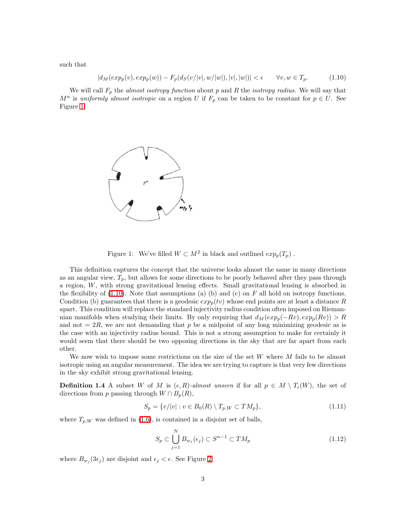<span id="page-2-1"></span>such that

$$
|d_M(exp_p(v), exp_p(w)) - F_p(d_S(v/|v|, w/|w|), |v|, |w|)| < \epsilon \qquad \forall v, w \in T_p.
$$
 (1.10)

We will call  $F_p$  the *almost isotropy function* about p and R the *isotropy radius*. We will say that  $M^n$  is uniformly almost isotropic on a region U if  $F_p$  can be taken to be constant for  $p \in U$ . See Figure [1.](#page-2-0)



<span id="page-2-0"></span>Figure 1: We've filled  $W \subset M^2$  in black and outlined  $exp_p(T_p)$ .

This definition captures the concept that the universe looks almost the same in many directions as an angular view,  $T_p$ , but allows for some directions to be poorly behaved after they pass through a region, W, with strong gravitational lensing effects. Small gravitational lensing is absorbed in the flexibility of  $(1.10)$ . Note that assumptions (a) (b) and (c) on F all hold on isotropy functions. Condition (b) guarantees that there is a geodesic  $exp_p(tv)$  whose end points are at least a distance R apart. This condition will replace the standard injectivity radius condition often imposed on Riemannian manifolds when studying their limits. By only requiring that  $d_M(exp_p(-Rv), exp_p(Rv)) > R$ and not  $= 2R$ , we are not demanding that p be a midpoint of any long minimizing geodesic as is the case with an injectivity radius bound. This is not a strong assumption to make for certainly it would seem that there should be two opposing directions in the sky that are far apart from each other.

We now wish to impose some restrictions on the size of the set  $W$  where  $M$  fails to be almost isotropic using an angular measurement. The idea we are trying to capture is that very few directions in the sky exhibit strong gravitational lensing.

<span id="page-2-2"></span>**Definition 1.4** A subset W of M is  $(\epsilon, R)$ -almost unseen if for all  $p \in M \setminus T_{\epsilon}(W)$ , the set of directions from p passing through  $W \cap B_p(R)$ ,

$$
S_p = \{v/|v| : v \in B_0(R) \setminus T_{p,W} \subset TM_p\},\tag{1.11}
$$

where  $T_{p,W}$  was defined in [\(1.6\)](#page-1-0), is contained in a disjoint set of balls,

$$
S_p \subset \bigcup_{j=1}^N B_{w_j}(\epsilon_j) \subset S^{n-1} \subset TM_p \tag{1.12}
$$

where  $B_{w_j}(3\epsilon_j)$  are disjoint and  $\epsilon_j < \epsilon$ . See Figure [2.](#page-3-1)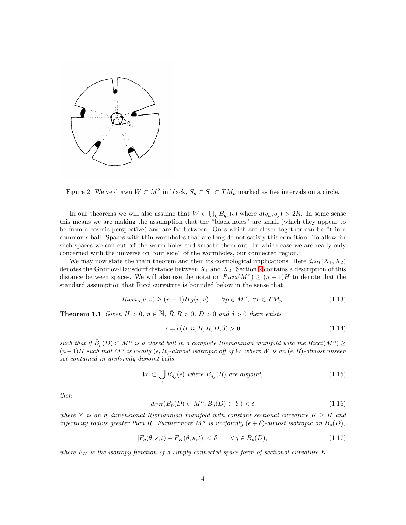

<span id="page-3-1"></span>Figure 2: We've drawn  $W \subset M^2$  in black,  $S_p \subset S^1 \subset TM_p$  marked as five intervals on a circle.

In our theorems we will also assume that  $W \subset \bigcup_k B_{q_k}(\epsilon)$  where  $d(q_k, q_j) > 2R$ . In some sense this means we are making the assumption that the "black holes" are small (which they appear to be from a cosmic perspective) and are far between. Ones which are closer together can be fit in a common  $\epsilon$  ball. Spaces with thin wormholes that are long do not satisfy this condition. To allow for such spaces we can cut off the worm holes and smooth them out. In which case we are really only concerned with the universe on "our side" of the wormholes, our connected region.

We may now state the main theorem and then its cosmological implications. Here  $d_{GH}(X_1, X_2)$ denotes the Gromov-Hausdorff distance between  $X_1$  and  $X_2$ . Section [2](#page-9-0) contains a description of this distance between spaces. We will also use the notation  $Ricci(M^n) \ge (n-1)H$  to denote that the standard assumption that Ricci curvature is bounded below in the sense that

$$
Ricci_p(v, v) \ge (n-1)Hg(v, v) \qquad \forall p \in M^n, \ \forall v \in TM_p. \tag{1.13}
$$

<span id="page-3-0"></span>**Theorem 1.1** Given  $H > 0$ ,  $n \in \mathbb{N}$ ,  $\overline{R}$ ,  $R > 0$ ,  $D > 0$  and  $\delta > 0$  there exists

$$
\epsilon = \epsilon(H, n, \bar{R}, R, D, \delta) > 0 \tag{1.14}
$$

such that if  $\bar{B}_p(D) \subset M^n$  is a closed ball in a complete Riemannian manifold with the  $Ricci(M^n) \geq$  $(n-1)H$  such that  $M^n$  is locally  $(\epsilon, R)$ -almost isotropic off of W where W is an  $(\epsilon, R)$ -almost unseen set contained in uniformly disjoint balls,

$$
W \subset \bigcup_{j} B_{q_j}(\epsilon) \text{ where } B_{q_j}(\bar{R}) \text{ are disjoint,}
$$
\n(1.15)

<span id="page-3-4"></span><span id="page-3-3"></span>then

$$
d_{GH}(B_p(D) \subset M^n, B_y(D) \subset Y) < \delta \tag{1.16}
$$

where Y is an n dimensional Riemannian manifold with constant sectional curvature  $K \geq H$  and injectivity radius greater than R. Furthermore  $M^n$  is uniformly  $(\epsilon + \delta)$ -almost isotropic on  $B_p(D)$ ,

$$
|F_q(\theta, s, t) - F_K(\theta, s, t)| < \delta \qquad \forall \, q \in B_p(D), \tag{1.17}
$$

<span id="page-3-2"></span>where  $F_K$  is the isotropy function of a simply connected space form of sectional curvature K.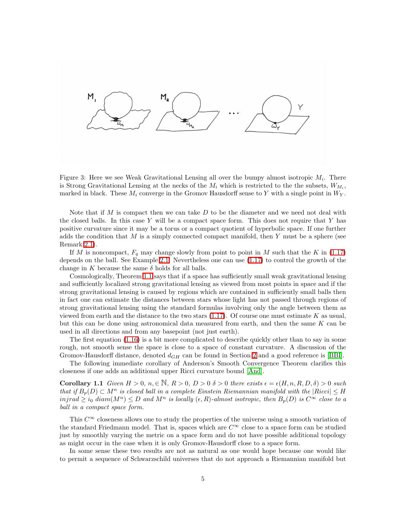

Figure 3: Here we see Weak Gravitational Lensing all over the bumpy almost isotropic  $M_i$ . There is Strong Gravitational Lensing at the necks of the  $M_i$  which is restricted to the the subsets,  $W_{M_i}$ , marked in black. These  $M_i$  converge in the Gromov Hausdorff sense to Y with a single point in  $W_Y$ .

Note that if M is compact then we can take  $D$  to be the diameter and we need not deal with the closed balls. In this case Y will be a compact space form. This does not require that Y has positive curvature since it may be a torus or a compact quotient of hyperbolic space. If one further adds the condition that  $M$  is a simply connected compact manifold, then  $Y$  must be a sphere (see Remark [2.1\)](#page-9-1).

If M is noncompact,  $F_q$  may change slowly from point to point in M such that the K in [\(1.17\)](#page-3-2) depends on the ball. See Example [2.1.](#page-11-0) Nevertheless one can use [\(1.17\)](#page-3-2) to control the growth of the change in K because the same  $\delta$  holds for all balls.

Cosmologically, Theorem [1.1](#page-3-0) says that if a space has sufficiently small weak gravitational lensing and sufficiently localized strong gravitational lensing as viewed from most points in space and if the strong gravitational lensing is caused by regions which are contained in sufficiently small balls then in fact one can estimate the distances between stars whose light has not passed through regions of strong gravitational lensing using the standard formulas involving only the angle between them as viewed from earth and the distance to the two stars  $(1.17)$ . Of course one must estimate K as usual, but this can be done using astronomical data measured from earth, and then the same  $K$  can be used in all directions and from any basepoint (not just earth).

The first equation [\(1.16\)](#page-3-3) is a bit more complicated to describe quickly other than to say in some rough, not smooth sense the space is close to a space of constant curvature. A discussion of the Gromov-Hausdorff distance, denoted  $d_{GH}$  can be found in Section [2](#page-9-0) and a good reference is [\[BBI\]](#page-42-7).

The following immediate corollary of Anderson's Smooth Convergence Theorem clarifies this closeness if one adds an additional upper Ricci curvature bound [\[And\]](#page-42-8).

<span id="page-4-0"></span>**Corollary 1.1** Given  $H > 0$ ,  $n \in \mathbb{N}$ ,  $R > 0$ ,  $D > 0$   $\delta > 0$  there exists  $\epsilon = \epsilon(H, n, R, D, \delta) > 0$  such that if  $B_p(D) \subset M^n$  is closed ball in a complete Einstein Riemannian manifold with the  $|Ricci| \leq H$  $injrad \geq i_0 \ diam(M^n) \leq D$  and  $M^n$  is locally  $(\epsilon, R)$ -almost isotropic, then  $B_p(D)$  is  $C^{\infty}$  close to a ball in a compact space form.

This  $C^{\infty}$  closeness allows one to study the properties of the universe using a smooth variation of the standard Friedmann model. That is, spaces which are  $C^{\infty}$  close to a space form can be studied just by smoothly varying the metric on a space form and do not have possible additional topology as might occur in the case when it is only Gromov-Hausdorff close to a space form.

In some sense these two results are not as natural as one would hope because one would like to permit a sequence of Schwarzschild universes that do not approach a Riemannian manifold but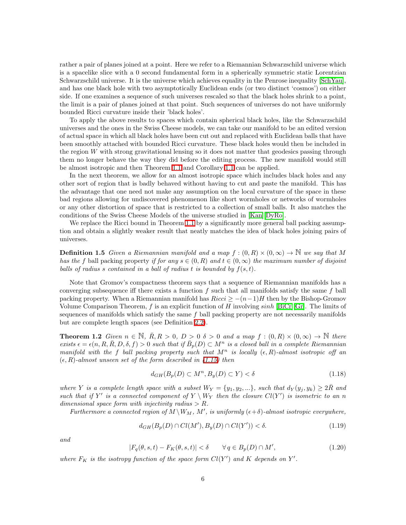rather a pair of planes joined at a point. Here we refer to a Riemannian Schwarzschild universe which is a spacelike slice with a 0 second fundamental form in a spherically symmetric static Lorentzian Schwarzschild universe. It is the universe which achieves equality in the Penrose inequality [\[SchYau\]](#page-43-3), and has one black hole with two asymptotically Euclidean ends (or two distinct 'cosmos') on either side. If one examines a sequence of such universes rescaled so that the black holes shrink to a point, the limit is a pair of planes joined at that point. Such sequences of universes do not have uniformly bounded Ricci curvature inside their 'black holes'.

To apply the above results to spaces which contain spherical black holes, like the Schwarzschild universes and the ones in the Swiss Cheese models, we can take our manifold to be an edited version of actual space in which all black holes have been cut out and replaced with Euclidean balls that have been smoothly attached with bounded Ricci curvature. These black holes would then be included in the region W with strong gravitational lensing so it does not matter that geodesics passing through them no longer behave the way they did before the editing process. The new manifold would still be almost isotropic and then Theorem [1.1](#page-3-0) and Corollary [1.1](#page-4-0) can be applied.

In the next theorem, we allow for an almost isotropic space which includes black holes and any other sort of region that is badly behaved without having to cut and paste the manifold. This has the advantage that one need not make any assumption on the local curvature of the space in these bad regions allowing for undiscovered phenomenon like short wormholes or networks of wormholes or any other distortion of space that is restricted to a collection of small balls. It also matches the conditions of the Swiss Cheese Models of the universe studied in [\[Kan\]](#page-43-1)[\[DyRo\]](#page-42-2).

We replace the Ricci bound in Theorem [1.1](#page-3-0) by a significantly more general ball packing assumption and obtain a slightly weaker result that neatly matches the idea of black holes joining pairs of universes.

**Definition 1.5** Given a Riemannian manifold and a map  $f : (0, R) \times (0, \infty) \to \mathbb{N}$  we say that M has the f ball packing property if for any  $s \in (0, R)$  and  $t \in (0, \infty)$  the maximum number of disjoint balls of radius s contained in a ball of radius t is bounded by  $f(s,t)$ .

Note that Gromov's compactness theorem says that a sequence of Riemannian manifolds has a converging subsequence iff there exists a function  $f$  such that all manifolds satisfy the same  $f$  ball packing property. When a Riemannian manifold has  $Ricci \geq -(n-1)H$  then by the Bishop-Gromov Volume Comparison Theorem, f is an explicit function of H involving  $sinh$  [\[BiCr\]](#page-42-9)[\[Gr\]](#page-42-10). The limits of sequences of manifolds which satisfy the same  $f$  ball packing property are not necessarily manifolds but are complete length spaces (see Definition [2.2\)](#page-9-2).

<span id="page-5-0"></span>**Theorem 1.2** Given  $n \in \mathbb{N}$ ,  $\overline{R}$ ,  $R > 0$ ,  $D > 0$   $\delta > 0$  and a map  $f : (0, R) \times (0, \infty) \to \mathbb{N}$  there exists  $\epsilon = \epsilon(n, R, R, D, \delta, f) > 0$  such that if  $\bar{B}_p(D) \subset M^n$  is a closed ball in a complete Riemannian manifold with the f ball packing property such that  $M^n$  is locally  $(\epsilon, R)$ -almost isotropic off an  $(\epsilon, R)$ -almost unseen set of the form described in [\(1.15\)](#page-3-4) then

$$
d_{GH}(B_p(D) \subset M^n, B_y(D) \subset Y) < \delta \tag{1.18}
$$

<span id="page-5-2"></span>where Y is a complete length space with a subset  $W_Y = \{y_1, y_2, ...\}$ , such that  $d_Y(y_j, y_k) \geq 2R$  and such that if Y' is a connected component of  $Y \setminus W_Y$  then the closure  $Cl(Y')$  is isometric to an n dimensional space form with injectivity radius  $> R$ .

Furthermore a connected region of  $M\setminus W_M$ ,  $M'$ , is uniformly  $(\epsilon+\delta)$ -almost isotropic everywhere,

$$
d_{GH}(B_p(D) \cap Cl(M'), B_y(D) \cap Cl(Y')) < \delta.
$$
\n(1.19)

<span id="page-5-1"></span>and

$$
|F_q(\theta, s, t) - F_K(\theta, s, t)| < \delta \qquad \forall \, q \in B_p(D) \cap M', \tag{1.20}
$$

where  $F_K$  is the isotropy function of the space form  $Cl(Y')$  and K depends on Y'.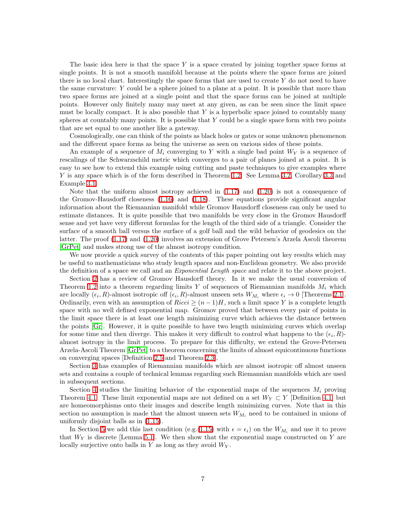The basic idea here is that the space  $Y$  is a space created by joining together space forms at single points. It is not a smooth manifold because at the points where the space forms are joined there is no local chart. Interestingly the space forms that are used to create  $Y$  do not need to have the same curvature: Y could be a sphere joined to a plane at a point. It is possible that more than two space forms are joined at a single point and that the space forms can be joined at multiple points. However only finitely many may meet at any given, as can be seen since the limit space must be locally compact. It is also possible that  $Y$  is a hyperbolic space joined to countably many spheres at countably many points. It is possible that  $Y$  could be a single space form with two points that are set equal to one another like a gateway.

Cosmologically, one can think of the points as black holes or gates or some unknown phenomenon and the different space forms as being the universe as seen on various sides of these points.

An example of a sequence of  $M_i$  converging to Y with a single bad point  $W_Y$  is a sequence of rescalings of the Schwarzschild metric which converges to a pair of planes joined at a point. It is easy to see how to extend this example using cutting and paste techniques to give examples where Y is any space which is of the form described in Theorem [1.2.](#page-5-0) See Lemma [3.2,](#page-15-0) Corollary [3.3](#page-15-1) and Example [3.1.](#page-16-0)

Note that the uniform almost isotropy achieved in  $(1.17)$  and  $(1.20)$  is not a consequence of the Gromov-Hausdorff closeness [\(1.16\)](#page-3-3) and [\(1.18\)](#page-5-2). These equations provide significant angular information about the Riemannian manifold while Gromov Hausdorff closeness can only be used to estimate distances. It is quite possible that two manifolds be very close in the Gromov Hausdorff sense and yet have very different formulas for the length of the third side of a triangle. Consider the surface of a smooth ball versus the surface of a golf ball and the wild behavior of geodesics on the latter. The proof [\(1.17\)](#page-3-2) and [\(1.20\)](#page-5-1) involves an extension of Grove Petersen's Arzela Ascoli theorem [\[GrPet\]](#page-42-11) and makes strong use of the almost isotropy condition.

We now provide a quick survey of the contents of this paper pointing out key results which may be useful to mathematicians who study length spaces and non-Euclidean geometry. We also provide the definition of a space we call and an *Exponential Length space* and relate it to the above project.

Section [2](#page-9-0) has a review of Gromov Hausdorff theory. In it we make the usual conversion of Theorem [1.2](#page-5-0) into a theorem regarding limits Y of sequences of Riemannian manifolds  $M_i$  which are locally  $(\epsilon_i, R)$ -almost isotropic off  $(\epsilon_i, R)$ -almost unseen sets  $W_{M_i}$  where  $\epsilon_i \to 0$  [Theorems [2.1\]](#page-9-3). Ordinarily, even with an assumption of  $Ricci \ge (n-1)H$ , such a limit space Y is a complete length space with no well defined exponential map. Gromov proved that between every pair of points in the limit space there is at least one length minimizing curve which achieves the distance between the points [\[Gr\]](#page-42-10). However, it is quite possible to have two length minimizing curves which overlap for some time and then diverge. This makes it very difficult to control what happens to the  $(\epsilon_i, R)$ almost isotropy in the limit process. To prepare for this difficulty, we extend the Grove-Petersen Arzela-Ascoli Theorem [\[GrPet\]](#page-42-11) to a theorem concerning the limits of almost equicontinuous functions on converging spaces [Definition [2.5](#page-14-0) and Theorem [2.3\]](#page-14-1).

Section [3](#page-14-2) has examples of Riemannian manifolds which are almost isotropic off almost unseen sets and contains a couple of technical lemmas regarding such Riemannian manifolds which are used in subsequent sections.

Section [4](#page-17-0) studies the limiting behavior of the exponential maps of the sequences  $M_i$  proving Theorem [4.1.](#page-17-1) These limit exponential maps are not defined on a set  $W_Y \subset Y$  [Definition [4.1\]](#page-17-2) but are homeomorphisms onto their images and describe length minimizing curves. Note that in this section no assumption is made that the almost unseen sets  $W_{M_i}$  need to be contained in unions of uniformly disjoint balls as in [\(1.15\)](#page-3-4).

In Section [5](#page-20-0) we add this last condition (e.g.[\(1.15\)](#page-3-4) with  $\epsilon = \epsilon_i$ ) on the  $W_{M_i}$  and use it to prove that  $W_Y$  is discrete [Lemma [5.1\]](#page-20-1). We then show that the exponential maps constructed on Y are locally surjective onto balls in  $Y$  as long as they avoid  $W_Y$ .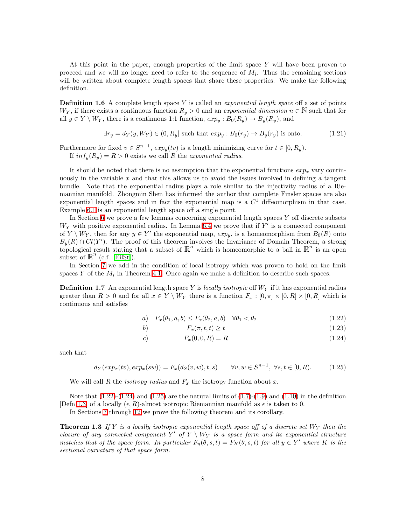At this point in the paper, enough properties of the limit space  $Y$  will have been proven to proceed and we will no longer need to refer to the sequence of  $M_i$ . Thus the remaining sections will be written about complete length spaces that share these properties. We make the following definition.

<span id="page-7-3"></span>**Definition 1.6** A complete length space Y is called an *exponential length space* off a set of points  $W_Y$ , if there exists a continuous function  $R_y > 0$  and an exponential dimension  $n \in \mathbb{N}$  such that for all  $y \in Y \setminus W_Y$ , there is a continuous 1:1 function,  $exp_y : B_0(R_y) \to B_y(R_y)$ , and

$$
\exists r_y = d_Y(y, W_Y) \in (0, R_y] \text{ such that } exp_y : B_0(r_y) \to B_y(r_y) \text{ is onto.}
$$
 (1.21)

Furthermore for fixed  $v \in S^{n-1}$ ,  $exp<sub>y</sub>(tv)$  is a length minimizing curve for  $t \in [0, R_y)$ . If  $inf_y(R_y) = R > 0$  exists we call R the exponential radius.

It should be noted that there is no assumption that the exponential functions  $exp_x$  vary continuously in the variable  $x$  and that this allows us to avoid the issues involved in defining a tangent bundle. Note that the exponential radius plays a role similar to the injectivity radius of a Riemannian manifold. Zhongmin Shen has informed the author that complete Finsler spaces are also exponential length spaces and in fact the exponential map is a  $C<sup>1</sup>$  diffeomorphism in that case. Example [6.1](#page-22-0) is an exponential length space off a single point.

In Section [6](#page-22-1) we prove a few lemmas concerning exponential length spaces  $Y$  off discrete subsets  $W_Y$  with positive exponential radius. In Lemma [6.4](#page-23-0) we prove that if  $Y'$  is a connected component of  $Y \setminus W_Y$ , then for any  $y \in Y'$  the exponential map,  $exp_y$ , is a homeomorphism from  $B_0(R)$  onto  $B_y(R) \cap Cl(Y')$ . The proof of this theorem involves the Invariance of Domain Theorem, a strong topological result stating that a subset of  $\mathbb{R}^n$  which is homeomorphic to a ball in  $\mathbb{R}^n$  is an open subset of  $\mathbb{R}^n$  (c.f. [\[EilSt\]](#page-42-12)).

<span id="page-7-4"></span>In Section [7](#page-24-0) we add in the condition of local isotropy which was proven to hold on the limit spaces Y of the  $M_i$  in Theorem [4.1.](#page-17-1) Once again we make a definition to describe such spaces.

<span id="page-7-0"></span>**Definition 1.7** An exponential length space Y is *locally isotropic* off  $W<sub>Y</sub>$  if it has exponential radius greater than  $R > 0$  and for all  $x \in Y \setminus W_Y$  there is a function  $F_x : [0, \pi] \times [0, R] \times [0, R]$  which is continuous and satisfies

$$
a) \quad F_x(\theta_1, a, b) \le F_x(\theta_2, a, b) \quad \forall \theta_1 < \theta_2 \tag{1.22}
$$

$$
F_x(\pi, t, t) \ge t \tag{1.23}
$$

c) 
$$
F_x(0,0,R) = R
$$
 (1.24)

<span id="page-7-1"></span>such that

$$
d_Y(exp_x(tv), exp_x(sw)) = F_x(d_S(v, w), t, s) \qquad \forall v, w \in S^{n-1}, \ \forall s, t \in [0, R). \tag{1.25}
$$

We will call R the *isotropy radius* and  $F_x$  the isotropy function about x.

Note that  $(1.22)-(1.24)$  $(1.22)-(1.24)$  and  $(1.25)$  are the natural limits of  $(1.7)-(1.9)$  $(1.7)-(1.9)$  and  $(1.10)$  in the definition [Defn [1.3\]](#page-1-2) of a locally  $(\epsilon, R)$ -almost isotropic Riemannian manifold as  $\epsilon$  is taken to 0.

In Sections [7](#page-24-0) through [12](#page-38-0) we prove the following theorem and its corollary.

<span id="page-7-2"></span>**Theorem 1.3** If Y is a locally isotropic exponential length space off of a discrete set  $W_Y$  then the closure of any connected component Y' of  $Y \setminus W_Y$  is a space form and its exponential structure matches that of the space form. In particular  $F_y(\theta, s, t) = F_K(\theta, s, t)$  for all  $y \in Y'$  where K is the sectional curvature of that space form.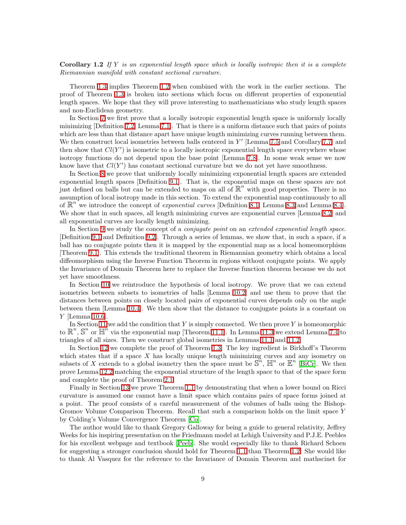**Corollary 1.2** If Y is an exponential length space which is locally isotropic then it is a complete Riemannian manifold with constant sectional curvature.

Theorem [1.3](#page-7-2) implies Theorem [1.2](#page-5-0) when combined with the work in the earlier sections. The proof of Theorem [1.3](#page-7-2) is broken into sections which focus on different properties of exponential length spaces. We hope that they will prove interesting to mathematicians who study length spaces and non-Euclidean geometry.

In Section [7](#page-24-0) we first prove that a locally isotropic exponential length space is uniformly locally minimizing [Definition [7.2,](#page-24-1) Lemma [7.1\]](#page-24-2). That is there is a uniform distance such that pairs of points which are less than that distance apart have unique length minimizing curves running between them. We then construct local isometries between balls centered in  $Y'$  [Lemma [7.5](#page-26-0) and Corollary [7.7\]](#page-27-0) and then show that  $Cl(Y')$  is isometric to a locally isotropic exponential length space everywhere whose isotropy functions do not depend upon the base point [Lemma [7.8\]](#page-27-1). In some weak sense we now know have that  $Cl(Y')$  has constant sectional curvature but we do not yet have smoothness.

In Section [8](#page-28-0) we prove that uniformly locally minimizing exponential length spaces are extended exponential length spaces [Definition [9.1\]](#page-29-0). That is, the exponential maps on these spaces are not just defined on balls but can be extended to maps on all of  $\mathbb{R}^n$  with good properties. There is no assumption of local isotropy made in this section. To extend the exponential map continuously to all of  $\mathbb{R}^n$  we introduce the concept of *exponential curves* [Definition [8.1,](#page-28-1) Lemma [8.3](#page-28-2) and Lemma [8.4\]](#page-29-1). We show that in such spaces, all length minimizing curves are exponential curves [Lemma [8.2\]](#page-28-3) and all exponential curves are locally length minimizing.

In Section [9](#page-29-2) we study the concept of a *conjugate point* on an *extended exponential length space*. [Definition [9.1](#page-29-0) and Definition [9.2\]](#page-30-0). Through a series of lemmas, we show that, in such a space, if a ball has no conjugate points then it is mapped by the exponential map as a local homeomorphism [Theorem [9.1\]](#page-32-0). This extends the traditional theorem in Riemannian geometry which obtains a local diffeomorphism using the Inverse Function Theorem in regions without conjugate points. We apply the Invariance of Domain Theorem here to replace the Inverse function theorem because we do not yet have smoothness.

In Section [10](#page-32-1) we reintroduce the hypothesis of local isotropy. We prove that we can extend isometries between subsets to isometries of balls [Lemma [10.2\]](#page-33-0) and use them to prove that the distances between points on closely located pairs of exponential curves depends only on the angle between them [Lemma [10.4\]](#page-34-0). We then show that the distance to conjugate points is a constant on Y [Lemma [10.6\]](#page-35-0).

In Section [11](#page-36-0) we add the condition that Y is simply connected. We then prove Y is homeomorphic to  $\mathbb{R}^n$ ,  $\mathbb{S}^n$  or  $\mathbb{H}^n$  via the exponential map [Theorem [11.1\]](#page-36-1). In Lemma [11.3](#page-37-0) we extend Lemma [7.4](#page-25-0) to triangles of all sizes. Then we construct global isometries in Lemmas [11.1](#page-37-1) and [11.2.](#page-38-1)

In Section [12](#page-38-0) we complete the proof of Theorem [1.3.](#page-7-2) The key ingredient is Birkhoff's Theorem which states that if a space  $X$  has locally unique length minimizing curves and any isometry on subsets of X extends to a global isometry then the space must be  $\mathbb{S}^n$ ,  $\mathbb{H}^n$  or  $\mathbb{E}^n$  [\[BiCr\]](#page-42-9). We then prove Lemma [12.2](#page-38-2) matching the exponential structure of the length space to that of the space form and complete the proof of Theorem [2.1.](#page-9-3)

Finally in Section [13](#page-41-0) we prove Theorem [1.1](#page-3-0) by demonstrating that when a lower bound on Ricci curvature is assumed one cannot have a limit space which contains pairs of space forms joined at a point. The proof consists of a careful measurement of the volumes of balls using the Bishop-Gromov Volume Comparison Theorem. Recall that such a comparison holds on the limit space Y by Colding's Volume Convergence Theorem [\[Co\]](#page-42-13).

The author would like to thank Gregory Galloway for being a guide to general relativity, Jeffrey Weeks for his inspiring presentation on the Friedmann model at Lehigh University and P.J.E. Peebles for his excellent webpage and textbook [\[Peeb\]](#page-43-0). She would especially like to thank Richard Schoen for suggesting a stronger conclusion should hold for Theorem [1.1](#page-3-0) than Theorem [1.2.](#page-5-0) She would like to thank Al Vasquez for the reference to the Invariance of Domain Theorem and mathscinet for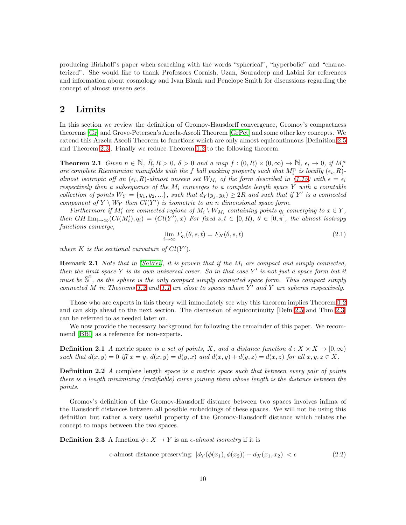producing Birkhoff's paper when searching with the words "spherical", "hyperbolic" and "characterized". She would like to thank Professors Cornish, Uzan, Souradeep and Labini for references and information about cosmology and Ivan Blank and Penelope Smith for discussions regarding the concept of almost unseen sets.

# <span id="page-9-0"></span>2 Limits

In this section we review the definition of Gromov-Hausdorff convergence, Gromov's compactness theorems [\[Gr\]](#page-42-10) and Grove-Petersen's Arzela-Ascoli Theorem [\[GrPet\]](#page-42-11) and some other key concepts. We extend this Arzela Ascoli Theorem to functions which are only almost equicontinuous [Definition [2.5](#page-14-0) and Theorem [2.3\]](#page-14-1). Finally we reduce Theorem [1.2](#page-5-0) to the following theorem.

<span id="page-9-3"></span>**Theorem 2.1** Given  $n \in \mathbb{N}$ ,  $\overline{R}$ ,  $R > 0$ ,  $\delta > 0$  and a map  $f : (0, R) \times (0, \infty) \to \mathbb{N}$ ,  $\epsilon_i \to 0$ , if  $M_i^n$ are complete Riemannian manifolds with the f ball packing property such that  $M_i^n$  is locally  $(\epsilon_i, R)$ . almost isotropic off an  $(\epsilon_i, R)$ -almost unseen set  $W_{M_i}$  of the form described in [\(1.15\)](#page-3-4) with  $\epsilon = \epsilon_i$ respectively then a subsequence of the  $M_i$  converges to a complete length space Y with a countable collection of points  $W_Y = \{y_1, y_2, ...\}$ , such that  $d_Y(y_j, y_k) \ge 2R$  and such that if Y' is a connected component of  $Y \setminus W_Y$  then  $Cl(Y')$  is isometric to an n dimensional space form.

Furthermore if  $M'_i$  are connected regions of  $M_i \setminus W_{M_i}$  containing points  $q_i$  converging to  $x \in Y$ , then GH  $\lim_{i\to\infty}(Cl(M'_i), q_i) = (Cl(Y'), x)$  For fixed  $s, t \in [0, R), \theta \in [0, \pi]$ , the almost isotropy functions converge,

<span id="page-9-4"></span>
$$
\lim_{i \to \infty} F_{q_i}(\theta, s, t) = F_K(\theta, s, t)
$$
\n(2.1)

where K is the sectional curvature of  $Cl(Y')$ .

<span id="page-9-1"></span>**Remark 2.1** Note that in [\[SoWei\]](#page-43-4), it is proven that if the  $M_i$  are compact and simply connected, then the limit space  $Y$  is its own universal cover. So in that case  $Y'$  is not just a space form but it must be  $\mathbb{S}^2$ , as the sphere is the only compact simply connected space form. Thus compact simply connected M in Theorems [1.2](#page-5-0) and [1.1](#page-3-0) are close to spaces where  $Y'$  and  $Y$  are spheres respectively.

Those who are experts in this theory will immediately see why this theorem implies Theorem [1.2](#page-5-0) and can skip ahead to the next section. The discussion of equicontinuity [Defn [2.5](#page-14-0) and Thm [2.3\]](#page-14-1) can be referred to as needed later on.

We now provide the necessary background for following the remainder of this paper. We recommend [\[BBI\]](#page-42-7) as a reference for non-experts.

**Definition 2.1** A metric space is a set of points, X, and a distance function  $d: X \times X \rightarrow [0, \infty)$ such that  $d(x, y) = 0$  iff  $x = y$ ,  $d(x, y) = d(y, x)$  and  $d(x, y) + d(y, z) = d(x, z)$  for all  $x, y, z \in X$ .

<span id="page-9-2"></span>**Definition 2.2** A complete length space is a metric space such that between every pair of points there is a length minimizing (rectifiable) curve joining them whose length is the distance between the points.

Gromov's definition of the Gromov-Hausdorff distance between two spaces involves infima of the Hausdorff distances between all possible embeddings of these spaces. We will not be using this definition but rather a very useful property of the Gromov-Hausdorff distance which relates the concept to maps between the two spaces.

**Definition 2.3** A function  $\phi: X \to Y$  is an  $\epsilon$ -almost isometry if it is

$$
\epsilon\text{-almost distance preserving: } |d_Y(\phi(x_1), \phi(x_2)) - d_X(x_1, x_2)| < \epsilon \tag{2.2}
$$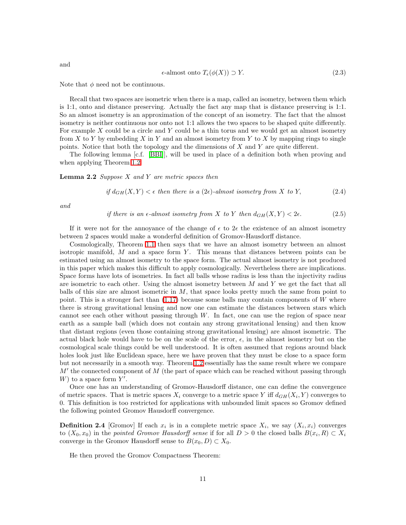$$
\epsilon\text{-almost onto }T_{\epsilon}(\phi(X)) \supset Y. \tag{2.3}
$$

Note that  $\phi$  need not be continuous.

Recall that two spaces are isometric when there is a map, called an isometry, between them which is 1:1, onto and distance preserving. Actually the fact any map that is distance preserving is 1:1. So an almost isometry is an approximation of the concept of an isometry. The fact that the almost isometry is neither continuous nor onto not 1:1 allows the two spaces to be shaped quite differently. For example  $X$  could be a circle and  $Y$  could be a thin torus and we would get an almost isometry from X to Y by embedding X in Y and an almost isometry from Y to X by mapping rings to single points. Notice that both the topology and the dimensions of  $X$  and  $Y$  are quite different.

<span id="page-10-0"></span>The following lemma [c.f. [\[BBI\]](#page-42-7)], will be used in place of a definition both when proving and when applying Theorem [1.2.](#page-5-0)

**Lemma 2.2** Suppose X and Y are metric spaces then

if 
$$
d_{GH}(X, Y) < \epsilon
$$
 then there is a  $(2\epsilon)$ -almost isometry from X to Y,  $(2.4)$ 

and

if there is an  $\epsilon$ -almost isometry from X to Y then  $d_{GH}(X, Y) < 2\epsilon$ . (2.5)

If it were not for the annoyance of the change of  $\epsilon$  to  $2\epsilon$  the existence of an almost isometry between 2 spaces would make a wonderful definition of Gromov-Hausdorff distance.

Cosmologically, Theorem [1.1](#page-3-0) then says that we have an almost isometry between an almost isotropic manifold,  $M$  and a space form  $Y$ . This means that distances between points can be estimated using an almost isometry to the space form. The actual almost isometry is not produced in this paper which makes this difficult to apply cosmologically. Nevertheless there are implications. Space forms have lots of isometries. In fact all balls whose radius is less than the injectivity radius are isometric to each other. Using the almost isometry between  $M$  and  $Y$  we get the fact that all balls of this size are almost isometric in  $M$ , that space looks pretty much the same from point to point. This is a stronger fact than  $(1.17)$  because some balls may contain components of W where there is strong gravitational lensing and now one can estimate the distances between stars which cannot see each other without passing through W. In fact, one can use the region of space near earth as a sample ball (which does not contain any strong gravitational lensing) and then know that distant regions (even those containing strong gravitational lensing) are almost isometric. The actual black hole would have to be on the scale of the error,  $\epsilon$ , in the almost isometry but on the cosmological scale things could be well understood. It is often assumed that regions around black holes look just like Euclidean space, here we have proven that they must be close to a space form but not necessarily in a smooth way. Theorem [1.2](#page-5-0) essentially has the same result where we compare  $M'$  the connected component of  $M$  (the part of space which can be reached without passing through  $W$ ) to a space form  $Y'$ .

Once one has an understanding of Gromov-Hausdorff distance, one can define the convergence of metric spaces. That is metric spaces  $X_i$  converge to a metric space Y iff  $d_{GH}(X_i, Y)$  converges to 0. This definition is too restricted for applications with unbounded limit spaces so Gromov defined the following pointed Gromov Hausdorff convergence.

**Definition 2.4** [Gromov] If each  $x_i$  is in a complete metric space  $X_i$ , we say  $(X_i, x_i)$  converges to  $(X_0, x_0)$  in the pointed Gromov Hausdorff sense if for all  $D > 0$  the closed balls  $B(x_i, R) \subset X_i$ converge in the Gromov Hausdorff sense to  $B(x_0, D) \subset X_0$ .

He then proved the Gromov Compactness Theorem:

and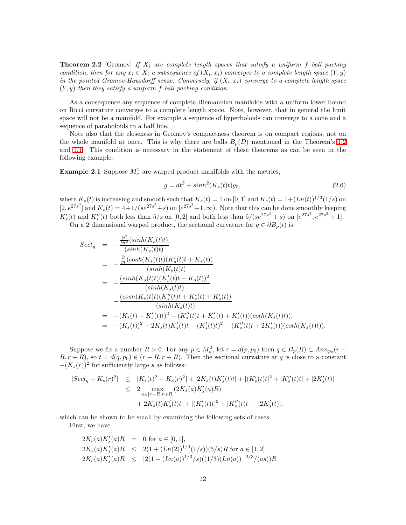**Theorem 2.2** [Gromov] If  $X_i$  are complete length spaces that satisfy a uniform f ball packing condition, then for any  $x_i \in X_i$  a subsequence of  $(X_i, x_i)$  converges to a complete length space  $(Y, y)$ in the pointed Gromov-Hausdorff sense. Conversely, if  $(X_i, x_i)$  converge to a complete length space  $(Y, y)$  then they satisfy a uniform f ball packing condition.

As a consequence any sequence of complete Riemannian manifolds with a uniform lower bound on Ricci curvature converges to a complete length space. Note, however, that in general the limit space will not be a manifold. For example a sequence of hyperboloids can converge to a cone and a sequence of paraboloids to a half line.

Note also that the closeness in Gromov's compactness theorem is on compact regions, not on the whole manifold at once. This is why there are balls  $B_p(D)$  mentioned in the Theorem's [1.2](#page-5-0) and [1.1.](#page-3-0) This condition is necessary in the statement of these theorems as can be seen in the following example.

<span id="page-11-0"></span>**Example 2.1** Suppose  $M_s^2$  are warped product manifolds with the metrics,

$$
g = dt2 + sinh2(Ks(t)t)g0,
$$
\n(2.6)

where  $K_s(t)$  is increasing and smooth such that  $K_s(t) = 1$  on [0, 1] and  $K_s(t) = 1 + (Ln(t))^{1/3}(1/s)$  on  $[2, e^{27s^3}]$  and  $K_s(t) = 4+1/(se^{27s^3}+s)$  on  $[e^{27s^3}+1,\infty)$ . Note that this can be done smoothly keeping  $K'_{s}(t)$  and  $K''_{s}(t)$  both less than  $5/s$  on  $[0, 2]$  and both less than  $5/(se^{27s^{3}} + s)$  on  $[e^{27s^{3}}, e^{27s^{3}} + 1]$ . On a 2 dimensional warped product, the sectional curvature for  $q \in \partial B_p(t)$  is

$$
Sect_q = -\frac{\frac{\partial^2}{\partial t^2}(sinh(K_s(t)t))}{(sinh(K_s(t)t))}
$$
  
\n
$$
= -\frac{\frac{\partial}{\partial t}(cosh(K_s(t)t)(K'_s(t)t + K_s(t))}{(sinh(K_s(t)t))}
$$
  
\n
$$
= -\frac{(sinh(K_s(t)t)(K'_s(t)t + K_s(t))^2}{(sinh(K_s(t)t))}
$$
  
\n
$$
- \frac{(cosh(K_s(t)t)(K''_s(t)t + K'_s(t) + K'_s(t))}{(sinh(K_s(t)t))}
$$
  
\n
$$
= -(K_s(t) - K'_s(t)t)^2 - (K''_s(t)t + K'_s(t) + K'_s(t)) (coth(K_s(t)t)).
$$
  
\n
$$
= -(K_s(t))^2 + 2K_s(t)K'_s(t)t - (K'_s(t)t)^2 - (K''_s(t)t + 2K'_s(t)) (coth(K_s(t)t)).
$$

Suppose we fix a number  $R > 0$ . For any  $p \in M_s^2$ , let  $r = d(p, p_0)$  then  $q \in B_p(R) \subset Ann_{p_0}(r R, r + R$ , so  $t = d(q, p_0) \in (r - R, r + R)$ . Then the sectional curvature at q is close to a constant  $-(K_s(r))^2$  for sufficiently large s as follows:

$$
|Sect_q + K_s(r)^2| \leq |K_s(t)^2 - K_s(r)^2| + |2K_s(t)K'_s(t)t| + |(K'_s(t)t|^2 + |K''_s(t)t| + |2K'_s(t)|
$$
  

$$
\leq 2 \max_{a \in [r-R,r+R]} (2K_s(a)K'_s(a)R)
$$
  

$$
+ |2K_s(t)K'_s(t)t| + |(K'_s(t)t|^2 + |K''_s(t)t| + |2K'_s(t)|,
$$

which can be shown to be small by examining the following sets of cases: First, we have

$$
2K_s(a)K'_s(a)R = 0 \text{ for } a \in [0,1],
$$
  
\n
$$
2K_s(a)K'_s(a)R \le 2(1 + (Ln(2))^{1/3}(1/s))(5/s)R \text{ for } a \in [1,2],
$$
  
\n
$$
2K_s(a)K'_s(a)R \le |2(1 + (Ln(a))^{1/3}/s)((1/3)(Ln(a))^{-2/3}/(as))R
$$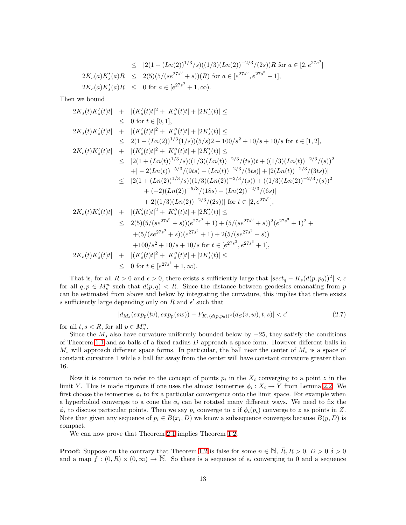$$
\leq |2(1 + (Ln(2))^{1/3}/s)((1/3)(Ln(2))^{-2/3}/(2s))R \text{ for } a \in [2, e^{27s^3}]
$$
  
\n
$$
2K_s(a)K'_s(a)R \leq 2(5)(5/(se^{27s^3} + s))(R) \text{ for } a \in [e^{27s^3}, e^{27s^3} + 1],
$$
  
\n
$$
2K_s(a)K'_s(a)R \leq 0 \text{ for } a \in [e^{27s^3} + 1, \infty).
$$

Then we bound

$$
|2K_s(t)K'_s(t)t| + |(K'_s(t)t|^2 + |K''_s(t)t| + |2K'_s(t)| \le
$$
  
\n
$$
\leq 0 \text{ for } t \in [0,1],
$$
  
\n
$$
|2K_s(t)K'_s(t)t| + |(K'_s(t)t|^2 + |K''_s(t)t| + |2K'_s(t)| \le
$$
  
\n
$$
\leq 2(1 + (Ln(2))^{1/3}(1/s))(5/s)2 + 100/s^2 + 10/s + 10/s \text{ for } t \in [1,2],
$$
  
\n
$$
|2K_s(t)K'_s(t)t| + |(K'_s(t)t|^2 + |K''_s(t)t| + |2K'_s(t)| \le
$$
  
\n
$$
\leq |2(1 + (Ln(t))^{1/3}/s)((1/3)(Ln(t))^{-2/3}/(ts))t + ((1/3)(Ln(t))^{-2/3}/(s))^2
$$
  
\n
$$
+|-2(Ln(t))^{-5/3}/(9ts) - (Ln(t))^{-2/3}/(3ts)| + |2(Ln(t))^{-2/3}/(3ts)|
$$
  
\n
$$
\leq |2(1 + (Ln(2))^{1/3}/s)((1/3)(Ln(2))^{-2/3}/(s)) + (1/3)(Ln(2))^{-2/3}/(s))^2
$$
  
\n
$$
+|(-2)(Ln(2))^{-5/3}/(18s) - (Ln(2))^{-2/3}/(6s)|
$$
  
\n
$$
+|2((1/3)(Ln(2))^{-2/3}/(2s))| \text{ for } t \in [2, e^{27s^3}],
$$
  
\n
$$
|2K_s(t)K'_s(t)t| + |(K'_s(t)t|^2 + |K''_s(t)t| + |2K'_s(t)| \le
$$
  
\n
$$
\leq 2(5)(5/(se^{27s^3} + s))(e^{27s^3} + 1) + (5/(se^{27s^3} + s))^2(e^{27s^3} + 1)^2 +
$$
  
\n
$$
+ (5/(se^{27s^3} + s))(e^{27s^3} + 1) + 2(5/(se^{27s^3} + s))
$$
  
\n
$$
+100/s^2 + 10/s + 10/s \text{ for } t \in [e^{27s^3},
$$

That is, for all  $R > 0$  and  $\epsilon > 0$ , there exists s sufficiently large that  $|sect_q - K_s(d(p, p_0))|^2| < \epsilon$ for all  $q, p \in M_s^n$  such that  $d(p, q) < R$ . Since the distance between geodesics emanating from p can be estimated from above and below by integrating the curvature, this implies that there exists s sufficiently large depending only on  $R$  and  $\epsilon'$  such that

$$
|d_{M_s}(exp_p(tv), exp_p(sw)) - F_{K_s(d(p, p_0))^2}(d_S(v, w), t, s)| < \epsilon'
$$
\n(2.7)

for all  $t, s < R$ , for all  $p \in M_s^n$ .

Since the  $M_s$  also have curvature uniformly bounded below by  $-25$ , they satisfy the conditions of Theorem [1.1](#page-3-0) and so balls of a fixed radius D approach a space form. However different balls in  $M_s$  will approach different space forms. In particular, the ball near the center of  $M_s$  is a space of constant curvature 1 while a ball far away from the center will have constant curvature greater than 16.

Now it is common to refer to the concept of points  $p_i$  in the  $X_i$  converging to a point z in the limit Y. This is made rigorous if one uses the almost isometries  $\phi_i : X_i \to Y$  from Lemma [2.2.](#page-10-0) We first choose the isometries  $\phi_i$  to fix a particular convergence onto the limit space. For example when a hyperboloid converges to a cone the  $\phi_i$  can be rotated many different ways. We need to fix the  $\phi_i$  to discuss particular points. Then we say  $p_i$  converge to z if  $\phi_i(p_i)$  converge to z as points in Z. Note that given any sequence of  $p_i \in B(x_i, D)$  we know a subsequence converges because  $B(y, D)$  is compact.

We can now prove that Theorem [2.1](#page-9-3) implies Theorem [1.2.](#page-5-0)

**Proof:** Suppose on the contrary that Theorem [1.2](#page-5-0) is false for some  $n \in \mathbb{N}$ ,  $R, R > 0$ ,  $D > 0$   $\delta > 0$ and a map  $f:(0,R)\times(0,\infty)\to\mathbb{N}$ . So there is a sequence of  $\epsilon_i$  converging to 0 and a sequence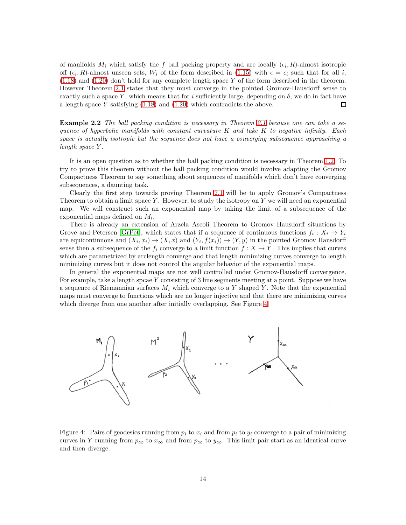of manifolds  $M_i$  which satisfy the f ball packing property and are locally  $(\epsilon_i, R)$ -almost isotropic off  $(\epsilon_i, R)$ -almost unseen sets,  $W_i$  of the form described in [\(1.15\)](#page-3-4) with  $\epsilon = \epsilon_i$  such that for all i,  $(1.18)$  and  $(1.20)$  don't hold for any complete length space Y of the form described in the theorem. However Theorem [2.1](#page-9-3) states that they must converge in the pointed Gromov-Hausdorff sense to exactly such a space Y, which means that for i sufficiently large, depending on  $\delta$ , we do in fact have a length space Y satisfying [\(1.18\)](#page-5-2) and [\(1.20\)](#page-5-1) which contradicts the above.  $\Box$ 

Example 2.2 The ball packing condition is necessary in Theorem [2.1](#page-9-3) because one can take a sequence of hyperbolic manifolds with constant curvature  $K$  and take  $K$  to negative infinity. Each space is actually isotropic but the sequence does not have a converging subsequence approaching a length space Y .

It is an open question as to whether the ball packing condition is necessary in Theorem [1.2.](#page-5-0) To try to prove this theorem without the ball packing condition would involve adapting the Gromov Compactness Theorem to say something about sequences of manifolds which don't have converging subsequences, a daunting task.

Clearly the first step towards proving Theorem [2.1](#page-9-3) will be to apply Gromov's Compactness Theorem to obtain a limit space  $Y$ . However, to study the isotropy on  $Y$  we will need an exponential map. We will construct such an exponential map by taking the limit of a subsequence of the exponential maps defined on  $M_i$ .

There is already an extension of Arzela Ascoli Theorem to Gromov Hausdorff situations by Grove and Petersen [\[GrPet\]](#page-42-11), which states that if a sequence of continuous functions  $f_i: X_i \to Y_i$ are equicontinuous and  $(X_i, x_i) \to (X, x)$  and  $(Y_i, f(x_i)) \to (Y, y)$  in the pointed Gromov Hausdorff sense then a subsequence of the  $f_i$  converge to a limit function  $f : X \to Y$ . This implies that curves which are parametrized by arclength converge and that length minimizing curves converge to length minimizing curves but it does not control the angular behavior of the exponential maps.

In general the exponential maps are not well controlled under Gromov-Hausdorff convergence. For example, take a length spcae  $Y$  consisting of 3 line segments meeting at a point. Suppose we have a sequence of Riemannian surfaces  $M_i$  which converge to a Y shaped Y. Note that the exponential maps must converge to functions which are no longer injective and that there are minimizing curves which diverge from one another after initially overlapping. See Figure [4.](#page-13-0)



<span id="page-13-0"></span>Figure 4: Pairs of geodesics running from  $p_i$  to  $x_i$  and from  $p_i$  to  $y_i$  converge to a pair of minimizing curves in Y running from  $p_{\infty}$  to  $x_{\infty}$  and from  $p_{\infty}$  to  $y_{\infty}$ . This limit pair start as an identical curve and then diverge.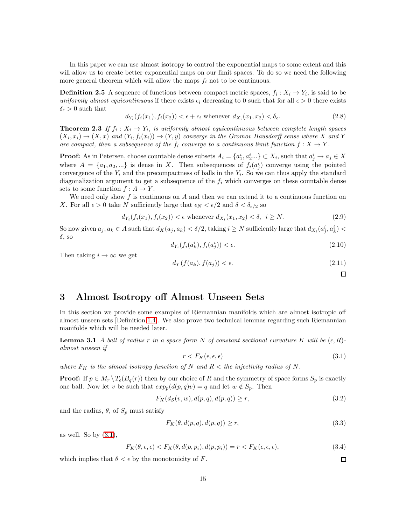In this paper we can use almost isotropy to control the exponential maps to some extent and this will allow us to create better exponential maps on our limit spaces. To do so we need the following more general theorem which will allow the maps  $f_i$  not to be continuous.

<span id="page-14-0"></span>**Definition 2.5** A sequence of functions between compact metric spaces,  $f_i: X_i \to Y_i$ , is said to be uniformly almost equicontinuous if there exists  $\epsilon_i$  decreasing to 0 such that for all  $\epsilon > 0$  there exists  $\delta_{\epsilon} > 0$  such that

$$
d_{Y_i}(f_i(x_1), f_i(x_2)) < \epsilon + \epsilon_i \text{ whenever } d_{X_i}(x_1, x_2) < \delta_{\epsilon}.
$$
\n
$$
(2.8)
$$

<span id="page-14-1"></span>**Theorem 2.3** If  $f_i: X_i \to Y_i$ , is uniformly almost equicontinuous between complete length spaces  $(X_i, x_i) \to (X, x)$  and  $(Y_i, f_i(x_i)) \to (Y, y)$  converge in the Gromov Hausdorff sense where X and Y are compact, then a subsequence of the  $f_i$  converge to a continuous limit function  $f: X \to Y$ .

**Proof:** As in Petersen, choose countable dense subsets  $A_i = \{a_1^i, a_2^i...\} \subset X_i$ , such that  $a_j^i \to a_j \in X$ where  $A = \{a_1, a_2, ...\}$  is dense in X. Then subsequences of  $f_i(a_j^i)$  converge using the pointed convergence of the  $Y_i$  and the precompactness of balls in the  $Y_i$ . So we can thus apply the standard diagonalization argument to get a subsequence of the  $f_i$  which converges on these countable dense sets to some function  $f : A \to Y$ .

We need only show  $f$  is continuous on  $A$  and then we can extend it to a continuous function on X. For all  $\epsilon > 0$  take N sufficiently large that  $\epsilon_N < \epsilon/2$  and  $\delta < \delta_{\epsilon/2}$  so

$$
d_{Y_i}(f_i(x_1), f_i(x_2)) < \epsilon \text{ whenever } d_{X_i}(x_1, x_2) < \delta, \ i \geq N. \tag{2.9}
$$

So now given  $a_j, a_k \in A$  such that  $d_X(a_j, a_k) < \delta/2$ , taking  $i \geq N$  sufficiently large that  $d_{X_i}(a_j^i, a_k^i) <$  $\delta$ , so

$$
d_{Y_i}(f_i(a_k^i), f_i(a_j^i)) < \epsilon. \tag{2.10}
$$

Then taking  $i \to \infty$  we get

$$
d_Y(f(a_k), f(a_j)) < \epsilon. \tag{2.11}
$$

 $\Box$ 

 $\Box$ 

#### <span id="page-14-2"></span>3 Almost Isotropy off Almost Unseen Sets

In this section we provide some examples of Riemannian manifolds which are almost isotropic off almost unseen sets [Definition [1.4\]](#page-2-2). We also prove two technical lemmas regarding such Riemannian manifolds which will be needed later.

<span id="page-14-4"></span>**Lemma 3.1** A ball of radius r in a space form N of constant sectional curvature K will be  $(\epsilon, R)$ almost unseen if

<span id="page-14-3"></span>
$$
r < F_K(\epsilon, \epsilon, \epsilon) \tag{3.1}
$$

where  $F_K$  is the almost isotropy function of N and  $R <$  the injectivity radius of N.

**Proof:** If  $p \in M_r \setminus T_e(B_q(r))$  then by our choice of R and the symmetry of space forms  $S_p$  is exactly one ball. Now let v be such that  $exp_p(d(p,q)v) = q$  and let  $w \notin S_p$ . Then

$$
F_K(d_S(v, w), d(p, q), d(p, q)) \ge r,
$$
\n(3.2)

and the radius,  $\theta$ , of  $S_p$  must satisfy

$$
F_K(\theta, d(p, q), d(p, q)) \ge r,\tag{3.3}
$$

as well. So by  $(3.1)$ ,

$$
F_K(\theta, \epsilon, \epsilon) < F_K(\theta, d(p, p_i), d(p, p_i)) = r < F_K(\epsilon, \epsilon, \epsilon),\tag{3.4}
$$

which implies that  $\theta < \epsilon$  by the monotonicity of F.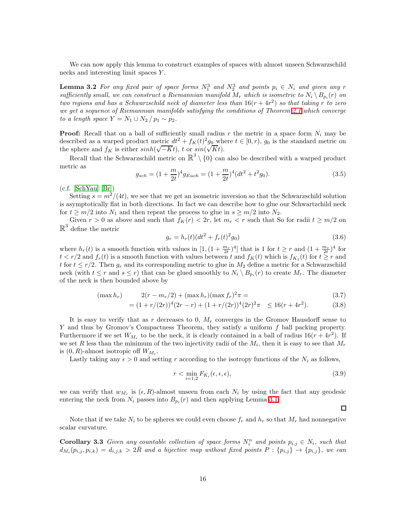<span id="page-15-0"></span>We can now apply this lemma to construct examples of spaces with almost unseen Schwarzschild necks and interesting limit spaces Y .

**Lemma 3.2** For any fixed pair of space forms  $N_1^3$  and  $N_2^3$  and points  $p_i \in N_i$  and given any r sufficiently small, we can construct a Riemannian manifold  $M_r$  which is isometric to  $N_i \setminus B_{p_i}(r)$  on two regions and has a Schwarzschild neck of diameter less than  $16(r + 4r^2)$  so that taking r to zero we get a sequence of Riemannian manifolds satisfying the conditions of Theorem [2.1](#page-9-3) which converge to a length space  $Y = N_1 \cup N_2 / p_1 \sim p_2$ .

**Proof:** Recall that on a ball of sufficiently small radius r the metric in a space form  $N_i$  may be described as a warped product metric  $dt^2 + f_K(t)^2 g_0$  where  $t \in [0, r)$ ,  $g_0$  is the standard metric on the sphere and  $f_K$  is either  $sinh(\sqrt{-Kt})$ , t or  $sin(\sqrt{Kt})$ .

Recall that the Schwarzschild metric on  $\mathbb{R}^3 \setminus \{0\}$  can also be described with a warped product metric as

$$
g_{sch} = (1 + \frac{m}{2t})^4 g_{Euch} = (1 + \frac{m}{2t})^4 (dt^2 + t^2 g_0).
$$
 (3.5)

 $(c.f.$  [\[SchYau\]](#page-43-3) [\[Br\]](#page-42-14))

Setting  $s = m^2/(4t)$ , we see that we get an isometric inversion so that the Schwarzschild solution is asymptotically flat in both directions. In fact we can describe how to glue our Schwartzchild neck for  $t \geq m/2$  into  $N_1$  and then repeat the process to glue in  $s \geq m/2$  into  $N_2$ .

Given  $r > 0$  as above and such that  $f_K(r) < 2r$ , let  $m_r < r$  such that So for radii  $t \geq m/2$  on  $\mathbb{R}^3$  define the metric

$$
g_r = h_r(t)(dt^2 + f_r(t)^2 g_0)
$$
\n(3.6)

where  $h_r(t)$  is a smooth function with values in  $[1,(1+\frac{m_r}{2t})^4]$  that is 1 for  $t \geq r$  and  $(1+\frac{m_r}{2t})^4$  for  $t < r/2$  and  $f_r(t)$  is a smooth function with values between t and  $f_K(t)$  which is  $f_{K_1}(t)$  for  $t \ge r$  and t for  $t \leq r/2$ . Then  $g_r$  and its corresponding metric to glue in  $M_2$  define a metric for a Schwarzschild neck (with  $t \leq r$  and  $s \leq r$ ) that can be glued smoothly to  $N_i \setminus B_{p_i}(r)$  to create  $M_r$ . The diameter of the neck is then bounded above by

$$
(\max h_r) \qquad 2(r - m_r/2) + (\max h_r)(\max f_r)^2 \pi = \qquad (3.7)
$$

$$
= (1 + r/(2r))^4 (2r - r) + (1 + r/(2r))^4 (2r)^2 \pi \le 16(r + 4r^2). \tag{3.8}
$$

It is easy to verify that as r decreases to 0,  $M_r$  converges in the Gromov Hausdorff sense to Y and thus by Gromov's Compactness Theorem, they satisfy a uniform f ball packing property. Furthermore if we set  $W_{M_r}$  to be the neck, it is clearly contained in a ball of radius  $16(r + 4r^2)$ . If we set R less than the minimum of the two injectivity radii of the  $M_i$ , then it is easy to see that  $M_r$ is  $(0, R)$ -almost isotropic off  $W_{M_r}$ .

Lastly taking any  $\epsilon > 0$  and setting r according to the isotropy functions of the  $N_i$  as follows,

$$
r < \min_{i=1,2} F_{K_i}(\epsilon, \epsilon, \epsilon),\tag{3.9}
$$

 $\Box$ 

we can verify that  $w_{M_r}$  is  $(\epsilon, R)$ -almost unseen from each  $N_i$  by using the fact that any geodesic entering the neck from  $N_i$  passes into  $B_{p_i}(r)$  and then applying Lemma [3.1.](#page-14-4)

<span id="page-15-1"></span>Note that if we take  $N_i$  to be spheres we could even choose  $f_r$  and  $h_r$  so that  $M_r$  had nonnegative scalar curvature.

**Corollary 3.3** Given any countable collection of space forms  $N_i^n$  and points  $p_{i,j} \in N_i$ , such that  $d_{M_i}(p_{i,j},p_{i,k}) = d_{i,j,k} > 2R$  and a bijective map without fixed points  $P: \{p_{i,j}\} \rightarrow \{p_{i,j}\}\$ , we can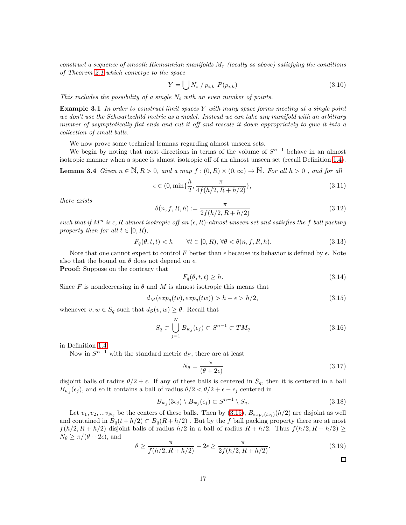construct a sequence of smooth Riemannian manifolds  $M_r$  (locally as above) satisfying the conditions of Theorem [2.1](#page-9-3) which converge to the space

$$
Y = \bigcup N_i / p_{i,k} P(p_{i,k}) \tag{3.10}
$$

<span id="page-16-0"></span>This includes the possibility of a single  $N_i$  with an even number of points.

**Example 3.1** In order to construct limit spaces Y with many space forms meeting at a single point we don't use the Schwartzchild metric as a model. Instead we can take any manifold with an arbitrary number of asymptotically flat ends and cut it off and rescale it down appropriately to glue it into a collection of small balls.

We now prove some technical lemmas regarding almost unseen sets.

<span id="page-16-2"></span>We begin by noting that most directions in terms of the volume of  $S^{n-1}$  behave in an almost isotropic manner when a space is almost isotropic off of an almost unseen set (recall Definition [1.4\)](#page-2-2).

**Lemma 3.4** Given  $n \in \mathbb{N}, R > 0$ , and a map  $f : (0, R) \times (0, \infty) \to \mathbb{N}$ . For all  $h > 0$ , and for all

$$
\epsilon \in (0, \min\{\frac{h}{2}, \frac{\pi}{4f(h/2, R+h/2)}\},\tag{3.11}
$$

there exists

$$
\theta(n, f, R, h) := \frac{\pi}{2f(h/2, R + h/2)}
$$
\n(3.12)

such that if  $M^n$  is  $\epsilon, R$  almost isotropic off an  $(\epsilon, R)$ -almost unseen set and satisfies the f ball packing property then for all  $t \in [0, R)$ ,

$$
F_q(\theta, t, t) < h \qquad \forall t \in [0, R), \, \forall \theta < \theta(n, f, R, h). \tag{3.13}
$$

Note that one cannot expect to control F better than  $\epsilon$  because its behavior is defined by  $\epsilon$ . Note also that the bound on  $\theta$  does not depend on  $\epsilon$ .

Proof: Suppose on the contrary that

$$
F_q(\theta, t, t) \ge h. \tag{3.14}
$$

<span id="page-16-1"></span>Since F is nondecreasing in  $\theta$  and M is almost isotropic this means that

$$
d_M(exp_q(tv), exp_q(tw)) > h - \epsilon > h/2,
$$
\n(3.15)

whenever  $v, w \in S_q$  such that  $d_S(v, w) \geq \theta$ . Recall that

$$
S_q \subset \bigcup_{j=1}^N B_{w_j}(\epsilon_j) \subset S^{n-1} \subset TM_q \tag{3.16}
$$

in Definition [1.4.](#page-2-2)

Now in  $S^{n-1}$  with the standard metric  $d_S$ , there are at least

$$
N_{\theta} = \frac{\pi}{(\theta + 2\epsilon)}\tag{3.17}
$$

disjoint balls of radius  $\theta/2 + \epsilon$ . If any of these balls is centered in  $S_q$ , then it is centered in a ball  $B_{w_j}(\epsilon_j)$ , and so it contains a ball of radius  $\theta/2 < \theta/2 + \epsilon - \epsilon_j$  centered in

$$
B_{w_j}(3\epsilon_j) \setminus B_{w_j}(\epsilon_j) \subset S^{n-1} \setminus S_q. \tag{3.18}
$$

Let  $v_1, v_2, ... v_{N_\theta}$  be the centers of these balls. Then by [\(3.15\)](#page-16-1),  $B_{exp_q(tv_i)}(h/2)$  are disjoint as well and contained in  $B_q(t + h/2) \subset B_q(R + h/2)$ . But by the f ball packing property there are at most  $f(h/2, R + h/2)$  disjoint balls of radius  $h/2$  in a ball of radius  $R + h/2$ . Thus  $f(h/2, R + h/2) \ge$  $N_{\theta} \geq \pi/(\theta + 2\epsilon)$ , and

$$
\theta \ge \frac{\pi}{f(h/2, R+h/2)} - 2\epsilon \ge \frac{\pi}{2f(h/2, R+h/2)}.\tag{3.19}
$$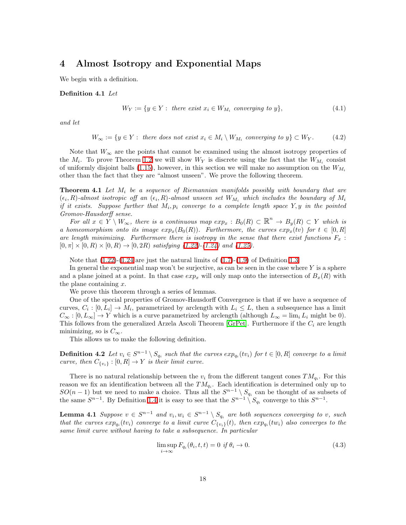# <span id="page-17-0"></span>4 Almost Isotropy and Exponential Maps

<span id="page-17-2"></span>We begin with a definition.

#### Definition 4.1 Let

$$
W_Y := \{ y \in Y : \text{ there exist } x_i \in W_{M_i} \text{ converging to } y \},\tag{4.1}
$$

and let

$$
W_{\infty} := \{ y \in Y : \text{ there does not exist } x_i \in M_i \setminus W_{M_i} \text{ converging to } y \} \subset W_Y. \tag{4.2}
$$

Note that  $W_{\infty}$  are the points that cannot be examined using the almost isotropy properties of the  $M_i$ . To prove Theorem [1.2](#page-5-0) we will show  $W_Y$  is discrete using the fact that the  $W_{M_i}$  consist of uniformly disjoint balls [\(1.15\)](#page-3-4), however, in this section we will make no assumption on the  $W_{M_i}$ other than the fact that they are "almost unseen". We prove the following theorem.

<span id="page-17-1"></span>**Theorem 4.1** Let  $M_i$  be a sequence of Riemannian manifolds possibly with boundary that are  $(\epsilon_i, R)$ -almost isotropic off an  $(\epsilon_i, R)$ -almost unseen set  $W_{M_i}$  which includes the boundary of  $M_i$ if it exists. Suppose further that  $M_i, p_i$  converge to a complete length space  $Y, y$  in the pointed Gromov-Hausdorff sense.

For all  $x \in Y \setminus W_\infty$ , there is a continuous map  $exp_x : B_0(R) \subset \mathbb{R}^n \to B_y(R) \subset Y$  which is a homeomorphism onto its image  $exp_x(B_0(R))$ . Furthermore, the curves  $exp_x(tv)$  for  $t \in [0, R]$ are length minimizing. Furthermore there is isotropy in the sense that there exist functions  $F_x$ :  $[0, \pi] \times [0, R] \times [0, R] \rightarrow [0, 2R)$  satisfying [\(1.22\)](#page-7-0)-[\(1.24\)](#page-7-0) and [\(1.25\)](#page-7-1).

Note that  $(1.22)-(1.24$  $(1.22)-(1.24$  are just the natural limits of  $(1.7)-(1.9)$  $(1.7)-(1.9)$  of Definition [1.3.](#page-1-2)

In general the exponential map won't be surjective, as can be seen in the case where  $Y$  is a sphere and a plane joined at a point. In that case  $exp_x$  will only map onto the intersection of  $B_x(R)$  with the plane containing  $x$ .

We prove this theorem through a series of lemmas.

One of the special properties of Gromov-Hausdorff Convergence is that if we have a sequence of curves,  $C_i : [0, L_i] \to M_i$ , parametrized by arclength with  $L_i \leq L$ , then a subsequence has a limit  $C_{\infty} : [0, L_{\infty}] \to Y$  which is a curve parametrized by arclength (although  $L_{\infty} = \lim_i L_i$  might be 0). This follows from the generalized Arzela Ascoli Theorem [\[GrPet\]](#page-42-11). Furthermore if the  $C_i$  are length minimizing, so is  $C_{\infty}$ .

This allows us to make the following definition.

**Definition 4.2** Let  $v_i \in S^{n-1} \setminus S_{q_i}$  such that the curves  $exp_{q_i}(tv_i)$  for  $t \in [0, R]$  converge to a limit curve, then  $C_{\{v_i\}}:[0,R] \to Y$  is their limit curve.

There is no natural relationship between the  $v_i$  from the different tangent cones  $TM_{q_i}$ . For this reason we fix an identification between all the  $TM_{q_i}$ . Each identification is determined only up to  $SO(n-1)$  but we need to make a choice. Thus all the  $S^{n-1} \setminus S_{q_i}$  can be thought of as subsets of the same  $S^{n-1}$ . By Definition [1.4](#page-2-2) it is easy to see that the  $S^{n-1} \setminus S_{q_i}$  converge to this  $S^{n-1}$ .

**Lemma 4.1** Suppose  $v \in S^{n-1}$  and  $v_i, w_i \in S^{n-1} \setminus S_{q_i}$  are both sequences converging to v, such that the curves  $exp_{q_i}(tv_i)$  converge to a limit curve  $C_{\{v_i\}}(t)$ , then  $exp_{q_i}(tw_i)$  also converges to the same limit curve without having to take a subsequence. In particular

<span id="page-17-3"></span>
$$
\limsup_{i \to \infty} F_{q_i}(\theta_i, t, t) = 0 \text{ if } \theta_i \to 0.
$$
\n(4.3)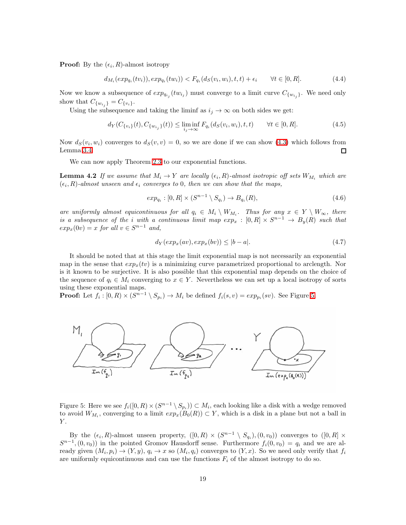**Proof:** By the  $(\epsilon_i, R)$ -almost isotropy

$$
d_{M_i}(exp_{q_i}(tv_i)), exp_{q_i}(tw_i)) < F_{q_i}(d_S(v_i, w_i), t, t) + \epsilon_i \qquad \forall t \in [0, R].
$$
\n(4.4)

Now we know a subsequence of  $exp_{q_{i_j}}(tw_{i_j})$  must converge to a limit curve  $C_{\{w_{i_j}\}}$ . We need only show that  $C_{\{w_{i_j}\}} = C_{\{v_i\}}$ .

Using the subsequence and taking the liminf as  $i_j \to \infty$  on both sides we get:

$$
d_Y(C_{\{v_i\}}(t), C_{\{w_{i_j}\}}(t)) \le \liminf_{i_j \to \infty} F_{q_i}(d_S(v_i, w_i), t, t) \qquad \forall t \in [0, R].
$$
\n(4.5)

Now  $d_S(v_i, w_i)$  converges to  $d_S(v, v) = 0$ , so we are done if we can show [\(4.3\)](#page-17-3) which follows from Lemma [3.4.](#page-16-2)  $\Box$ 

We can now apply Theorem [2.3](#page-14-1) to our exponential functions.

<span id="page-18-1"></span>**Lemma 4.2** If we assume that  $M_i \to Y$  are locally  $(\epsilon_i, R)$ -almost isotropic off sets  $W_{M_i}$  which are  $(\epsilon_i, R)$ -almost unseen and  $\epsilon_i$  converges to 0, then we can show that the maps,

$$
exp_{q_i} : [0, R] \times (S^{n-1} \setminus S_{q_i}) \to B_{q_i}(R), \tag{4.6}
$$

are uniformly almost equicontinuous for all  $q_i \in M_i \setminus W_{M_i}$ . Thus for any  $x \in Y \setminus W_\infty$ , there is a subsequence of the *i* with a continuous limit map  $exp_x : [0, R] \times S^{n-1} \to B_y(R)$  such that  $exp_x(0v) = x$  for all  $v \in S^{n-1}$  and,

$$
d_Y(exp_x(av), exp_x(bv)) \le |b-a|.
$$
\n(4.7)

It should be noted that at this stage the limit exponential map is not necessarily an exponential map in the sense that  $exp_x(tv)$  is a minimizing curve parametrized proportional to arclength. Nor is it known to be surjective. It is also possible that this exponential map depends on the choice of the sequence of  $q_i \in M_i$  converging to  $x \in Y$ . Nevertheless we can set up a local isotropy of sorts using these exponential maps.

**Proof:** Let  $f_i : [0, R) \times (S^{n-1} \setminus S_{p_i}) \to M_i$  be defined  $f_i(s, v) = exp_{p_i}(sv)$ . See Figure [5.](#page-18-0)



<span id="page-18-0"></span>Figure 5: Here we see  $f_i([0,R) \times (S^{n-1} \setminus S_{p_i})) \subset M_i$ , each looking like a disk with a wedge removed to avoid  $W_{M_i}$ , converging to a limit  $exp_x(B_0(R)) \subset Y$ , which is a disk in a plane but not a ball in  $Y$  .

By the  $(\epsilon_i, R)$ -almost unseen property,  $([0, R) \times (S^{n-1} \setminus S_{q_i}), (0, v_0))$  converges to  $([0, R] \times S^{n-1} \setminus S_{q_i})$  $S^{n-1}$ ,  $(0, v_0)$  in the pointed Gromov Hausdorff sense. Furthermore  $f_i(0, v_0) = q_i$  and we are already given  $(M_i, p_i) \to (Y, y), q_i \to x$  so  $(M_i, q_i)$  converges to  $(Y, x)$ . So we need only verify that  $f_i$ are uniformly equicontinuous and can use the functions  $F_i$  of the almost isotropy to do so.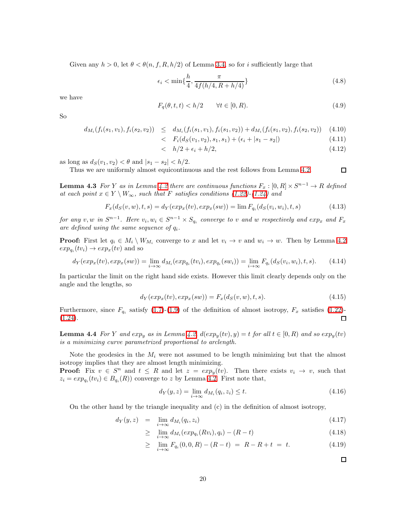Given any  $h > 0$ , let  $\theta < \theta(n, f, R, h/2)$  of Lemma [3.4,](#page-16-2) so for i sufficiently large that

$$
\epsilon_i < \min\{\frac{h}{4}, \frac{\pi}{4f(h/4, R + h/4)}\}\tag{4.8}
$$

we have

$$
F_q(\theta, t, t) < h/2 \qquad \forall t \in [0, R). \tag{4.9}
$$

So

$$
d_{M_i}(f_i(s_1, v_1), f_i(s_2, v_2)) \leq d_{M_i}(f_i(s_1, v_1), f_i(s_1, v_2)) + d_{M_i}(f_i(s_1, v_2), f_i(s_2, v_2)) \quad (4.10)
$$

$$
\langle F_i(d_S(v_1, v_2), s_1, s_1) + (\epsilon_i + |s_1 - s_2|) \tag{4.11}
$$

$$
\langle h/2 + \epsilon_i + h/2, \tag{4.12}
$$

<span id="page-19-0"></span>as long as  $d_S(v_1, v_2) < \theta$  and  $|s_1 - s_2| < h/2$ .

Thus we are uniformly almost equicontinuous and the rest follows from Lemma [4.2.](#page-18-1)

**Lemma 4.3** For Y as in Lemma [4.2](#page-18-1) there are continuous functions  $F_x : [0, R] \times S^{n-1} \to R$  defined at each point  $x \in Y \setminus W_{\infty}$ , such that F satisfies conditions [\(1.22\)](#page-7-0)-[\(1.24\)](#page-7-0) and

$$
F_x(d_S(v, w), t, s) = d_Y(exp_x(tv), exp_x(sw)) = \lim F_{q_i}(d_S(v_i, w_i), t, s)
$$
\n(4.13)

for any v, w in  $S^{n-1}$ . Here  $v_i, w_i \in S^{n-1} \times S_{q_i}$  converge to v and w respectively and  $exp_x$  and  $F_x$ are defined using the same sequence of  $q_i$ .

**Proof:** First let  $q_i \in M_i \setminus W_{M_i}$  converge to x and let  $v_i \to v$  and  $w_i \to w$ . Then by Lemma [4.2](#page-18-1)  $exp_{q_i}(tv_i) \rightarrow exp_x(tv)$  and so

$$
d_Y(exp_x(tv), exp_x(sw)) = \lim_{i \to \infty} d_{M_i}(exp_{q_i}(tv_i), exp_{q_i}(sw_i)) = \lim_{i \to \infty} F_{q_i}(d_S(v_i, w_i), t, s).
$$
 (4.14)

In particular the limit on the right hand side exists. However this limit clearly depends only on the angle and the lengths, so

$$
d_Y(exp_x(tv), exp_x(sw)) = F_x(d_S(v, w), t, s). \tag{4.15}
$$

Furthermore, since  $F_{q_i}$  satisfy [\(1.7\)](#page-1-1)-[\(1.9\)](#page-1-1) of the definition of almost isotropy,  $F_x$  satisfies [\(1.22\)](#page-7-0)-[\(1.24\)](#page-7-0).  $\Box$ 

<span id="page-19-1"></span>**Lemma 4.4** For Y and exp<sub>y</sub> as in Lemma [4.2,](#page-18-1)  $d(exp_y(tv), y) = t$  for all  $t \in [0, R)$  and so  $exp_y(tv)$ is a minimizing curve parametrized proportional to arclength.

Note the geodesics in the  $M_i$  were not assumed to be length minimizing but that the almost isotropy implies that they are almost length minimizing.

**Proof:** Fix  $v \in S^n$  and  $t \leq R$  and let  $z = exp_y(tv)$ . Then there exists  $v_i \to v$ , such that  $z_i = exp_{q_i}(tv_i) \in B_{q_i}(R)$  converge to z by Lemma [4.2.](#page-18-1) First note that,

$$
d_Y(y, z) = \lim_{i \to \infty} d_{M_i}(q_i, z_i) \le t.
$$
\n(4.16)

On the other hand by the triangle inequality and (c) in the definition of almost isotropy,

$$
d_Y(y, z) = \lim_{i \to \infty} d_{M_i}(q_i, z_i) \tag{4.17}
$$

$$
\geq \lim_{i \to \infty} d_{M_i}(exp_{q_i}(Rv_i), q_i) - (R - t) \tag{4.18}
$$

$$
\geq \lim_{i \to \infty} F_{q_i}(0, 0, R) - (R - t) = R - R + t = t. \tag{4.19}
$$

 $\Box$ 

 $\Box$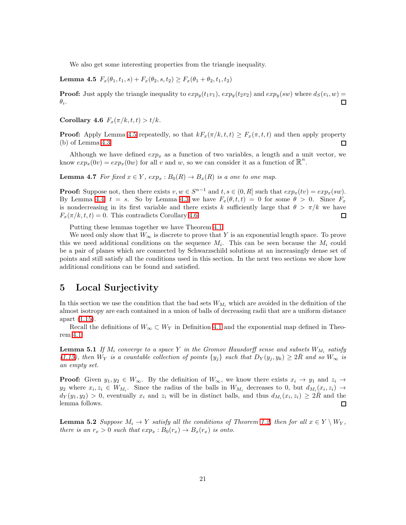We also get some interesting properties from the triangle inequality.

<span id="page-20-2"></span>Lemma 4.5  $F_x(\theta_1, t_1, s) + F_x(\theta_2, s, t_2) \ge F_x(\theta_1 + \theta_2, t_1, t_2)$ 

<span id="page-20-3"></span>**Proof:** Just apply the triangle inequality to  $exp_y(t_1v_1)$ ,  $exp_y(t_2v_2)$  and  $exp_y(sw)$  where  $d_S(v_i, w)$  $\theta_i$ .  $\Box$ 

Corollary 4.6  $F_x(\pi/k, t, t) > t/k$ .

**Proof:** Apply Lemma [4.5](#page-20-2) repeatedly, so that  $kF_x(\pi/k, t, t) \geq F_x(\pi, t, t)$  and then apply property (b) of Lemma 4.3. (b) of Lemma [4.3.](#page-19-0)

Although we have defined  $exp_x$  as a function of two variables, a length and a unit vector, we know  $exp_x(0v) = exp_x(0w)$  for all v and w, so we can consider it as a function of  $\mathbb{R}^n$ .

**Lemma 4.7** For fixed  $x \in Y$ ,  $exp_x : B_0(R) \to B_x(R)$  is a one to one map.

**Proof:** Suppose not, then there exists  $v, w \in S^{n-1}$  and  $t, s \in (0, R]$  such that  $exp_x(tv) = exp_x(sw)$ . By Lemma [4.4,](#page-19-1)  $t = s$ . So by Lemma [4.3](#page-19-0) we have  $F_x(\theta, t, t) = 0$  for some  $\theta > 0$ . Since  $F_x$ is nondecreasing in its first variable and there exists k sufficiently large that  $\theta > \pi/k$  we have  $F_x(\pi/k, t, t) = 0$ . This contradicts Corollary [4.6.](#page-20-3)  $\Box$ 

Putting these lemmas together we have Theorem [4.1.](#page-17-1)

We need only show that  $W_{\infty}$  is discrete to prove that Y is an exponential length space. To prove this we need additional conditions on the sequence  $M_i$ . This can be seen because the  $M_i$  could be a pair of planes which are connected by Schwarzschild solutions at an increasingly dense set of points and still satisfy all the conditions used in this section. In the next two sections we show how additional conditions can be found and satisfied.

# <span id="page-20-0"></span>5 Local Surjectivity

In this section we use the condition that the bad sets  $W_{M_i}$  which are avoided in the definition of the almost isotropy are each contained in a union of balls of decreasing radii that are a uniform distance apart [\(1.15\)](#page-3-4).

<span id="page-20-1"></span>Recall the definitions of  $W_{\infty} \subset W_Y$  in Definition [4.1](#page-17-2) and the exponential map defined in Theorem [4.1.](#page-17-1)

**Lemma 5.1** If  $M_i$  converge to a space Y in the Gromov Hausdorff sense and subsets  $W_{M_i}$  satisfy [\(1.15\)](#page-3-4), then  $W_Y$  is a countable collection of points  $\{y_i\}$  such that  $D_Y(y_j, y_k) \geq 2R$  and so  $W_\infty$  is an empty set.

**Proof:** Given  $y_1, y_2 \in W_\infty$ . By the definition of  $W_\infty$ , we know there exists  $x_i \to y_1$  and  $z_i \to z_2$  $y_2$  where  $x_i, z_i \in W_{M_i}$ . Since the radius of the balls in  $W_{M_i}$  decreases to 0, but  $d_{M_i}(x_i, z_i) \to$  $d_Y(y_1, y_2) > 0$ , eventually  $x_i$  and  $z_i$  will be in distinct balls, and thus  $d_{M_i}(x_i, z_i) \geq 2R$  and the lemma follows.

<span id="page-20-4"></span>**Lemma 5.2** Suppose  $M_i \to Y$  satisfy all the conditions of Theorem [1.2,](#page-5-0) then for all  $x \in Y \setminus W_Y$ , there is an  $r_x > 0$  such that  $exp_x : B_0(r_x) \to B_x(r_x)$  is onto.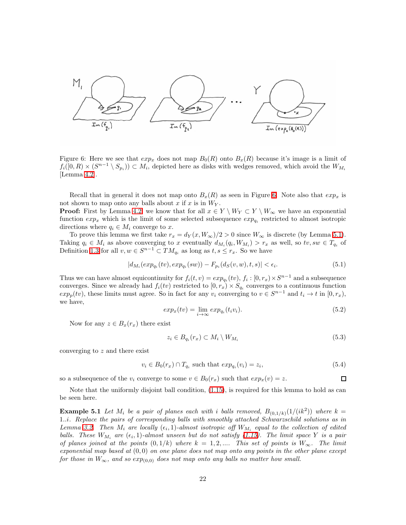

<span id="page-21-0"></span>Figure 6: Here we see that  $exp_x$  does not map  $B_0(R)$  onto  $B_x(R)$  because it's image is a limit of  $f_i([0,R)\times (S^{n-1}\setminus S_{p_i}))\subset M_i$ , depicted here as disks with wedges removed, which avoid the  $W_{M_i}$ [Lemma [4.2\]](#page-18-1).

Recall that in general it does not map onto  $B_x(R)$  as seen in Figure [6.](#page-21-0) Note also that  $exp_x$  is not shown to map onto any balls about  $x$  if  $x$  is in  $W_Y$ .

**Proof:** First by Lemma [4.2,](#page-18-1) we know that for all  $x \in Y \setminus W_Y \subset Y \setminus W_\infty$  we have an exponential function  $exp_x$  which is the limit of some selected subsequence  $exp_{q_i}$  restricted to almost isotropic directions where  $q_i \in M_i$  converge to x.

To prove this lemma we first take  $r_x = d_Y(x, W_\infty)/2 > 0$  since  $W_\infty$  is discrete (by Lemma [5.1\)](#page-20-1). Taking  $q_i \in M_i$  as above converging to x eventually  $d_{M_i}(q_i, W_{M_i}) > r_x$  as well, so  $tv, sw \in T_{q_i}$  of Definition [1.3](#page-1-2) for all  $v, w \in S^{n-1} \subset TM_{q_i}$  as long as  $t, s \leq r_x$ . So we have

$$
|d_{M_i}(exp_{q_i}(tv), exp_{q_i}(sw)) - F_{p_i}(d_S(v, w), t, s)| < \epsilon_i.
$$
\n(5.1)

Thus we can have almost equicontinuity for  $f_i(t, v) = exp_{q_i}(tv)$ ,  $f_i : [0, r_x) \times S^{n-1}$  and a subsequence converges. Since we already had  $f_i(tv)$  restricted to  $[0, r_x) \times S_{q_i}$  converges to a continuous function  $exp_p(tv)$ , these limits must agree. So in fact for any  $v_i$  converging to  $v \in S^{n-1}$  and  $t_i \to t$  in  $[0, r_x)$ , we have,

$$
exp_x(tv) = \lim_{i \to \infty} exp_{q_i}(t_i v_i). \tag{5.2}
$$

Now for any  $z \in B_x(r_x)$  there exist

$$
z_i \in B_{q_i}(r_x) \subset M_i \setminus W_{M_i} \tag{5.3}
$$

 $\Box$ 

converging to z and there exist

$$
v_i \in B_0(r_x) \cap T_{q_i} \text{ such that } exp_{q_i}(v_i) = z_i,
$$
\n
$$
(5.4)
$$

so a subsequence of the  $v_i$  converge to some  $v \in B_0(r_x)$  such that  $exp_x(v) = z$ .

Note that the uniformly disjoint ball condition, [\(1.15\)](#page-3-4), is required for this lemma to hold as can be seen here.

**Example 5.1** Let  $M_i$  be a pair of planes each with i balls removed,  $B_{(0,1/k)}(1/(ik^2))$  where  $k =$ 1..i. Replace the pairs of corresponding balls with smoothly attached Schwarzschild solutions as in Lemma [3.2.](#page-15-0) Then  $M_i$  are locally  $(\epsilon_i, 1)$ -almost isotropic off  $W_{M_i}$  equal to the collection of edited balls. These  $W_{M_i}$  are  $(\epsilon_i, 1)$ -almost unseen but do not satisfy [\(1.15\)](#page-3-4). The limit space Y is a pair of planes joined at the points  $(0, 1/k)$  where  $k = 1, 2, ...$  This set of points is  $W_{\infty}$ . The limit exponential map based at  $(0,0)$  on one plane does not map onto any points in the other plane except for those in  $W_{\infty}$ , and so  $exp_{(0,0)}$  does not map onto any balls no matter how small.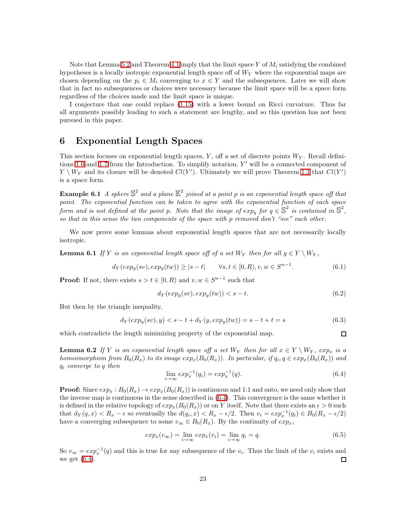Note that Lemma [5.2](#page-20-4) and Theorem [4.1](#page-17-1) imply that the limit space Y of  $M_i$  satisfying the combined hypotheses is a locally isotropic exponential length space off of  $W<sub>Y</sub>$  where the exponential maps are chosen depending on the  $p_i \in M_i$  converging to  $x \in Y$  and the subsequences. Later we will show that in fact no subsequences or choices were necessary because the limit space will be a space form regardless of the choices made and the limit space is unique.

I conjecture that one could replace [\(1.15\)](#page-3-4) with a lower bound on Ricci curvature. Thus far all arguments possibly leading to such a statement are lengthy, and so this question has not been pursued in this paper.

#### <span id="page-22-1"></span>6 Exponential Length Spaces

This section focuses on exponential length spaces,  $Y$ , off a set of discrete points  $W_Y$ . Recall defini-tions [1.6](#page-7-3) and [1.7](#page-7-4) from the Introduction. To simplify notation, Y' will be a connected component of  $Y \setminus W_Y$  and its closure will be denoted  $Cl(Y')$ . Ultimately we will prove Theorem [1.3](#page-7-2) that  $Cl(Y')$ is a space form.

<span id="page-22-0"></span>**Example 6.1** A sphere  $\mathbb{S}^2$  and a plane  $\mathbb{E}^2$  joined at a point p is an exponential length space off that point. The exponential function can be taken to agree with the exponential function of each space form and is not defined at the point p. Note that the image of  $exp_q$  for  $q \in \mathbb{S}^2$  is contained in  $\mathbb{S}^2$ , so that in this sense the two components of the space with  $p$  removed don't "see" each other.

We now prove some lemmas about exponential length spaces that are not necessarily locally isotropic.

**Lemma 6.1** If Y is an exponential length space off of a set  $W_Y$  then for all  $y \in Y \setminus W_Y$ ,

$$
d_Y(exp_y(sv), exp_y(tw)) \ge |s-t| \qquad \forall s, t \in [0, R), v, w \in S^{n-1}.
$$
\n
$$
(6.1)
$$

**Proof:** If not, there exists  $s > t \in [0, R)$  and  $v, w \in S^{n-1}$  such that

$$
d_Y(exp_y(sv), exp_y(tw)) < s - t. \tag{6.2}
$$

But then by the triangle inequality,

$$
d_Y(exp_y(sv), y) < s - t + d_Y(y, exp_y(tw)) = s - t + t = s \tag{6.3}
$$

which contradicts the length minimizing property of the exponential map.

**Lemma 6.2** If Y is an exponential length space off a set  $W_Y$  then for all  $x \in Y \setminus W_Y$ ,  $exp_x$  is a homeomorphism from  $B_0(R_x)$  to its image  $exp_x(B_0(R_x))$ . In particular, if  $q_i, q \in exp_x(B_0(R_x))$  and  $q_i$  converge to q then

<span id="page-22-2"></span>
$$
\lim_{i \to \infty} \exp_x^{-1}(q_i) = \exp_x^{-1}(q). \tag{6.4}
$$

 $\Box$ 

**Proof:** Since  $exp_x : B_0(R_x) \to exp_x(B_0(R_x))$  is continuous and 1:1 and onto, we need only show that the inverse map is continuous in the sense described in [\(6.4\)](#page-22-2). This convergence is the same whether it is defined in the relative topology of  $exp_x(B_0(R_x))$  or on Y itself. Note that there exists an  $\epsilon > 0$  such that  $d_Y(q, x) < R_x - \epsilon$  so eventually the  $d(q_i, x) < R_x - \epsilon/2$ . Then  $v_i = exp_x^{-1}(q_i) \in B_0(R_x - \epsilon/2)$ have a converging subsequence to some  $v_{\infty} \in B_0(R_x)$ . By the continuity of  $exp_x$ ,

$$
exp_x(v_{\infty}) = \lim_{i \to \infty} exp_x(v_i) = \lim_{i \to \infty} q_i = q.
$$
\n(6.5)

So  $v_{\infty} = exp_x^{-1}(q)$  and this is true for any subsequence of the  $v_i$ . Thus the limit of the  $v_i$  exists and we get [\(6.4\)](#page-22-2).  $\Box$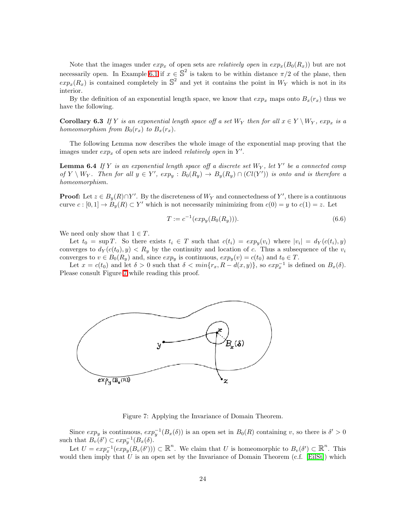Note that the images under  $exp_x$  of open sets are *relatively open* in  $exp_x(B_0(R_x))$  but are not necessarily open. In Example [6.1](#page-22-0) if  $x \in \mathbb{S}^2$  is taken to be within distance  $\pi/2$  of the plane, then  $exp_x(R_x)$  is contained completely in  $\mathbb{S}^2$  and yet it contains the point in  $W_Y$  which is not in its interior.

<span id="page-23-2"></span>By the definition of an exponential length space, we know that  $exp_x$  maps onto  $B_x(r_x)$  thus we have the following.

**Corollary 6.3** If Y is an exponential length space off a set  $W_Y$  then for all  $x \in Y \setminus W_Y$ ,  $exp_x$  is a homeomorphism from  $B_0(r_x)$  to  $B_x(r_x)$ .

<span id="page-23-0"></span>The following Lemma now describes the whole image of the exponential map proving that the images under  $exp_x$  of open sets are indeed *relatively open* in  $Y'$ .

**Lemma 6.4** If Y is an exponential length space off a discrete set  $W_Y$ , let Y' be a connected comp of  $Y \setminus W_Y$ . Then for all  $y \in Y'$ ,  $exp_y : B_0(R_y) \to B_y(R_y) \cap (Cl(Y'))$  is onto and is therefore a homeomorphism.

**Proof:** Let  $z \in B_y(R) \cap Y'$ . By the discreteness of  $W_Y$  and connectedness of Y', there is a continuous curve  $c : [0,1] \to B_y(R) \subset Y'$  which is not necessarily minimizing from  $c(0) = y$  to  $c(1) = z$ . Let

$$
T := c^{-1}(\exp_y(B_0(R_y))). \tag{6.6}
$$

We need only show that  $1 \in T$ .

Let  $t_0 = \sup T$ . So there exists  $t_i \in T$  such that  $c(t_i) = exp_y(v_i)$  where  $|v_i| = d_Y(c(t_i), y)$ converges to  $d_Y(c(t_0), y) < R_y$  by the continuity and location of c. Thus a subsequence of the  $v_i$ converges to  $v \in B_0(R_y)$  and, since  $exp_y$  is continuous,  $exp_y(v) = c(t_0)$  and  $t_0 \in T$ .

Let  $x = c(t_0)$  and let  $\delta > 0$  such that  $\delta < \min\{r_x, R - d(x, y)\}\)$ , so  $exp_x^{-1}$  is defined on  $B_x(\delta)$ . Please consult Figure [7](#page-23-1) while reading this proof.



<span id="page-23-1"></span>Figure 7: Applying the Invariance of Domain Theorem.

Since  $exp_y$  is continuous,  $exp_y^{-1}(B_x(\delta))$  is an open set in  $B_0(R)$  containing v, so there is  $\delta' > 0$ such that  $B_v(\delta') \subset exp_y^{-1}(B_x(\delta)).$ 

Let  $U = exp_x^{-1}(exp_y(B_v(\delta'))) \subset \mathbb{R}^n$ . We claim that U is homeomorphic to  $B_v(\delta') \subset \mathbb{R}^n$ . This would then imply that U is an open set by the Invariance of Domain Theorem  $(c.f.$  [\[EilSt\]](#page-42-12)) which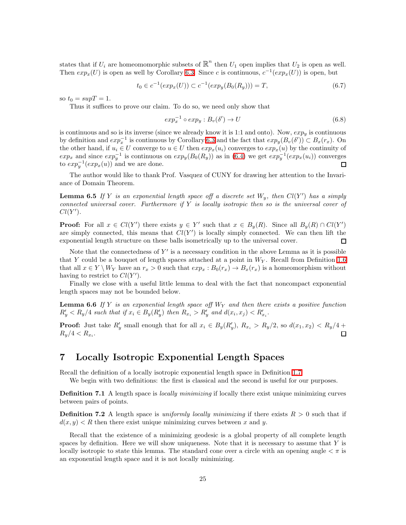states that if  $U_i$  are homeomomorphic subsets of  $\mathbb{R}^n$  then  $U_1$  open implies that  $U_2$  is open as well. Then  $exp_x(U)$  is open as well by Corollary [6.3.](#page-23-2) Since c is continuous,  $c^{-1}(exp_x(U))$  is open, but

$$
t_0 \in c^{-1}(exp_x(U)) \subset c^{-1}(exp_y(B_0(R_y))) = T,
$$
\n(6.7)

so  $t_0 = \sup T = 1$ .

Thus it suffices to prove our claim. To do so, we need only show that

$$
exp_x^{-1} \circ exp_y : B_v(\delta') \to U \tag{6.8}
$$

is continuous and so is its inverse (since we already know it is 1:1 and onto). Now,  $exp_u$  is continuous by definition and  $exp_x^{-1}$  is continuous by Corollary [6.3](#page-23-2) and the fact that  $exp_y(B_v(\delta')) \subset B_x(r_x)$ . On the other hand, if  $u_i \in U$  converge to  $u \in U$  then  $exp_x(u_i)$  converges to  $exp_x(u)$  by the continuity of  $exp_x$  and since  $exp_y^{-1}$  is continuous on  $exp_y(B_0(R_y))$  as in [\(6.4\)](#page-22-2) we get  $exp_y^{-1}(exp_x(u_i))$  converges to  $exp_y^{-1}(exp_x(u))$  and we are done.  $\Box$ 

<span id="page-24-5"></span>The author would like to thank Prof. Vasquez of CUNY for drawing her attention to the Invariance of Domain Theorem.

**Lemma 6.5** If Y is an exponential length space off a discrete set  $W_y$ , then  $Cl(Y')$  has a simply connected universal cover. Furthermore if  $Y$  is locally isotropic then so is the universal cover of  $Cl(Y')$ .

**Proof:** For all  $x \in Cl(Y')$  there exists  $y \in Y'$  such that  $x \in B_y(R)$ . Since all  $B_y(R) \cap Cl(Y')$ are simply connected, this means that  $Cl(Y')$  is locally simply connected. We can then lift the exponential length structure on these balls isometrically up to the universal cover. □

Note that the connectedness of  $Y'$  is a necessary condition in the above Lemma as it is possible that Y could be a bouquet of length spaces attached at a point in  $W_Y$ . Recall from Definition [1.6](#page-7-3) that all  $x \in Y \setminus W_Y$  have an  $r_x > 0$  such that  $exp_x : B_0(r_x) \to B_x(r_x)$  is a homeomorphism without having to restrict to  $Cl(Y')$ .

<span id="page-24-3"></span>Finally we close with a useful little lemma to deal with the fact that noncompact exponential length spaces may not be bounded below.

**Lemma 6.6** If Y is an exponential length space off  $W_Y$  and then there exists a positive function  $R'_y < R_y/4$  such that if  $x_i \in B_y(R'_y)$  then  $R_{x_i} > R'_y$  and  $d(x_i, x_j) < R'_{x_i}$ .

**Proof:** Just take  $R'_y$  small enough that for all  $x_i \in B_y(R'_y)$ ,  $R_{x_i} > R_y/2$ , so  $d(x_1, x_2) < R_y/4 +$  $R_{y}/4 < R_{x_{i}}.$ 

### <span id="page-24-0"></span>7 Locally Isotropic Exponential Length Spaces

<span id="page-24-4"></span>Recall the definition of a locally isotropic exponential length space in Definition [1.7.](#page-7-4)

We begin with two definitions: the first is classical and the second is useful for our purposes.

**Definition 7.1** A length space is *locally minimizing* if locally there exist unique minimizing curves between pairs of points.

<span id="page-24-1"></span>**Definition 7.2** A length space is uniformly locally minimizing if there exists  $R > 0$  such that if  $d(x, y) < R$  then there exist unique minimizing curves between x and y.

<span id="page-24-2"></span>Recall that the existence of a minimizing geodesic is a global property of all complete length spaces by definition. Here we will show uniqueness. Note that it is necessary to assume that  $Y$  is locally isotropic to state this lemma. The standard cone over a circle with an opening angle  $\lt \pi$  is an exponential length space and it is not locally minimizing.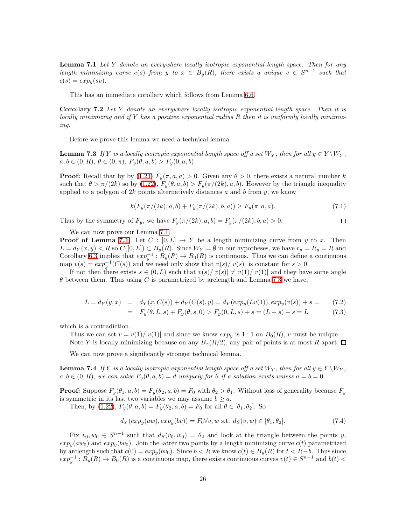**Lemma 7.1** Let Y denote an everywhere locally isotropic exponential length space. Then for any length minimizing curve  $c(s)$  from y to  $x \in B_y(R)$ , there exists a unique  $v \in S^{n-1}$  such that  $c(s) = exp<sub>u</sub>(sv).$ 

This has an immediate corollary which follows from Lemma [6.6.](#page-24-3)

Corollary 7.2 Let Y denote an everywhere locally isotropic exponential length space. Then it is locally minimizing and if Y has a positive exponential radius R then it is uniformly locally minimizing.

Before we prove this lemma we need a technical lemma.

<span id="page-25-1"></span>**Lemma 7.3** If Y is a locally isotropic exponential length space off a set  $W_Y$ , then for all  $y \in Y \setminus W_Y$ ,  $a, b \in (0, R), \theta \in (0, \pi), F_u(\theta, a, b) > F_u(0, a, b).$ 

**Proof:** Recall that by by [\(1.23\)](#page-7-0)  $F_y(\pi, a, a) > 0$ . Given any  $\theta > 0$ , there exists a natural number k such that  $\theta > \pi/(2k)$  so by  $(1.22)$ ,  $F_y(\theta, a, b) > F_y(\pi/(2k), a, b)$ . However by the triangle inequality applied to a polygon of  $2k$  points alternatively distances a and b from y, we know

$$
k(F_y(\pi/(2k), a, b) + F_y(\pi/(2k), b, a)) \ge F_y(\pi, a, a). \tag{7.1}
$$

 $\Box$ 

Thus by the symmetry of  $F_y$ , we have  $F_y(\pi/(2k), a, b) = F_y(\pi/(2k), b, a) > 0$ .

We can now prove our Lemma [7.1.](#page-24-2)

**Proof of Lemma [7.1:](#page-24-2)** Let  $C : [0, L] \rightarrow Y$  be a length minimizing curve from y to x. Then  $L = d_Y(x, y) < R$  so  $C([0, L]) \subset B_y(R)$ . Since  $W_Y = \emptyset$  in our hypotheses, we have  $r_y = R_y = R$  and Corollary [6.3](#page-23-2) implies that  $exp^{-1}: B_y(R) \to B_0(R)$  is continuous. Thus we can define a continuous map  $v(s) = exp_y^{-1}(C(s))$  and we need only show that  $v(s)/|v(s)|$  is constant for  $s > 0$ .

If not then there exists  $s \in (0, L)$  such that  $v(s)/|v(s)| \neq v(1)/|v(1)|$  and they have some angle  $\theta$  between them. Thus using C is parametrized by arclength and Lemma [7.3](#page-25-1) we have,

$$
L = d_Y(y, x) = d_Y(x, C(s)) + d_Y(C(s), y) = d_Y(exp_y(Lv(1)), exp_y(v(s)) + s = (7.2)
$$

$$
= F_y(\theta, L, s) + F_y(\theta, s, 0) > F_y(0, L, s) + s = (L - s) + s = L \tag{7.3}
$$

which is a contradiction.

Thus we can set  $v = v(1)/|v(1)|$  and since we know  $exp_y$  is 1 : 1 on  $B_0(R)$ , v must be unique. Note Y is locally minimizing because on any  $B_x(R/2)$ , any pair of points is at most R apart.  $\Box$ 

We can now prove a significantly stronger technical lemma.

<span id="page-25-0"></span>**Lemma 7.4** If Y is a locally isotropic exponential length space off a set  $W_Y$ , then for all  $y \in Y \setminus W_Y$ ,  $a, b \in (0, R)$ , we can solve  $F_y(\theta, a, b) = d$  uniquely for  $\theta$  if a solution exists unless  $a = b = 0$ .

**Proof:** Suppose  $F_y(\theta_1, a, b) = F_y(\theta_2, a, b) = F_0$  with  $\theta_2 > \theta_1$ . Without loss of generality because  $F_y$ is symmetric in its last two variables we may assume  $b \geq a$ .

<span id="page-25-2"></span>Then, by [\(1.22\)](#page-7-0),  $F_y(\theta, a, b) = F_y(\theta_2, a, b) = F_0$  for all  $\theta \in [\theta_1, \theta_2]$ . So

$$
d_Y(exp_y(aw), exp_y(bv)) = F_0 \forall v, w \text{ s.t. } d_S(v, w) \in [\theta_1, \theta_2].
$$
\n(7.4)

Fix  $v_0, w_0 \in S^{n-1}$  such that  $d_S(v_0, w_0) = \theta_2$  and look at the triangle between the points y,  $exp_y(aw_0)$  and  $exp_y(bv_0)$ . Join the latter two points by a length minimizing curve  $c(t)$  parametrized by arclength such that  $c(0) = exp_y(bv_0)$ . Since  $b < R$  we know  $c(t) \in B_y(R)$  for  $t < R-b$ . Thus since  $exp_y^{-1}: B_y(R) \to B_0(R)$  is a continuous map, there exists continuous curves  $v(t) \in S^{n-1}$  and  $b(t)$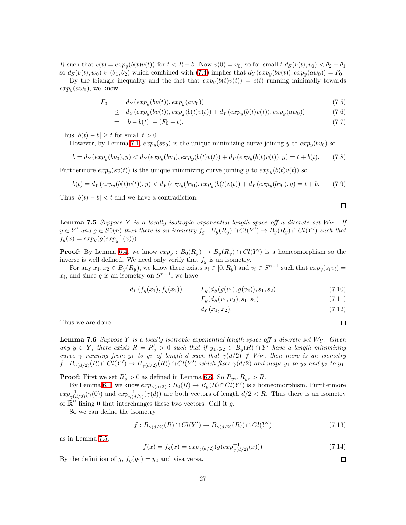R such that  $c(t) = exp<sub>w</sub>(b(t)v(t))$  for  $t < R-b$ . Now  $v(0) = v<sub>0</sub>$ , so for small  $t \, d<sub>S</sub>(v(t), v<sub>0</sub>) < \theta<sub>2</sub> - \theta<sub>1</sub>$ so  $d_S(v(t), w_0) \in (\theta_1, \theta_2)$  which combined with [\(7.4\)](#page-25-2) implies that  $d_Y(exp_u(bv(t)), exp_u(aw_0)) = F_0$ .

By the triangle inequality and the fact that  $exp_u(b(t)v(t)) = c(t)$  running minimally towards  $exp_u(aw_0)$ , we know

$$
F_0 = d_Y(exp_y(bv(t)), exp_y(aw_0))
$$
\n
$$
(7.5)
$$

$$
\leq d_Y(\exp_y(bv(t)), \exp_y(b(t)v(t)) + d_Y(\exp_y(b(t)v(t)), \exp_y(aw_0)) \tag{7.6}
$$

$$
= |b - b(t)| + (F_0 - t). \tag{7.7}
$$

Thus  $|b(t) - b| \ge t$  for small  $t > 0$ .

However, by Lemma [7.1,](#page-24-2)  $exp_u(sv_0)$  is the unique minimizing curve joining y to  $exp_u(bv_0)$  so

$$
b = d_Y(exp_y(bv_0), y) < d_Y(exp_y(bv_0), exp_y(b(t)v(t)) + d_Y(exp_y(b(t)v(t)), y) = t + b(t). \tag{7.8}
$$

Furthermore  $exp_y(sv(t))$  is the unique minimizing curve joining y to  $exp_y(b(t)v(t))$  so

$$
b(t) = d_Y(exp_y(b(t)v(t)), y) < d_Y(exp_y(bv_0), exp_y(b(t)v(t)) + d_Y(exp_y(bv_0), y) = t + b. \tag{7.9}
$$

<span id="page-26-0"></span>Thus  $|b(t) - b| < t$  and we have a contradiction.

**Lemma 7.5** Suppose Y is a locally isotropic exponential length space off a discrete set  $W_Y$ . If  $y \in Y'$  and  $g \in S0(n)$  then there is an isometry  $f_g : B_y(R_y) \cap Cl(Y') \to B_y(R_y) \cap Cl(Y')$  such that  $f_g(x) = exp_y(g(exp_y^{-1}(x))).$ 

**Proof:** By Lemma [6.4,](#page-23-0) we know  $exp_y : B_0(R_y) \to B_y(R_y) \cap Cl(Y')$  is a homeomorphism so the inverse is well defined. We need only verify that  $f<sub>g</sub>$  is an isometry.

For any  $x_1, x_2 \in B_y(R_y)$ , we know there exists  $s_i \in [0, R_y)$  and  $v_i \in S^{n-1}$  such that  $exp_y(s_i v_i)$  $x_i$ , and since g is an isometry on  $S^{n-1}$ , we have

$$
d_Y(f_g(x_1), f_g(x_2)) = F_y(d_S(g(v_1), g(v_2)), s_1, s_2)
$$
\n(7.10)

$$
= F_y(d_S(v_1, v_2), s_1, s_2) \tag{7.11}
$$

$$
= d_Y(x_1, x_2). \t\t(7.12)
$$

<span id="page-26-1"></span>Thus we are done.

**Lemma 7.6** Suppose Y is a locally isotropic exponential length space off a discrete set  $W_Y$ . Given any  $y \in Y$ , there exists  $R = R'_y > 0$  such that if  $y_1, y_2 \in B_y(R) \cap Y'$  have a length minimizing curve  $\gamma$  running from  $y_1$  to  $y_2$  of length d such that  $\gamma(d/2) \notin W_Y$ , then there is an isometry  $f: B_{\gamma(d/2)}(R) \cap Cl(Y') \to B_{\gamma(d/2)}(R)) \cap Cl(Y')$  which fixes  $\gamma(d/2)$  and maps  $y_1$  to  $y_2$  and  $y_2$  to  $y_1$ .

**Proof:** First we set  $R'_y > 0$  as defined in Lemma [6.6.](#page-24-3) So  $R_{y_1}, R_{y_2} > R$ .

By Lemma [6.4,](#page-23-0) we know  $exp_{\gamma(d/2)}: B_0(R) \to B_y(R) \cap Cl(Y')$  is a homeomorphism. Furthermore  $\exp_{\gamma(d/2)}^{-1}(\gamma(0))$  and  $\exp_{\gamma(d/2)}^{-1}(\gamma(d))$  are both vectors of length  $d/2 < R$ . Thus there is an isometry of  $\mathbb{R}^n$  fixing 0 that interchanges these two vectors. Call it g.

So we can define the isometry

$$
f: B_{\gamma(d/2)}(R) \cap Cl(Y') \to B_{\gamma(d/2)}(R)) \cap Cl(Y')
$$
\n
$$
(7.13)
$$

as in Lemma [7.5,](#page-26-0)

$$
f(x) = f_g(x) = exp_{\gamma(d/2)}(g(exp_{\gamma(d/2)}^{-1}(x)))
$$
\n(7.14)

By the definition of g,  $f_g(y_1) = y_2$  and visa versa.

 $\Box$ 

 $\Box$ 

 $\Box$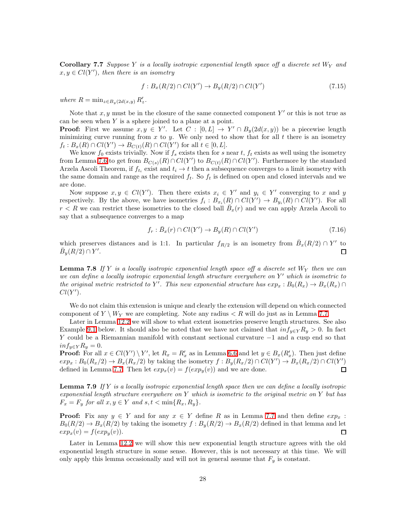<span id="page-27-0"></span>**Corollary 7.7** Suppose Y is a locally isotropic exponential length space off a discrete set  $W_Y$  and  $x, y \in Cl(Y')$ , then there is an isometry

$$
f: B_x(R/2) \cap Cl(Y') \to B_y(R/2) \cap Cl(Y') \tag{7.15}
$$

where  $R = \min_{z \in B_y(2d(x,y))} R'_z$ .

Note that  $x, y$  must be in the closure of the same connected component Y' or this is not true as can be seen when  $Y$  is a sphere joined to a plane at a point.

**Proof:** First we assume  $x, y \in Y'$ . Let  $C : [0, L] \to Y' \cap B_y(2d(x, y))$  be a piecewise length minimizing curve running from  $x$  to  $y$ . We only need to show that for all  $t$  there is an isometry  $f_t: B_x(R) \cap Cl(Y') \to B_{C(t)}(R) \cap Cl(Y')$  for all  $t \in [0, L]$ .

We know  $f_0$  exists trivially. Now if  $f_s$  exists then for s near t,  $f_t$  exists as well using the isometry from Lemma [7.6](#page-26-1) to get from  $B_{C(s)}(R) \cap Cl(Y')$  to  $B_{C(t)}(R) \cap Cl(Y')$ . Furthermore by the standard Arzela Ascoli Theorem, if  $f_{t_i}$  exist and  $t_i \to t$  then a subsequence converges to a limit isometry with the same domain and range as the required  $f_t$ . So  $f_t$  is defined on open and closed intervals and we are done.

Now suppose  $x, y \in Cl(Y')$ . Then there exists  $x_i \in Y'$  and  $y_i \in Y'$  converging to x and y respectively. By the above, we have isometries  $f_i : B_{x_i}(R) \cap Cl(Y') \to B_{y_i}(R) \cap Cl(Y')$ . For all  $r < R$  we can restrict these isometries to the closed ball  $\overline{B}_x(r)$  and we can apply Arzela Ascoli to say that a subsequence converges to a map

$$
f_r: \bar{B}_x(r) \cap Cl(Y') \to B_y(R) \cap Cl(Y') \tag{7.16}
$$

which preserves distances and is 1:1. In particular  $f_{R/2}$  is an isometry from  $\bar{B}_x(R/2) \cap Y'$  to  $\bar{B}_y(R/2) \cap Y'.$  $\Box$ 

<span id="page-27-1"></span>**Lemma 7.8** If Y is a locally isotropic exponential length space off a discrete set  $W_Y$  then we can we can define a locally isotropic exponential length structure everywhere on  $Y'$  which is isometric to the original metric restricted to Y'. This new exponential structure has  $exp_x : B_0(R_x) \to B_x(R_x) \cap$  $Cl(Y')$ .

We do not claim this extension is unique and clearly the extension will depend on which connected component of  $Y \setminus W_Y$  we are completing. Note any radius  $\lt R$  will do just as in Lemma [7.7.](#page-27-0)

Later in Lemma [12.2](#page-38-2) we will show to what extent isometries preserve length structures. See also Example [9.1](#page-30-1) below. It should also be noted that we have not claimed that  $inf_{y \in Y} R_y > 0$ . In fact Y could be a Riemannian manifold with constant sectional curvature −1 and a cusp end so that  $inf_{y\in Y} R_y = 0.$ 

**Proof:** For all  $x \in Cl(Y') \setminus Y'$ , let  $R_x = R'_x$  as in Lemma [6.6](#page-24-3) and let  $y \in B_x(R'_x)$ . Then just define  $exp_x: B_0(R_x/2) \to B_x(R_x/2)$  by taking the isometry  $f: B_y(R_x/2) \cap Cl(Y') \to B_x(R_x/2) \cap Cl(Y')$ defined in Lemma [7.7.](#page-27-0) Then let  $exp_x(v) = f(exp_y(v))$  and we are done.

<span id="page-27-2"></span>**Lemma 7.9** If Y is a locally isotropic exponential length space then we can define a locally isotropic exponential length structure everywhere on Y which is isometric to the original metric on Y but has  $F_x = F_y$  for all  $x, y \in Y$  and  $s, t < \min\{R_x, R_y\}.$ 

**Proof:** Fix any  $y \in Y$  and for any  $x \in Y$  define R as in Lemma [7.7](#page-27-0) and then define  $exp_x$ :  $B_0(R/2) \to B_x(R/2)$  by taking the isometry  $f : B_y(R/2) \to B_x(R/2)$  defined in that lemma and let  $exp_x(v) = f(exp_u(v))$ .  $exp_x(v) = f(exp_u(v)).$ 

Later in Lemma [12.2](#page-38-2) we will show this new exponential length structure agrees with the old exponential length structure in some sense. However, this is not necessary at this time. We will only apply this lemma occasionally and will not in general assume that  $F_y$  is constant.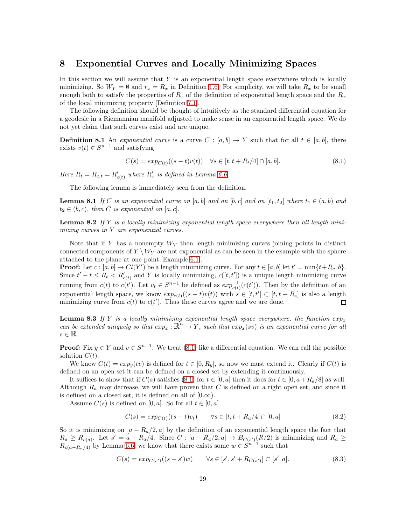#### <span id="page-28-0"></span>8 Exponential Curves and Locally Minimizing Spaces

In this section we will assume that  $Y$  is an exponential length space everywhere which is locally minimizing. So  $W_Y = \emptyset$  and  $r_x = R_x$  in Definition [1.6.](#page-7-3) For simplicity, we will take  $R_x$  to be small enough both to satisfy the properties of  $R_x$  of the definition of exponential length space and the  $R_x$ of the local minimizing property [Definition [7.1\]](#page-24-4).

The following definition should be thought of intuitively as the standard differential equation for a geodesic in a Riemannian manifold adjusted to make sense in an exponential length space. We do not yet claim that such curves exist and are unique.

<span id="page-28-1"></span>**Definition 8.1** An exponential curve is a curve C :  $[a, b] \rightarrow Y$  such that for all  $t \in [a, b]$ , there exists  $v(t) \in S^{n-1}$  and satisfying

$$
C(s) = exp_{C(t)}((s-t)v(t)) \quad \forall s \in [t, t + R_t/4] \cap [a, b].
$$
\n(8.1)

<span id="page-28-4"></span>Here  $R_t = R_{c,t} = R'_{c(t)}$  where  $R'_x$  is defined in Lemma [6.6.](#page-24-3)

The following lemma is immediately seen from the definition.

<span id="page-28-6"></span>**Lemma 8.1** If C is an exponential curve on [a, b] and on [b, c] and on [t<sub>1</sub>, t<sub>2</sub>] where  $t_1 \in (a, b)$  and  $t_2 \in (b, c)$ , then C is exponential on  $[a, c]$ .

<span id="page-28-3"></span>**Lemma 8.2** If Y is a locally minimizing exponential length space everywhere then all length minimizing curves in Y are exponential curves.

Note that if Y has a nonempty  $W_Y$  then length minimizing curves joining points in distinct connected components of  $Y \setminus W_Y$  are not exponential as can be seen in the example with the sphere attached to the plane at one point [Example [6.1\]](#page-22-0).

**Proof:** Let  $c : [a, b] \to Cl(Y')$  be a length minimizing curve. For any  $t \in [a, b]$  let  $t' = \min\{t + R_c, b\}$ . Since  $t' - t \le R_b < R'_{c(t)}$  and Y is locally minimizing,  $c([t, t'])$  is a unique length minimizing curve running from  $c(t)$  to  $c(t')$ . Let  $v_t \in S^{n-1}$  be defined as  $exp_{c(t)}^{-1}(c(t'))$ . Then by the definition of an exponential length space, we know  $exp_{c(t)}((s-t)v(t))$  with  $s \in [t, t'] \subset [t, t + R_c]$  is also a length minimizing curve from  $c(t)$  to  $c(t')$ . Thus these curves agree and we are done.

<span id="page-28-2"></span>**Lemma 8.3** If Y is a locally minimizing exponential length space everywhere, the function  $exp_x$ can be extended uniquely so that  $exp_x : \mathbb{R}^n \to Y$ , such that  $exp_x(sv)$  is an exponential curve for all  $s \in \mathbb{R}$ .

**Proof:** Fix  $y \in Y$  and  $v \in S^{n-1}$ . We treat [\(8.1\)](#page-28-4) like a differential equation. We can call the possible solution  $C(t)$ .

We know  $C(t) = exp_y(tv)$  is defined for  $t \in [0, R_y]$ , so now we must extend it. Clearly if  $C(t)$  is defined on an open set it can be defined on a closed set by extending it continuously.

It suffices to show that if  $C(s)$  satisfies [\(8.1\)](#page-28-4) for  $t \in [0, a]$  then it does for  $t \in [0, a + R_a/8]$  as well. Although  $R_a$  may decrease, we will have proven that C is defined on a right open set, and since it is defined on a closed set, it is defined on all of  $[0.\infty)$ .

<span id="page-28-5"></span>Assume  $C(s)$  is defined on [0, a]. So for all  $t \in [0, a]$ 

$$
C(s) = exp_{C(t)}((s-t)v_t) \qquad \forall s \in [t, t + R_a/4] \cap [0, a]
$$
\n(8.2)

So it is minimizing on  $[a - R_a/2, a]$  by the definition of an exponential length space the fact that  $R_a \ge R_{c(a)}$ . Let  $s' = a - R_a/4$ . Since  $C : [a - R_a/2, a] \rightarrow B_{C(s')}(R/2)$  is minimizing and  $R_a \ge$  $R_{c(a-R_a/4)}$  by Lemma [6.6,](#page-24-3) we know that there exists some  $w \in S^{n-1}$  such that

$$
C(s) = exp_{C(s')}((s - s')w) \qquad \forall s \in [s', s' + R_{C(s')}] \subset [s', a].
$$
\n(8.3)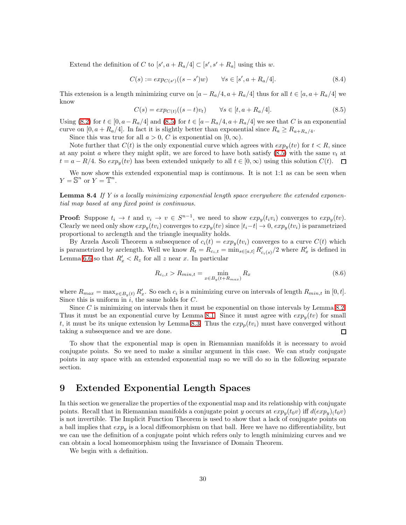Extend the definition of C to  $[s', a + R_a/4] \subset [s', s' + R_a]$  using this w.

$$
C(s) := exp_{C(s')}((s - s')w) \qquad \forall s \in [s', a + R_a/4].
$$
\n(8.4)

This extension is a length minimizing curve on  $[a - R_a/4, a + R_a/4]$  thus for all  $t \in [a, a + R_a/4]$  we know

$$
C(s) = exp_{C(t)}((s-t)v_t) \qquad \forall s \in [t, a + R_a/4]. \tag{8.5}
$$

<span id="page-29-3"></span>Using [\(8.2\)](#page-28-5) for  $t \in [0, a - R_a/4]$  and [\(8.5\)](#page-29-3) for  $t \in [a - R_a/4, a + R_a/4]$  we see that C is an exponential curve on  $[0, a + R_a/4]$ . In fact it is slightly better than exponential since  $R_a \geq R_{a+R_a/4}$ .

Since this was true for all  $a > 0$ , C is exponential on  $[0, \infty)$ .

Note further that  $C(t)$  is the only exponential curve which agrees with  $exp_u(tv)$  for  $t < R$ , since at any point a where they might split, we are forced to have both satisfy  $(8.5)$  with the same  $v_t$  at  $t = a - R/4$ . So  $exp<sub>y</sub>(tv)$  has been extended uniquely to all  $t \in [0, \infty)$  using this solution  $C(t)$ .  $\Box$ 

<span id="page-29-1"></span>We now show this extended exponential map is continuous. It is not 1:1 as can be seen when  $Y = \mathbb{S}^n$  or  $Y = \mathbb{T}^n$ .

**Lemma 8.4** If Y is a locally minimizing exponential length space everywhere the extended exponential map based at any fixed point is continuous.

**Proof:** Suppose  $t_i \to t$  and  $v_i \to v \in S^{n-1}$ , we need to show  $exp_y(t_i v_i)$  converges to  $exp_y(tv)$ . Clearly we need only show  $exp_y(tv_i)$  converges to  $exp_y(tv)$  since  $|t_i-t| \to 0$ ,  $exp_y(tv_i)$  is parametrized proportional to arclength and the triangle inequality holds.

By Arzela Ascoli Theorem a subsequence of  $c_i(t) = exp_u(tv_i)$  converges to a curve  $C(t)$  which is parametrized by arclength. Well we know  $R_t = R_{c_i,t} = \min_{s \in [a,t]} R'_{c_i(s)} / 2$  where  $R'_x$  is defined in Lemma [6.6](#page-24-3) so that  $R'_x < R_z$  for all z near x. In particular

$$
R_{c_i,t} > R_{min,t} = \min_{x \in B_y(t + R_{max})} R_x
$$
\n(8.6)

where  $R_{max} = \max_{x \in B_y(t)} R'_x$ . So each  $c_i$  is a minimizing curve on intervals of length  $R_{min,t}$  in [0, t]. Since this is uniform in  $i$ , the same holds for  $C$ .

Since  $C$  is minimizing on intervals then it must be exponential on those intervals by Lemma [8.2.](#page-28-3) Thus it must be an exponential curve by Lemma [8.1.](#page-28-6) Since it must agree with  $exp_u(tv)$  for small t, it must be its unique extension by Lemma [8.3.](#page-28-2) Thus the  $exp_p(tv_i)$  must have converged without taking a subsequence and we are done.  $\Box$ 

To show that the exponential map is open in Riemannian manifolds it is necessary to avoid conjugate points. So we need to make a similar argument in this case. We can study conjugate points in any space with an extended exponential map so we will do so in the following separate section.

#### <span id="page-29-2"></span>9 Extended Exponential Length Spaces

In this section we generalize the properties of the exponential map and its relationship with conjugate points. Recall that in Riemannian manifolds a conjugate point y occurs at  $exp_y(t_0v)$  iff  $d(exp_y)(t_0v)$ is not invertible. The Implicit Function Theorem is used to show that a lack of conjugate points on a ball implies that  $exp_u$  is a local diffeomorphism on that ball. Here we have no differentiability, but we can use the definition of a conjugate point which refers only to length minimizing curves and we can obtain a local homeomorphism using the Invariance of Domain Theorem.

<span id="page-29-0"></span>We begin with a definition.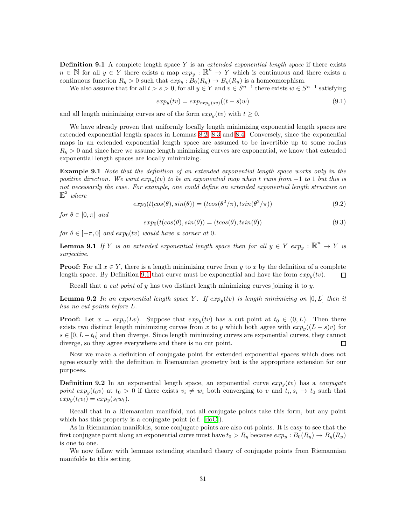**Definition 9.1** A complete length space Y is an *extended exponential length space* if there exists  $n \in \mathbb{N}$  for all  $y \in Y$  there exists a map  $exp_y : \mathbb{R}^n \to Y$  which is continuous and there exists a continuous function  $R_y > 0$  such that  $exp_y : B_0(R_y) \to B_y(R_y)$  is a homeomorphism.

We also assume that for all  $t > s > 0$ , for all  $y \in Y$  and  $v \in S^{n-1}$  there exists  $w \in S^{n-1}$  satisfying

$$
expy(tv) = expexpy(sv)((t - s)w)
$$
\n(9.1)

and all length minimizing curves are of the form  $exp<sub>y</sub>(tv)$  with  $t \geq 0$ .

We have already proven that uniformly locally length minimizing exponential length spaces are extended exponential length spaces in Lemmas [8.2,](#page-28-3) [8.3](#page-28-2) and [8.4.](#page-29-1) Conversely, since the exponential maps in an extended exponential length space are assumed to be invertible up to some radius  $R_y > 0$  and since here we assume length minimizing curves are exponential, we know that extended exponential length spaces are locally minimizing.

<span id="page-30-1"></span>**Example 9.1** Note that the definition of an extended exponential length space works only in the positive direction. We want  $exp_u(tv)$  to be an exponential map when t runs from -1 to 1 but this is not necessarily the case. For example, one could define an extended exponential length structure on  $\mathbb{E}^2$  where

$$
exp_0(t(cos(\theta), sin(\theta)) = (t cos(\theta^2/\pi), t sin(\theta^2/\pi))
$$
\n(9.2)

for  $\theta \in [0, \pi]$  and

$$
exp_0(t(cos(\theta), sin(\theta)) = (t cos(\theta), t sin(\theta))
$$
\n(9.3)

<span id="page-30-2"></span>for  $\theta \in [-\pi, 0]$  and  $exp_0(tv)$  would have a corner at 0.

**Lemma 9.1** If Y is an extended exponential length space then for all  $y \in Y$   $exp_y : \mathbb{R}^n \to Y$  is surjective.

**Proof:** For all  $x \in Y$ , there is a length minimizing curve from y to x by the definition of a complete length space. By Definition 9.1 that curve must be exponential and have the form  $exp_u(tv)$ . length space. By Definition [9.1](#page-29-0) that curve must be exponential and have the form  $exp_u(tv)$ .

Recall that a *cut point* of  $y$  has two distinct length minimizing curves joining it to  $y$ .

<span id="page-30-3"></span>**Lemma 9.2** In an exponential length space Y. If  $exp_u(tv)$  is length minimizing on [0, L] then it has no cut points before L.

**Proof:** Let  $x = exp<sub>y</sub>(Lv)$ . Suppose that  $exp<sub>y</sub>(tv)$  has a cut point at  $t<sub>0</sub> \in (0, L)$ . Then there exists two distinct length minimizing curves from x to y which both agree with  $exp_y((L-s)y)$  for  $s \in [0, L - t_0]$  and then diverge. Since length minimizing curves are exponential curves, they cannot diverge, so they agree everywhere and there is no cut point. diverge, so they agree everywhere and there is no cut point.

Now we make a definition of conjugate point for extended exponential spaces which does not agree exactly with the definition in Riemannian geometry but is the appropriate extension for our purposes.

<span id="page-30-0"></span>**Definition 9.2** In an exponential length space, an exponential curve  $exp<sub>w</sub>(tv)$  has a conjugate point  $exp_y(t_0v)$  at  $t_0 > 0$  if there exists  $v_i \neq w_i$  both converging to v and  $t_i, s_i \to t_0$  such that  $exp<sub>u</sub>(t<sub>i</sub>v<sub>i</sub>) = exp<sub>u</sub>(s<sub>i</sub>w<sub>i</sub>).$ 

Recall that in a Riemannian manifold, not all conjugate points take this form, but any point which has this property is a conjugate point (c.f. [\[doC\]](#page-42-15)).

As in Riemannian manifolds, some conjugate points are also cut points. It is easy to see that the first conjugate point along an exponential curve must have  $t_0 > R_y$  because  $exp_y : B_0(R_y) \to B_y(R_y)$ is one to one.

<span id="page-30-4"></span>We now follow with lemmas extending standard theory of conjugate points from Riemannian manifolds to this setting.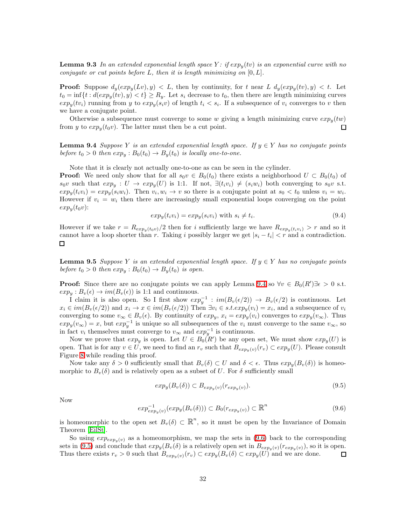**Lemma 9.3** In an extended exponential length space Y: if  $exp_u(tv)$  is an exponential curve with no conjugate or cut points before  $L$ , then it is length minimizing on  $[0, L]$ .

**Proof:** Suppose  $d_y(exp_y(Lv), y) < L$ , then by continuity, for t near L  $d_y(exp_y(tv), y) < t$ . Let  $t_0 = \inf\{t : d(exp_y(tv), y) < t\} \ge R_y$ . Let  $s_i$  decrease to  $t_0$ , then there are length minimizing curves  $exp_y(tv_i)$  running from y to  $exp_y(s_i v)$  of length  $t_i < s_i$ . If a subsequence of  $v_i$  converges to v then we have a conjugate point.

<span id="page-31-0"></span>Otherwise a subsequence must converge to some w giving a length minimizing curve  $exp_u(tw)$ from y to  $exp_u(t_0v)$ . The latter must then be a cut point.  $\Box$ 

**Lemma 9.4** Suppose Y is an extended exponential length space. If  $y \in Y$  has no conjugate points before  $t_0 > 0$  then  $exp_y : B_0(t_0) \rightarrow B_y(t_0)$  is locally one-to-one.

Note that it is clearly not actually one-to-one as can be seen in the cylinder.

**Proof:** We need only show that for all  $s_0v \in B_0(t_0)$  there exists a neighborhood  $U \subset B_0(t_0)$  of  $s_0v$  such that  $exp_y: U \to exp_y(U)$  is 1:1. If not,  $\exists (t_iv_i) \neq (s_iw_i)$  both converging to  $s_0v$  s.t.  $exp_y(t_i v_i) = exp_y(s_i w_i)$ . Then  $v_i, w_i \to v$  so there is a conjugate point at  $s_0 < t_0$  unless  $v_i = w_i$ . However if  $v_i = w_i$  then there are increasingly small exponential loops converging on the point  $exp<sub>y</sub>(t<sub>0</sub>v)$ :

$$
expy(tivi) = expy(sivi)
$$
 with  $si \neq ti$ . (9.4)

However if we take  $r = R_{exp_y(t_0 v)}/2$  then for i sufficiently large we have  $R_{exp_y(t_i v_i)} > r$  and so it cannot have a loop shorter than r. Taking i possibly larger we get  $|s_i - t_i| < r$  and a contradiction.

<span id="page-31-3"></span>**Lemma 9.5** Suppose Y is an extended exponential length space. If  $y \in Y$  has no conjugate points before  $t_0 > 0$  then  $exp_y : B_0(t_0) \rightarrow B_y(t_0)$  is open.

**Proof:** Since there are no conjugate points we can apply Lemma [9.4](#page-31-0) so  $\forall v \in B_0(R') \exists \epsilon > 0$  s.t.  $exp_u: B_v(\epsilon) \to im(B_v(\epsilon))$  is 1:1 and continuous.

I claim it is also open. So I first show  $exp_y^{-1}$ :  $im(B_v(\epsilon/2)) \rightarrow B_v(\epsilon/2)$  is continuous. Let  $x_i \in im(B_v(\epsilon/2))$  and  $x_i \to x \in im(B_v(\epsilon/2))$  Then  $\exists v_i \in s.t. exp_y(v_i) = x_i$ , and a subsequence of  $v_i$ converging to some  $v_{\infty} \in B_v(\epsilon)$ . By continuity of  $exp_y, x_i = exp_y(v_i)$  converges to  $exp_y(v_{\infty})$ . Thus  $exp_y(v_\infty) = x$ , but  $exp_y^{-1}$  is unique so all subsequences of the  $v_i$  must converge to the same  $v_\infty$ , so in fact  $v_i$  themselves must converge to  $v_{\infty}$  and  $exp_y^{-1}$  is continuous.

Now we prove that  $exp_y$  is open. Let  $U \in B_0(R')$  be any open set, We must show  $exp_y(U)$  is open. That is for any  $v \in U$ , we need to find an  $r_v$  such that  $B_{exp_u(v)}(r_v) \subset exp_u(U)$ . Please consult Figure [8](#page-32-2) while reading this proof.

Now take any  $\delta > 0$  sufficiently small that  $B_v(\delta) \subset U$  and  $\delta < \epsilon$ . Thus  $exp_u(B_v(\delta))$  is homeomorphic to  $B_v(\delta)$  and is relatively open as a subset of U. For  $\delta$  sufficiently small

$$
exp_y(B_v(\delta)) \subset B_{exp_y(v)}(r_{exp_y(v)}).
$$
\n(9.5)

<span id="page-31-1"></span>Now

<span id="page-31-2"></span>
$$
exp_{exp_y(v)}^{-1}(exp_y(B_v(\delta))) \subset B_0(r_{exp_y(v)}) \subset \mathbb{R}^n
$$
\n(9.6)

is homeomorphic to the open set  $B_v(\delta) \subset \mathbb{R}^n$ , so it must be open by the Invariance of Domain Theorem [\[EilSt\]](#page-42-12).

So using  $exp_{exp_u(v)}$  as a homeomorphism, we map the sets in [\(9.6\)](#page-31-1) back to the corresponding sets in [\(9.5\)](#page-31-2) and conclude that  $exp_y(B_v(\delta))$  is a relatively open set in  $B_{exp_y(v)}(r_{exp_y(v)})$ , so it is open. Thus there exists  $r_v > 0$  such that  $B_{exp_y(v)}(r_v) \subset exp_y(B_v(\delta) \subset exp_y(U))$  and we are done.  $\Box$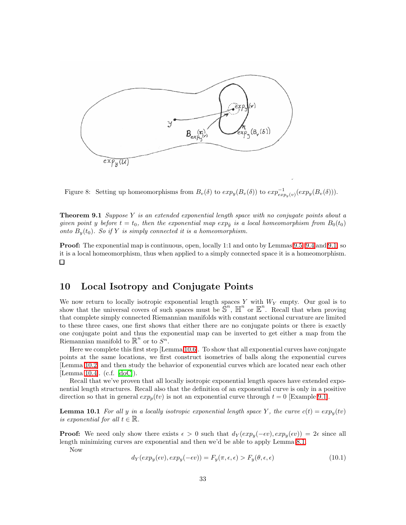

<span id="page-32-2"></span>Figure 8: Setting up homeomorphisms from  $B_v(\delta)$  to  $exp_y(B_v(\delta))$  to  $exp_{exp_y(v)}^{-1}(exp_y(B_v(\delta)))$ .

<span id="page-32-0"></span>**Theorem 9.1** Suppose Y is an extended exponential length space with no conjugate points about a given point y before  $t = t_0$ , then the exponential map  $exp_{\tilde{u}}$  is a local homeomorphism from  $B_0(t_0)$ onto  $B_n(t_0)$ . So if Y is simply connected it is a homeomorphism.

**Proof:** The exponential map is continuous, open, locally 1:1 and onto by Lemmas [9.5,](#page-31-3) [9.4](#page-31-0) and [9.1,](#page-30-2) so it is a local homeomorphism, thus when applied to a simply connected space it is a homeomorphism.  $\Box$ 

#### <span id="page-32-1"></span>10 Local Isotropy and Conjugate Points

We now return to locally isotropic exponential length spaces Y with  $W<sub>Y</sub>$  empty. Our goal is to show that the universal covers of such spaces must be  $\mathbb{S}^n$ ,  $\mathbb{H}^n$  or  $\mathbb{E}^n$ . Recall that when proving that complete simply connected Riemannian manifolds with constant sectional curvature are limited to these three cases, one first shows that either there are no conjugate points or there is exactly one conjugate point and thus the exponential map can be inverted to get either a map from the Riemannian manifold to  $\mathbb{R}^n$  or to  $S^n$ .

Here we complete this first step [Lemma [10.6\]](#page-35-0). To show that all exponential curves have conjugate points at the same locations, we first construct isometries of balls along the exponential curves [Lemma [10.2\]](#page-33-0) and then study the behavior of exponential curves which are located near each other [Lemma [10.4\]](#page-34-0). (c.f. [\[doC\]](#page-42-15)).

Recall that we've proven that all locally isotropic exponential length spaces have extended exponential length structures. Recall also that the definition of an exponential curve is only in a positive direction so that in general  $exp_p(tv)$  is not an exponential curve through  $t = 0$  [Example [9.1\]](#page-30-1).

<span id="page-32-3"></span>**Lemma 10.1** For all y in a locally isotropic exponential length space Y, the curve  $c(t) = exp<sub>y</sub>(tv)$ is exponential for all  $t \in \mathbb{R}$ .

**Proof:** We need only show there exists  $\epsilon > 0$  such that  $d_Y(exp_y(-\epsilon v), exp_y(\epsilon v)) = 2\epsilon$  since all length minimizing curves are exponential and then we'd be able to apply Lemma [8.1.](#page-28-6)

Now

$$
d_Y(exp_y(\epsilon v), exp_y(-\epsilon v)) = F_y(\pi, \epsilon, \epsilon) > F_y(\theta, \epsilon, \epsilon)
$$
\n(10.1)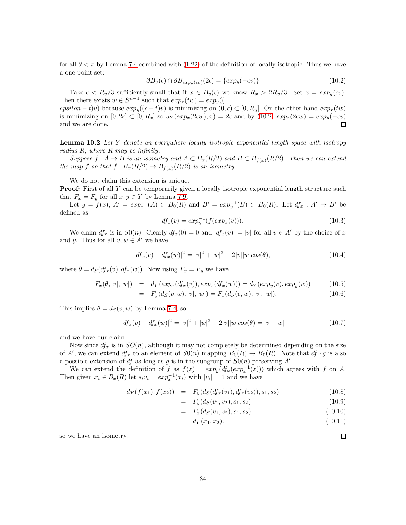for all  $\theta < \pi$  by Lemma [7.4](#page-25-0) combined with [\(1.22\)](#page-7-0) of the definition of locally isotropic. Thus we have a one point set:

$$
\partial B_y(\epsilon) \cap \partial B_{exp_y(\epsilon v)}(2\epsilon) = \{exp_y(-\epsilon v)\}\tag{10.2}
$$

<span id="page-33-1"></span>Take  $\epsilon < R_y/3$  sufficiently small that if  $x \in \bar{B}_y(\epsilon)$  we know  $R_x > 2R_y/3$ . Set  $x = exp_y(\epsilon v)$ . Then there exists  $w \in S^{n-1}$  such that  $exp_x(tw) = exp_y(($ 

epsilon – t)v) because  $exp_y((\epsilon-t)v)$  is minimizing on  $(0, \epsilon) \subset [0, R_y]$ . On the other hand  $exp_x(tw)$ is minimizing on  $[0, 2\epsilon] \subset [0, R_x]$  so  $d_Y(\exp_x(2\epsilon w), x) = 2\epsilon$  and by  $(10.2) \exp_x(2\epsilon w) = \exp_y(-\epsilon v)$ <br>and we are done. and we are done.

<span id="page-33-0"></span>**Lemma 10.2** Let Y denote an everywhere locally isotropic exponential length space with isotropy radius R, where R may be infinity.

Suppose  $f: A \to B$  is an isometry and  $A \subset B_x(R/2)$  and  $B \subset B_{f(x)}(R/2)$ . Then we can extend the map f so that  $f : B_x(R/2) \to B_{f(x)}(R/2)$  is an isometry.

We do not claim this extension is unique.

**Proof:** First of all Y can be temporarily given a locally isotropic exponential length structure such that  $F_x = F_y$  for all  $x, y \in Y$  by Lemma [7.9.](#page-27-2)

Let  $y = f(x)$ ,  $A' = exp<sub>x</sub><sup>-1</sup>(A) \subset B<sub>0</sub>(R)$  and  $B' = exp<sub>y</sub><sup>-1</sup>(B) \subset B<sub>0</sub>(R)$ . Let  $df<sub>x</sub> : A' \to B'$  be defined as

$$
df_x(v) = exp_y^{-1}(f(exp_x(v))).
$$
\n(10.3)

We claim  $df_x$  is in  $S0(n)$ . Clearly  $df_x(0) = 0$  and  $df_x(v) = |v|$  for all  $v \in A'$  by the choice of x and y. Thus for all  $v, w \in A'$  we have

$$
|df_x(v) - df_x(w)|^2 = |v|^2 + |w|^2 - 2|v||w|cos(\theta), \qquad (10.4)
$$

where  $\theta = d_S(df_x(v), df_x(w))$ . Now using  $F_x = F_y$  we have

$$
F_x(\theta, |v|, |w|) = d_Y(\exp_x(df_x(v)), \exp_x(df_x(w))) = d_Y(\exp_y(v), \exp_y(w)) \tag{10.5}
$$

$$
= F_y(d_S(v, w), |v|, |w|) = F_x(d_S(v, w), |v|, |w|). \tag{10.6}
$$

This implies  $\theta = d_S(v, w)$  by Lemma [7.4,](#page-25-0) so

$$
|df_x(v) - df_x(w)|^2 = |v|^2 + |w|^2 - 2|v||w|cos(\theta) = |v - w|
$$
\n(10.7)

and we have our claim.

Now since  $df_x$  is in  $SO(n)$ , although it may not completely be determined depending on the size of A', we can extend  $df_x$  to an element of  $S0(n)$  mapping  $B_0(R) \to B_0(R)$ . Note that  $df \cdot g$  is also a possible extension of df as long as g is in the subgroup of  $S0(n)$  preserving A'.

We can extend the definition of f as  $f(z) = exp_y(df_x(exp_x^{-1}(z)))$  which agrees with f on A. Then given  $x_i \in B_x(R)$  let  $s_i v_i = exp_x^{-1}(x_i)$  with  $|v_i| = 1$  and we have

$$
d_Y(f(x_1), f(x_2)) = F_y(d_S(df_x(v_1), df_x(v_2)), s_1, s_2)
$$
\n(10.8)

$$
= F_y(d_S(v_1, v_2), s_1, s_2) \tag{10.9}
$$

$$
= F_x(d_S(v_1, v_2), s_1, s_2) \tag{10.10}
$$

$$
= d_Y(x_1, x_2). \t\t(10.11)
$$

so we have an isometry.

 $\Box$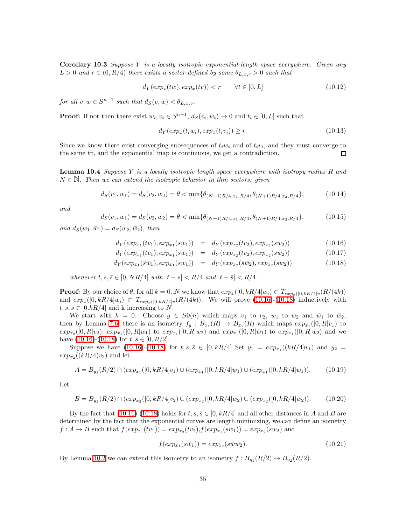**Corollary 10.3** Suppose Y is a locally isotropic exponential length space everywhere. Given any  $L > 0$  and  $r \in (0, R/4)$  there exists a sector defined by some  $\theta_{L,x,r} > 0$  such that

$$
d_Y(exp_x(tw), exp_x(tv)) < r \qquad \forall t \in [0, L] \tag{10.12}
$$

for all  $v, w \in S^{n-1}$  such that  $d_S(v, w) < \theta_{L,x,v}$ .

**Proof:** If not then there exist  $w_i, v_i \in S^{n-1}, d_S(v_i, w_i) \to 0$  and  $t_i \in [0, L]$  such that

$$
d_Y(exp_x(t_iw_i), exp_x(t_iv_i)) \ge r.
$$
\n(10.13)

<span id="page-34-0"></span>Since we know there exist converging subsequences of  $t_i w_i$  and of  $t_i v_i$ , and they must converge to the same tv, and the exponential map is continuous, we get a contradiction. □

**Lemma 10.4** Suppose Y is a locally isotropic length space everywhere with isotropy radius  $R$  and  $N \in \mathbb{N}$ . Then we can extend the isotropic behavior in thin sectors: given

$$
d_S(v_1, w_1) = d_S(v_2, w_2) = \theta < \min\{\theta_{(N+1)R/4, x_1, R/4}, \theta_{(N+1)R/4, x_2, R/4}\},\tag{10.14}
$$

and

$$
d_S(v_1, \bar{w}_1) = d_S(v_2, \bar{w}_2) = \bar{\theta} < \min\{\theta_{(N+1)R/4, x_1, R/4}, \theta_{(N+1)R/4, x_2, R/4}\},\tag{10.15}
$$

<span id="page-34-1"></span>and  $d_S(w_1, \bar{w}_1) = d_S(w_2, \bar{w}_2)$ , then

$$
d_Y(exp_{x_1}(tv_1), exp_{x_1}(sw_1)) = d_Y(exp_{x_2}(tv_2), exp_{x_2}(sw_2))
$$
\n(10.16)

$$
d_Y(exp_{x_1}(tv_1), exp_{x_1}(\bar{s}\bar{w}_1)) = d_Y(exp_{x_2}(tv_2), exp_{x_2}(\bar{s}\bar{w}_2))
$$
\n(10.17)

$$
d_Y(exp_{x_1}(\bar{s}\bar{w}_1), exp_{x_1}(sw_1)) = d_Y(exp_{x_2}(\bar{s}\bar{w}_2), exp_{x_2}(sw_2))
$$
\n(10.18)

whenever  $t, s, \bar{s} \in [0, NR/4]$  with  $|t - s| < R/4$  and  $|t - \bar{s}| < R/4$ .

**Proof:** By our choice of  $\theta$ , for all  $k = 0..N$  we know that  $exp_x([0, kR/4]w_i) \subset T_{exp_x([0, kR/4]v}(R/(4k))$ and  $exp_x([0, kR/4]\bar{w}_i) \subset T_{exp_x([0, kR/4]v}(R/(4k)).$  We will prove [\(10.16\)](#page-34-1)-[\(10.18\)](#page-34-1) inductively with  $t, s, \overline{s} \in [0.kR/4]$  and k increasing to N.

We start with  $k = 0$ . Choose  $g \in S(0,n)$  which maps  $v_1$  to  $v_2$ ,  $w_1$  to  $w_2$  and  $\bar{w}_1$  to  $\bar{w}_2$ , then by Lemma [7.6,](#page-26-1) there is an isometry  $f_g: B_{x_1}(R) \to B_{x_2}(R)$  which maps  $exp_{x_1}([0, R]v_1)$  to  $exp_{x_2}([0,R]v_2)$ ,  $exp_{x_1}([0,R]w_1)$  to  $exp_{x_1}([0,R]w_2)$  and  $exp_{x_1}([0,R]\bar{w}_1)$  to  $exp_{x_1}([0,R]\bar{w}_2)$  and we have  $(10.16)-(10.18)$  $(10.16)-(10.18)$  for  $t, s \in [0, R/2]$ .

Suppose we have [\(10.16\)](#page-34-1)-[\(10.18\)](#page-34-1) for  $t, s, \bar{s} \in [0, kR/4]$  Set  $y_1 = exp_{x_1}((kR/4)v_1)$  and  $y_2 =$  $exp_{x_2}((kR/4)v_2)$  and let

$$
A = B_{y_1}(R/2) \cap (exp_{x_1}([0, kR/4]v_1) \cup (exp_{x_1}([0, kR/4]w_1) \cup (exp_{x_1}([0, kR/4]\bar{w}_1)).
$$
 (10.19)

Let

$$
B = B_{y_2}(R/2) \cap (exp_{x_2}([0, kR/4]v_2) \cup (exp_{x_2}([0, kR/4]w_2) \cup (exp_{x_2}([0, kR/4]\bar{w}_2)).
$$
 (10.20)

By the fact that [\(10.16\)](#page-34-1)-[\(10.18\)](#page-34-1) holds for  $t, s, \overline{s} \in [0, kR/4]$  and all other distances in A and B are determined by the fact that the exponential curves are length minimizing, we can define an isometry  $f: A \to B$  such that  $f(exp_{x_1}(tv_1)) = exp_{x_2}(tv_2), f(exp_{x_1}(sw_1)) = exp_{x_2}(sw_2)$  and

$$
f(exp_{x_1}(s\bar{w}_1)) = exp_{x_2}(s\bar{w}w_2).
$$
\n(10.21)

By Lemma [10.2](#page-33-0) we can extend this isometry to an isometry  $f : B_{y_1}(R/2) \to B_{y_2}(R/2)$ .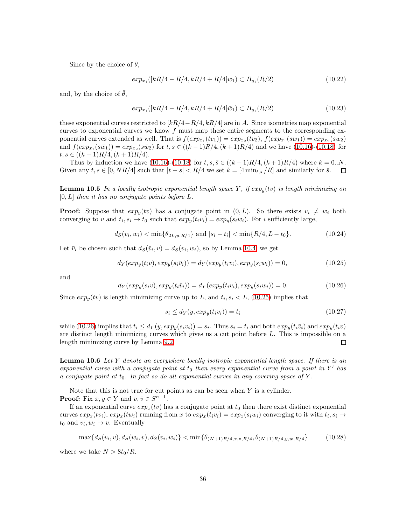Since by the choice of  $\theta$ ,

$$
exp_{x_1}([kR/4 - R/4, kR/4 + R/4]w_1) \subset B_{y_1}(R/2)
$$
\n(10.22)

and, by the choice of  $\bar{\theta}$ ,

$$
exp_{x_1}([kR/4 - R/4, kR/4 + R/4]\bar{w}_1) \subset B_{y_1}(R/2)
$$
\n(10.23)

these exponential curves restricted to  $[kR/4-R/4, kR/4]$  are in A. Since isometries map exponential curves to exponential curves we know  $f$  must map these entire segments to the corresponding exponential curves extended as well. That is  $f(exp_{x_1}(tv_1)) = exp_{x_2}(tv_2)$ ,  $f(exp_{x_1}(sw_1)) = exp_{x_2}(sw_2)$ and  $f(exp_{x_1}(s\bar{w}_1)) = exp_{x_2}(s\bar{w}_2)$  for  $t, s \in ((k-1)R/4, (k+1)R/4)$  and we have [\(10.16\)](#page-34-1)-[\(10.18\)](#page-34-1) for  $t, s \in ((k-1)R/4, (k+1)R/4).$ 

<span id="page-35-3"></span>Thus by induction we have [\(10.16\)](#page-34-1)-[\(10.18\)](#page-34-1) for  $t, s, \bar{s} \in ((k-1)R/4, (k+1)R/4)$  where  $k = 0..N$ .<br>
ren any  $t, s \in [0, NR/4]$  such that  $|t - s| < R/4$  we set  $k = [4 \min_{t,s} / R]$  and similarly for  $\bar{s}$ . Given any  $t, s \in [0, NR/4]$  such that  $|t - s| < R/4$  we set  $k = [4 \min_{t,s} /R]$  and similarly for  $\bar{s}$ .

**Lemma 10.5** In a locally isotropic exponential length space Y, if  $exp_y(tv)$  is length minimizing on  $[0, L]$  then it has no conjugate points before L.

**Proof:** Suppose that  $exp_y(tv)$  has a conjugate point in  $(0, L)$ . So there exists  $v_i \neq w_i$  both converging to v and  $t_i, s_i \to t_0$  such that  $exp_y(t_i v_i) = exp_y(s_i w_i)$ . For i sufficiently large,

$$
d_S(v_i, w_i) < \min\{\theta_{2L, y, R/4}\} \text{ and } |s_i - t_i| < \min\{R/4, L - t_0\}. \tag{10.24}
$$

<span id="page-35-1"></span>Let  $\bar{v}_i$  be chosen such that  $d_S(\bar{v}_i, v) = d_S(v_i, w_i)$ , so by Lemma [10.4,](#page-34-0) we get

$$
d_Y(exp_y(t_i v), exp_y(s_i \bar{v}_i)) = d_Y(exp_y(t_i v_i), exp_y(s_i w_i)) = 0,
$$
\n(10.25)

<span id="page-35-2"></span>and

$$
d_Y(exp_y(s_i v), exp_y(t_i \bar{v}_i)) = d_Y(exp_y(t_i v_i), exp_y(s_i w_i)) = 0.
$$
\n(10.26)

Since  $exp_y(tv)$  is length minimizing curve up to L, and  $t_i, s_i \leq L$ , [\(10.25\)](#page-35-1) implies that

$$
s_i \le d_Y(y, \exp_y(t_i v_i)) = t_i \tag{10.27}
$$

while [\(10.26\)](#page-35-2) implies that  $t_i \leq d_Y(y, exp_y(s_i v_i)) = s_i$ . Thus  $s_i = t_i$  and both  $exp_y(t_i \bar{v}_i)$  and  $exp_y(t_i v)$ are distinct length minimizing curves which gives us a cut point before L. This is impossible on a length minimizing curve by Lemma [9.2.](#page-30-3)  $\Box$ 

<span id="page-35-0"></span>**Lemma 10.6** Let Y denote an everywhere locally isotropic exponential length space. If there is an exponential curve with a conjugate point at  $t_0$  then every exponential curve from a point in Y' has a conjugate point at  $t_0$ . In fact so do all exponential curves in any covering space of Y.

Note that this is not true for cut points as can be seen when  $Y$  is a cylinder. **Proof:** Fix  $x, y \in Y$  and  $v, \overline{v} \in S^{n-1}$ .

If an exponential curve  $exp_x(tv)$  has a conjugate point at  $t_0$  then there exist distinct exponential curves  $exp_x(tv_i)$ ,  $exp_x(tw_i)$  running from x to  $exp_x(t_iv_i) = exp_x(s_iw_i)$  converging to it with  $t_i, s_i \rightarrow$  $t_0$  and  $v_i, w_i \to v$ . Eventually

$$
\max\{d_S(v_i, v), d_S(w_i, v), d_S(v_i, w_i)\} < \min\{\theta_{(N+1)R/4, x, v, R/4}, \theta_{(N+1)R/4, y, w, R/4}\} \tag{10.28}
$$

where we take  $N > 8t_0/R$ .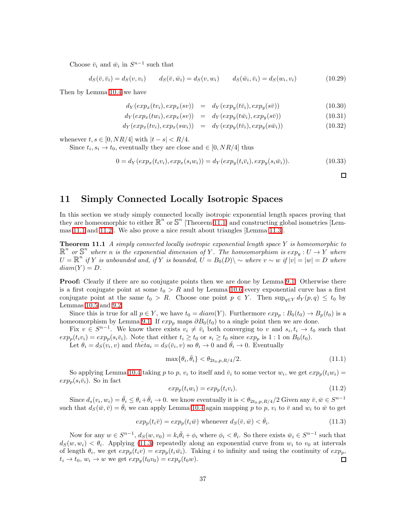Choose  $\bar{v}_i$  and  $\bar{w}_i$  in  $S^{n-1}$  such that

 $d_S(\bar{v}, \bar{v}_i) = d_S(v, v_i) \qquad d_S(\bar{v}, \bar{w}_i) = d_S(v, w_i) \qquad d_S(\bar{w}_i, \bar{v}_i) = d_S(w_i)$  $(10.29)$ 

Then by Lemma [10.4](#page-34-0) we have

$$
d_Y(exp_x(tv_i), exp_x(sv)) = d_Y(exp_y(t\bar{v}_i), exp_y(s\bar{v})) \qquad (10.30)
$$

$$
d_Y(exp_x(tw_i), exp_x(sv)) = d_Y(exp_y(t\bar{w}_i), exp_y(s\bar{v})) \qquad (10.31)
$$

$$
d_Y(exp_x(tv_i), exp_x(sw_i)) = d_Y(exp_y(t\bar{v}_i), exp_y(s\bar{w}_i))
$$
\n(10.32)

whenever  $t, s \in [0, NR/4]$  with  $|t - s| < R/4$ .

Since  $t_i, s_i \to t_0$ , eventually they are close and  $\in [0, NR/4]$  thus

$$
0 = d_Y(exp_x(t_i v_i), exp_x(s_i w_i)) = d_Y(exp_y(t_i \bar{v}_i), exp_y(s_i \bar{w}_i)).
$$
\n
$$
(10.33)
$$

 $\Box$ 

<span id="page-36-1"></span><span id="page-36-0"></span>11 Simply Connected Locally Isotropic Spaces

In this section we study simply connected locally isotropic exponential length spaces proving that they are homeomorphic to either  $\mathbb{R}^n$  or  $\mathbb{S}^n$  [Theorem [11.1\]](#page-36-1) and constructing global isometries [Lemmas [11.1](#page-37-1) and [11.2\]](#page-38-1). We also prove a nice result about triangles [Lemma [11.3\]](#page-37-0).

**Theorem 11.1** A simply connected locally isotropic exponential length space Y is homeomorphic to  $\mathbb{R}^n$  or  $\mathbb{S}^n$  where n is the exponential dimension of Y. The homeomorphism is  $exp_y: U \to Y$  where  $U = \mathbb{R}^n$  if Y is unbounded and, if Y is bounded,  $U = B_0(D) \backslash \sim$  where  $v \sim w$  if  $|v| = |w| = D$  where  $diam(Y) = D.$ 

**Proof:** Clearly if there are no conjugate points then we are done by Lemma [9.1.](#page-32-0) Otherwise there is a first conjugate point at some  $t_0 > R$  and by Lemma [10.6](#page-35-0) every exponential curve has a first conjugate point at the same  $t_0 > R$ . Choose one point  $p \in Y$ . Then  $\sup_{q \in Y} d_Y(p,q) \leq t_0$  by Lemmas [10.5](#page-35-3) and [9.2.](#page-30-3)

Since this is true for all  $p \in Y$ , we have  $t_0 = diam(Y)$ . Furthermore  $exp_p : B_0(t_0) \to B_p(t_0)$  is a homeomorphism by Lemma [9.1.](#page-32-0) If  $exp_p$  maps  $\partial B_0(t_0)$  to a single point then we are done.

Fix  $v \in S^{n-1}$ . We know there exists  $v_i \neq \bar{v}_i$  both converging to v and  $s_i, t_i \to t_0$  such that  $exp_p(t_i v_i) = exp_p(s_i \overline{v}_i)$ . Note that either  $t_i \geq t_0$  or  $s_i \geq t_0$  since  $exp_p$  is 1:1 on  $B_0(t_0)$ .

Let  $\theta_i = d_S(v_i, v)$  and  $th\bar{e}ta_i = d_S(\bar{v}_i, v)$  so  $\theta_i \to 0$  and  $\bar{\theta}_i \to 0$ . Eventually

$$
\max{\{\theta_i, \bar{\theta}_i\}} < \theta_{2t_0, p, R/4} / 2. \tag{11.1}
$$

So applying Lemma [10.4](#page-34-0) taking p to p,  $v_i$  to itself and  $\bar{v}_i$  to some vector  $w_i$ , we get  $exp_p(t_i w_i)$  $exp_p(s_i\bar{v}_i)$ . So in fact

$$
exp_p(t_i w_i) = exp_p(t_i v_i). \t\t(11.2)
$$

Since  $d_s(v_i, w_i) = \overline{\theta}_i \leq \theta_i + \overline{\theta}_i \to 0$ , we know eventually it is  $\langle \theta_{2t_0,p,R/4}/2 \text{ Given any } \overline{v}, \overline{w} \in S^{n-1}$ such that  $d_S(\bar{w}, \bar{v}) = \bar{\theta}_i$  we can apply Lemma [10.4](#page-34-0) again mapping p to p,  $v_i$  to  $\bar{v}$  and  $w_i$  to  $\bar{w}$  to get

$$
exp_p(t_i\bar{v}) = exp_p(t_i\bar{w})
$$
 whenever  $d_S(\bar{v}, \bar{w}) < \bar{\theta}_i$ . (11.3)

<span id="page-36-2"></span>Now for any  $w \in S^{n-1}$ ,  $d_S(w, v_0) = k_i \overline{\theta}_i + \phi_i$  where  $\phi_i < \theta_i$ . So there exists  $\overline{w}_i \in S^{n-1}$  such that  $d_S(w, w_i) < \theta_i$ . Applying [\(11.3\)](#page-36-2) repeatedly along an exponential curve from  $w_i$  to  $v_0$  at intervals of length  $\theta_i$ , we get  $exp_p(t_i v) = exp_p(t_i \bar{w}_i)$ . Taking i to infinity and using the continuity of  $exp_p$ ,  $t_i \rightarrow t_0$ ,  $w_i \rightarrow w$  we get  $exp_y(t_0v_0) = exp_y(t_0w)$ .  $\Box$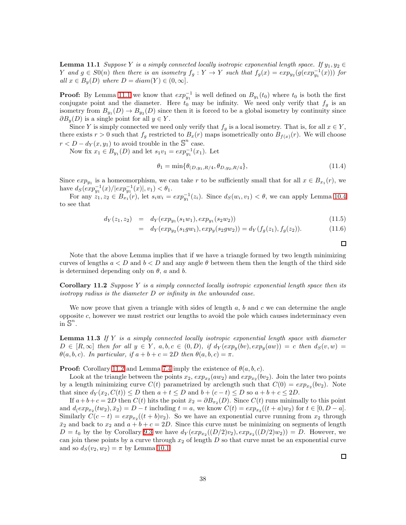<span id="page-37-1"></span>**Lemma 11.1** Suppose Y is a simply connected locally isotropic exponential length space. If  $y_1, y_2 \in$ Y and  $g \in S0(n)$  then there is an isometry  $f_g: Y \to Y$  such that  $f_g(x) = exp_{y_2}(g(exp_{y_1}^{-1}(x)))$  for all  $x \in B_y(D)$  where  $D = diam(Y) \in (0, \infty]$ .

**Proof:** By Lemma [11.1](#page-36-1) we know that  $exp_{y_1}^{-1}$  is well defined on  $B_{y_1}(t_0)$  where  $t_0$  is both the first conjugate point and the diameter. Here  $t_0$  may be infinity. We need only verify that  $f_g$  is an isometry from  $B_{y_1}(D) \to B_{y_2}(D)$  since then it is forced to be a global isometry by continuity since  $\partial B_y(D)$  is a single point for all  $y \in Y$ .

Since Y is simply connected we need only verify that  $f_q$  is a local isometry. That is, for all  $x \in Y$ , there exists  $r > 0$  such that  $f_q$  restricted to  $B_x(r)$  maps isometrically onto  $B_{f(x)}(r)$ . We will choose  $r < D - d_Y(x, y_1)$  to avoid trouble in the  $\mathbb{S}^n$  case.

Now fix  $x_1 \in B_{y_1}(D)$  and let  $s_1v_1 = exp_{y_1}^{-1}(x_1)$ . Let

$$
\theta_1 = \min\{\theta_{(D,y_1,R/4}, \theta_{D,y_2,R/4}\},\tag{11.4}
$$

Since  $exp_{y_1}$  is a homeomorphism, we can take r to be sufficiently small that for all  $x \in B_{x_1}(r)$ , we have  $d_S(exp_{y_1}^{-1}(x)/|exp_{y_1}^{-1}(x)|, v_1) < \theta_1$ .

For any  $z_1, z_2 \in B_{x_1}(r)$ , let  $s_i w_i = exp_{y_1}^{-1}(z_i)$ . Since  $d_S(w_i, v_1) < \theta$ , we can apply Lemma [10.4](#page-34-0) to see that

$$
d_Y(z_1, z_2) = d_Y(exp_{y_1}(s_1w_1), exp_{y_1}(s_2w_2))
$$
\n(11.5)

$$
= d_Y(exp_{y_2}(s_1gw_1), exp_y(s_2gw_2)) = d_Y(f_g(z_1), f_g(z_2)).
$$
\n(11.6)

 $\Box$ 

Note that the above Lemma implies that if we have a triangle formed by two length minimizing curves of lengths  $a < D$  and  $b < D$  and any angle  $\theta$  between them then the length of the third side is determined depending only on  $\theta$ , a and b.

<span id="page-37-2"></span>**Corollary 11.2** Suppose Y is a simply connected locally isotropic exponential length space then its isotropy radius is the diameter D or infinity in the unbounded case.

<span id="page-37-0"></span>We now prove that given a triangle with sides of length  $a, b$  and  $c$  we can determine the angle opposite c, however we must restrict our lengths to avoid the pole which causes indeterminacy even  $\sin S^n$ .

**Lemma 11.3** If Y is a simply connected locally isotropic exponential length space with diameter  $D \in [R, \infty]$  then for all  $y \in Y$ ,  $a, b, c \in (0, D)$ , if  $d_Y(exp_y(bv), exp_y(aw)) = c$  then  $d_S(v, w) = c$  $\theta(a, b, c)$ . In particular, if  $a + b + c = 2D$  then  $\theta(a, b, c) = \pi$ .

**Proof:** Corollary [11.2](#page-37-2) and Lemma [7.4](#page-25-0) imply the existence of  $\theta(a, b, c)$ .

Look at the triangle between the points  $x_2$ ,  $exp_{x_2}(aw_2)$  and  $exp_{x_2}(bv_2)$ . Join the later two points by a length minimizing curve  $C(t)$  parametrized by arclength such that  $C(0) = exp_{x_2}(bv_2)$ . Note that since  $d_Y(x_2, C(t)) \leq D$  then  $a + t \leq D$  and  $b + (c - t) \leq D$  so  $a + b + c \leq 2D$ .

If  $a+b+c=2D$  then  $C(t)$  hits the point  $\bar{x}_2 = \partial B_{x_2}(D)$ . Since  $C(t)$  runs minimally to this point and  $d(exp_{x_2}(tw_2), \bar{x}_2) = D - t$  including  $t = a$ , we know  $C(t) = exp_{x_2}((t + a)w_2)$  for  $t \in [0, D - a]$ . Similarly  $C(c-t) = exp_{x_2}((t+b)v_2)$ . So we have an exponential curve running from  $x_2$  through  $\bar{x}_2$  and back to  $x_2$  and  $a + b + c = 2D$ . Since this curve must be minimizing on segments of length  $D = t_0$  by the by Corollary [9.3](#page-30-4) we have  $d_Y(exp_{x_2}((D/2)v_2), exp_{x_2}((D/2)w_2)) = D$ . However, we can join these points by a curve through  $x_2$  of length D so that curve must be an exponential curve and so  $d_S(v_2, w_2) = \pi$  by Lemma [10.1.](#page-32-3)

 $\Box$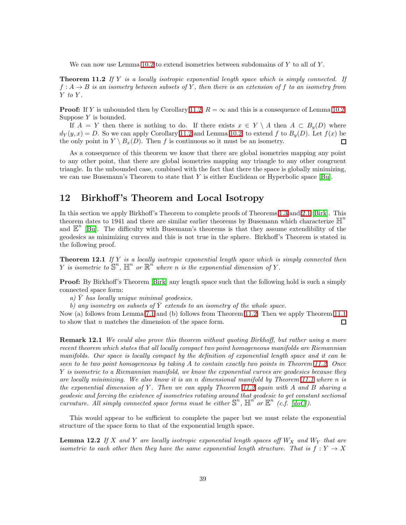We can now use Lemma [10.2](#page-33-0) to extend isometries between subdomains of  $Y$  to all of  $Y$ .

<span id="page-38-1"></span>**Theorem 11.2** If Y is a locally isotropic exponential length space which is simply connected. If  $f: A \to B$  is an isometry between subsets of Y, then there is an extension of f to an isometry from  $Y$  to  $Y$ .

**Proof:** If Y is unbounded then by Corollary [11.2,](#page-37-2)  $R = \infty$  and this is a consequence of Lemma [10.2.](#page-33-0) Suppose  $Y$  is bounded.

If  $A = Y$  then there is nothing to do. If there exists  $x \in Y \setminus A$  then  $A \subset B_u(D)$  where  $d_Y(y, x) = D$ . So we can apply Corollary [11.2](#page-37-2) and Lemma [10.2,](#page-33-0) to extend f to  $B_y(D)$ . Let  $f(x)$  be the only point in  $Y \setminus B_x(D)$ . Then f is continuous so it must be an isometry.  $\Box$ 

As a consequence of this theorem we know that there are global isometries mapping any point to any other point, that there are global isometries mapping any triangle to any other congruent triangle. In the unbounded case, combined with the fact that there the space is globally minimizing, we can use Busemann's Theorem to state that Y is either Euclidean or Hyperbolic space [\[Bu\]](#page-42-16).

#### <span id="page-38-0"></span>12 Birkhoff 's Theorem and Local Isotropy

In this section we apply Birkhoff's Theorem to complete proofs of Theorems [1.3](#page-7-2) and [2.1](#page-9-3) [\[Birk\]](#page-42-17). This theorem dates to 1941 and there are similar earlier theorems by Busemann which characterize  $\mathbb{H}^n$ and  $\mathbb{E}^n$  [\[Bu\]](#page-42-16). The difficulty with Busemann's theorems is that they assume extendibility of the geodesics as minimizing curves and this is not true in the sphere. Birkhoff's Theorem is stated in the following proof.

<span id="page-38-3"></span>**Theorem 12.1** If Y is a locally isotropic exponential length space which is simply connected then Y is isometric to  $S^n$ ,  $\mathbb{H}^n$  or  $\mathbb{R}^n$  where n is the exponential dimension of Y.

**Proof:** By Birkhoff's Theorem [\[Birk\]](#page-42-17) any length space such that the following hold is such a simply connected space form:

a)  $\overline{Y}$  has locally unique minimal geodesics.

b) any isometry on subsets of  $\overline{Y}$  extends to an isometry of the whole space.

Now (a) follows from Lemma [7.1](#page-24-2) and (b) follows from Theorem [11.2.](#page-38-1) Then we apply Theorem [11.1](#page-36-1) to show that n matches the dimension of the space form.  $\Box$ 

Remark 12.1 We could also prove this theorem without quoting Birkhoff, but rather using a more recent theorem which states that all locally compact two point homogeneous manifolds are Riemannian manifolds. Our space is locally compact by the definition of exponential length space and it can be seen to be two point homogeneous by taking A to contain exactly two points in Theorem [11.2.](#page-38-1) Once Y is isometric to a Riemannian manifold, we know the exponential curves are geodesics because they are locally minimizing. We also know it is an n dimensional manifold by Theorem [11.1](#page-36-1) where  $n$  is the exponential dimension of Y. Then we can apply Theorem [11.2](#page-38-1) again with A and B sharing a geodesic and forcing the existence of isometries rotating around that geodesic to get constant sectional curvature. All simply connected space forms must be either  $\mathbb{S}^n$ ,  $\mathbb{H}^n$  or  $\mathbb{E}^n$  (c.f. [\[doC\]](#page-42-15)).

<span id="page-38-2"></span>This would appear to be sufficient to complete the paper but we must relate the exponential structure of the space form to that of the exponential length space.

**Lemma 12.2** If X and Y are locally isotropic exponential length spaces off  $W_X$  and  $W_Y$  that are isometric to each other then they have the same exponential length structure. That is  $f: Y \to X$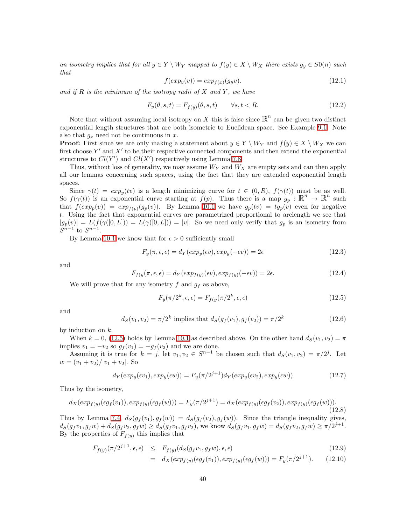an isometry implies that for all  $y \in Y \setminus W_Y$  mapped to  $f(y) \in X \setminus W_X$  there exists  $g_y \in S(x)$  such that

$$
f(exp_y(v)) = exp_{f(x)}(g_y v). \tag{12.1}
$$

and if R is the minimum of the isotropy radii of X and Y, we have

$$
F_y(\theta, s, t) = F_{f(y)}(\theta, s, t) \qquad \forall s, t < R. \tag{12.2}
$$

Note that without assuming local isotropy on X this is false since  $\mathbb{R}^n$  can be given two distinct exponential length structures that are both isometric to Euclidean space. See Example [9.1.](#page-30-1) Note also that  $g_x$  need not be continuous in x.

**Proof:** First since we are only making a statement about  $y \in Y \setminus W_Y$  and  $f(y) \in X \setminus W_X$  we can first choose  $Y'$  and  $X'$  to be their respective connected components and then extend the exponential structures to  $Cl(Y')$  and  $Cl(X')$  respectively using Lemma [7.8.](#page-27-1)

Thus, without loss of generality, we may assume  $W_Y$  and  $W_X$  are empty sets and can then apply all our lemmas concerning such spaces, using the fact that they are extended exponential length spaces.

Since  $\gamma(t) = exp_u(tv)$  is a length minimizing curve for  $t \in (0, R)$ ,  $f(\gamma(t))$  must be as well. So  $f(\gamma(t))$  is an exponential curve starting at  $f(p)$ . Thus there is a map  $g_p : \mathbb{R}^n \to \mathbb{R}^n$  such that  $f(exp_p(v)) = exp_{f(p)}(g_p(v))$ . By Lemma [10.1](#page-32-3) we have  $g_p(tv) = tg_p(v)$  even for negative t. Using the fact that exponential curves are parametrized proportional to arclength we see that  $|g_p(v)| = L(f(\gamma([0,L])) = L(\gamma([0,L])) = |v|$ . So we need only verify that  $g_p$  is an isometry from  $S^{n-1}$  to  $S^{n-1}$ .

By Lemma [10.1](#page-32-3) we know that for  $\epsilon > 0$  sufficiently small

$$
F_y(\pi, \epsilon, \epsilon) = d_Y(\exp_y(\epsilon v), \exp_y(-\epsilon v)) = 2\epsilon
$$
\n(12.3)

and

$$
F_{f(y)}(\pi, \epsilon, \epsilon) = d_Y(\exp_{f(y)}(\epsilon v), \exp_{f(y)}(-\epsilon v)) = 2\epsilon.
$$
\n(12.4)

We will prove that for any isometry f and  $g_f$  as above,

$$
F_y(\pi/2^k, \epsilon, \epsilon) = F_{f(y)}(\pi/2^k, \epsilon, \epsilon)
$$
\n(12.5)

<span id="page-39-1"></span>and

<span id="page-39-0"></span>
$$
d_S(v_1, v_2) = \pi/2^k \text{ implies that } d_S(g_f(v_1), g_f(v_2)) = \pi/2^k \tag{12.6}
$$

by induction on  $k$ .

When  $k = 0$ , [\(12.5\)](#page-39-0) holds by Lemma [10.1](#page-32-3) as described above. On the other hand  $d_S(v_1, v_2) = \pi$ implies  $v_1 = -v_2$  so  $g_f(v_1) = -g_f(v_2)$  and we are done.

Assuming it is true for  $k = j$ , let  $v_1, v_2 \in S^{n-1}$  be chosen such that  $d_S(v_1, v_2) = \pi/2^j$ . Let  $w = (v_1 + v_2)/|v_1 + v_2|$ . So

$$
d_Y(\exp_y(\epsilon v_1), \exp_y(\epsilon w)) = F_y(\pi/2^{j+1})d_Y(\exp_y(\epsilon v_2), \exp_y(\epsilon w))
$$
\n(12.7)

Thus by the isometry,

$$
d_X(exp_{f(y)}(\epsilon g_f(v_1)), exp_{f(y)}(\epsilon g_f(w))) = F_y(\pi/2^{j+1}) = d_X(exp_{f(y)}(\epsilon g_f(v_2)), exp_{f(y)}(\epsilon g_f(w))).
$$
\n(12.8)

Thus by Lemma [7.4,](#page-25-0)  $d_S(g_f(v_1), g_f(w)) = d_S(g_f(v_2), g_f(w))$ . Since the triangle inequality gives,  $d_S(g_f v_1, g_f w) + d_S(g_f v_2, g_f w) \ge d_S(g_f v_1, g_f v_2)$ , we know  $d_S(g_f v_1, g_f w) = d_S(g_f v_2, g_f w) \ge \pi/2^{j+1}$ . By the properties of  $F_{f(y)}$  this implies that

$$
F_{f(y)}(\pi/2^{j+1}, \epsilon, \epsilon) \leq F_{f(y)}(d_S(g_f v_1, g_f w), \epsilon, \epsilon)
$$
\n(12.9)

$$
= d_X(exp_{f(y)}(eg_f(v_1)), exp_{f(y)}(eg_f(w))) = F_y(\pi/2^{j+1}). \tag{12.10}
$$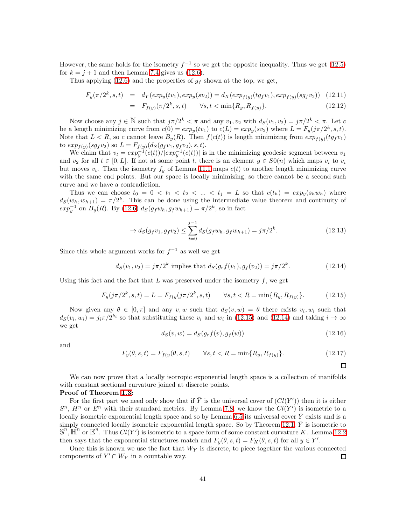However, the same holds for the isometry  $f^{-1}$  so we get the opposite inequality. Thus we get [\(12.5\)](#page-39-0) for  $k = j + 1$  and then Lemma [7.4](#page-25-0) gives us [\(12.6\)](#page-39-1).

Thus applying [\(12.6\)](#page-39-1) and the properties of  $g_f$  shown at the top, we get,

$$
F_y(\pi/2^k, s, t) = d_Y(exp_y(tv_1), exp_y(sv_2)) = d_X(exp_{f(y)}(tg_fv_1), exp_{f(y)}(sg_fv_2))
$$
 (12.11)

$$
= F_{f(y)}(\pi/2^k, s, t) \qquad \forall s, t < \min\{R_y, R_{f(y)}\}.
$$
 (12.12)

Now choose any  $j \in \mathbb{N}$  such that  $j\pi/2^k < \pi$  and any  $v_1, v_2$  with  $d_S(v_1, v_2) = j\pi/2^k < \pi$ . Let c be a length minimizing curve from  $c(0) = exp<sub>y</sub>(tv<sub>1</sub>)$  to  $c(L) = exp<sub>y</sub>(sv<sub>2</sub>)$  where  $L = F<sub>y</sub>(j\pi/2<sup>k</sup>, s, t)$ . Note that  $L < R$ , so c cannot leave  $B_y(R)$ . Then  $f(c(t))$  is length minimizing from  $exp_{f(y)}(tg_f v_1)$ to  $exp_{f(y)}(sg_f v_2)$  so  $L = F_{f(y)}(ds(g_f v_1, g_f v_2), s, t)$ .

We claim that  $v_t = exp_y^{-1}(c(t))/|exp_y^{-1}(c(t))|$  is in the minimizing geodesic segment between  $v_1$ and  $v_2$  for all  $t \in [0, L]$ . If not at some point t, there is an element  $g \in S0(n)$  which maps  $v_i$  to  $v_i$ but moves  $v_t$ . Then the isometry  $f_q$  of Lemma [11.1](#page-37-1) maps  $c(t)$  to another length minimizing curve with the same end points. But our space is locally minimizing, so there cannot be a second such curve and we have a contradiction.

Thus we can choose  $t_0 = 0 < t_1 < t_2 < \ldots < t_j = L$  so that  $c(t_h) = exp_y(s_h w_h)$  where  $d_S(w_h, w_{h+1}) = \pi/2^k$ . This can be done using the intermediate value theorem and continuity of  $exp_y^{-1}$  on  $B_y(R)$ . By [\(12.6\)](#page-39-1)  $d_S(g_f w_h, g_f w_{h+1}) = \pi/2^k$ , so in fact

$$
\to d_S(g_f v_1, g_f v_2) \le \sum_{i=0}^{j-1} d_S(g_f w_h, g_f w_{h+1}) = j\pi/2^k.
$$
\n(12.13)

<span id="page-40-1"></span>Since this whole argument works for  $f^{-1}$  as well we get

$$
d_S(v_1, v_2) = j\pi/2^k \text{ implies that } d_S(g_r f(v_1), g_f(v_2)) = j\pi/2^k. \tag{12.14}
$$

<span id="page-40-0"></span>Using this fact and the fact that  $L$  was preserved under the isometry  $f$ , we get

$$
F_y(j\pi/2^k, s, t) = L = F_{f(y}(j\pi/2^k, s, t) \qquad \forall s, t < R = \min\{R_y, R_{f(y)}\}.\tag{12.15}
$$

Now given any  $\theta \in [0, \pi]$  and any  $v, w$  such that  $d_S(v, w) = \theta$  there exists  $v_i, w_i$  such that  $d_S(v_i, w_i) = j_i \pi/2^{k_i}$  so that substituting these  $v_i$  and  $w_i$  in [\(12.15\)](#page-40-0) and [\(12.14\)](#page-40-1) and taking  $i \to \infty$ we get

$$
d_S(v, w) = d_S(g_r f(v), g_f(w))
$$
\n(12.16)

 $\Box$ 

and

$$
F_y(\theta, s, t) = F_{f(y}(\theta, s, t) \qquad \forall s, t < R = \min\{R_y, R_{f(y)}\}.\tag{12.17}
$$

We can now prove that a locally isotropic exponential length space is a collection of manifolds with constant sectional curvature joined at discrete points.

Proof of Theorem [1.3:](#page-7-2)

For the first part we need only show that if  $\overline{Y}$  is the universal cover of  $(Cl(Y'))$  then it is either  $S^n$ ,  $H^n$  or  $E^n$  with their standard metrics. By Lemma [7.8,](#page-27-1) we know the  $Cl(Y')$  is isometric to a locally isometric exponential length space and so by Lemma [6.5](#page-24-5) its universal cover  $\bar{Y}$  exists and is a simply connected locally isometric exponential length space. So by Theorem [12.1,](#page-38-3)  $\bar{Y}$  is isometric to  $\mathbb{S}^n$ ,  $\mathbb{H}^n$  or  $\mathbb{E}^n$ . Thus  $Cl(Y')$  is isometric to a space form of some constant curvature K. Lemma [12.2](#page-38-2) then says that the exponential structures match and  $F_y(\theta, s, t) = F_K(\theta, s, t)$  for all  $y \in Y'$ .

Once this is known we use the fact that  $W_Y$  is discrete, to piece together the various connected components of  $Y' \cap W_Y$  in a countable way.  $\Box$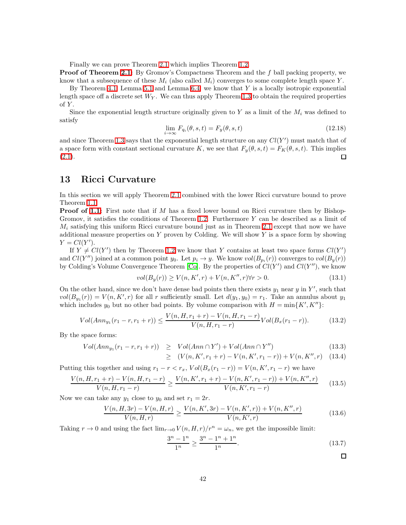Finally we can prove Theorem [2.1](#page-9-3) which implies Theorem [1.2.](#page-5-0)

**Proof of Theorem [2.1:](#page-9-3)** By Gromov's Compactness Theorem and the  $f$  ball packing property, we know that a subsequence of these  $M_i$  (also called  $M_i$ ) converges to some complete length space Y.

By Theorem [4.1,](#page-17-1) Lemma [5.1](#page-20-1) and Lemma [6.4,](#page-23-0) we know that  $Y$  is a locally isotropic exponential length space off a discrete set  $W_Y$ . We can thus apply Theorem [1.3](#page-7-2) to obtain the required properties of  $Y$ .

Since the exponential length structure originally given to Y as a limit of the  $M_i$  was defined to satisfy

$$
\lim_{i \to \infty} F_{q_i}(\theta, s, t) = F_y(\theta, s, t)
$$
\n(12.18)

and since Theorem [1.3](#page-7-2) says that the exponential length structure on any  $Cl(Y')$  must match that of a space form with constant sectional curvature K, we see that  $F_y(\theta, s, t) = F_K(\theta, s, t)$ . This implies  $(2.1).$  $(2.1).$ □

#### <span id="page-41-0"></span>13 Ricci Curvature

In this section we will apply Theorem [2.1](#page-9-3) combined with the lower Ricci curvature bound to prove Theorem [1.1.](#page-3-0)

**Proof of [1.1:](#page-3-0)** First note that if M has a fixed lower bound on Ricci curvature then by Bishop-Gromov, it satisfies the conditions of Theorem [1.2.](#page-5-0) Furthermore  $Y$  can be described as a limit of  $M_i$  satisfying this uniform Ricci curvature bound just as in Theorem [2.1](#page-9-3) except that now we have additional measure properties on  $Y$  proven by Colding. We will show  $Y$  is a space form by showing  $Y = Cl(Y')$ .

If  $Y \neq Cl(Y')$  then by Theorem [1.2](#page-5-0) we know that Y contains at least two space forms  $Cl(Y')$ and  $Cl(Y'')$  joined at a common point  $y_0$ . Let  $p_i \to y$ . We know  $vol(B_{p_i}(r))$  converges to  $vol(B_y(r))$ by Colding's Volume Convergence Theorem [\[Co\]](#page-42-13). By the properties of  $Cl(Y')$  and  $Cl(Y'')$ , we know

$$
vol(B_y(r)) \ge V(n, K', r) + V(n, K'', r) \forall r > 0.
$$
\n(13.1)

On the other hand, since we don't have dense bad points then there exists  $y_1$  near  $y$  in  $Y'$ , such that  $vol(B_{y_1}(r)) = V(n, K', r)$  for all r sufficiently small. Let  $d(y_1, y_0) = r_1$ . Take an annulus about  $y_1$ which includes  $y_0$  but no other bad points. By volume comparison with  $H = \min\{K', K''\}$ :

$$
Vol(Ann_{y_1}(r_1 - r, r_1 + r)) \leq \frac{V(n, H, r_1 + r) - V(n, H, r_1 - r)}{V(n, H, r_1 - r)} Vol(B_x(r_1 - r)).
$$
\n(13.2)

By the space forms:

$$
Vol(Ann_{y_1}(r_1 - r, r_1 + r)) \ge Vol(Ann \cap Y') + Vol(Ann \cap Y'')
$$
\n(13.3)

$$
\geq (V(n, K', r_1 + r) - V(n, K', r_1 - r)) + V(n, K'', r) \quad (13.4)
$$

Putting this together and using  $r_1 - r < r_x$ ,  $Vol(B_x(r_1 - r)) = V(n, K', r_1 - r)$  we have

$$
\frac{V(n, H, r_1 + r) - V(n, H, r_1 - r)}{V(n, H, r_1 - r)} \ge \frac{V(n, K', r_1 + r) - V(n, K', r_1 - r)) + V(n, K'', r)}{V(n, K', r_1 - r)}
$$
(13.5)

Now we can take any  $y_1$  close to  $y_0$  and set  $r_1 = 2r$ .

$$
\frac{V(n, H, 3r) - V(n, H, r)}{V(n, H, r)} \ge \frac{V(n, K', 3r) - V(n, K', r)) + V(n, K'', r)}{V(n, K', r)}
$$
(13.6)

Taking  $r \to 0$  and using the fact  $\lim_{r \to 0} V(n, H, r)/r^n = \omega_n$ , we get the impossible limit:

$$
\frac{3^n - 1^n}{1^n} \ge \frac{3^n - 1^n + 1^n}{1^n}.
$$
\n(13.7)

 $\Box$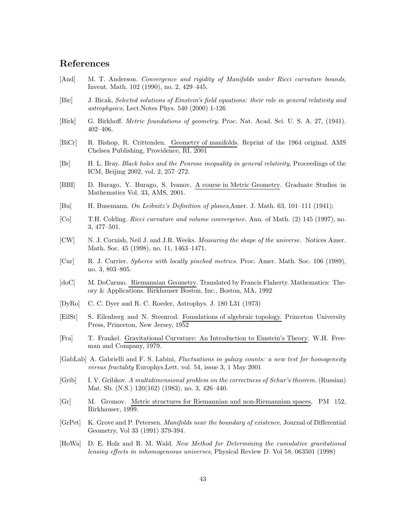# References

- <span id="page-42-8"></span>[And] M. T. Anderson. Convergence and rigidity of Manifolds under Ricci curvature bounds, Invent. Math. 102 (1990), no. 2, 429–445.
- [Bic] J. Bicak, Selected solutions of Einstein's field equations: their role in general relativity and astrophysics, Lect.Notes Phys. 540 (2000) 1-126
- <span id="page-42-17"></span>[Birk] G. Birkhoff. Metric foundations of geometry. Proc. Nat. Acad. Sci. U. S. A. 27, (1941). 402–406.
- <span id="page-42-9"></span>[BiCr] R. Bishop, R. Crittenden. Geometry of manifolds. Reprint of the 1964 original. AMS Chelsea Publishing, Providence, RI, 2001
- <span id="page-42-14"></span>[Br] H. L. Bray. Black holes and the Penrose inequality in general relativity, Proceedings of the ICM, Beijing 2002, vol. 2, 257–272.
- <span id="page-42-7"></span>[BBI] D. Burago, Y. Burago, S. Ivanov, A course in Metric Geometry. Graduate Studies in Mathematics Vol. 33, AMS, 2001.
- <span id="page-42-16"></span>[Bu] H. Busemann. On Leibnitz's Definition of planes,Amer. J. Math. 63, 101–111 (1941);
- <span id="page-42-13"></span>[Co] T.H. Colding. Ricci curvature and volume convergence. Ann. of Math. (2) 145 (1997), no. 3, 477–501.
- <span id="page-42-1"></span>[CW] N. J. Cornish, Neil J. and J.R. Weeks. *Measuring the shape of the universe*. Notices Amer. Math. Soc. 45 (1998), no. 11, 1463–1471.
- <span id="page-42-6"></span>[Cur] R. J. Currier. Spheres with locally pinched metrics. Proc. Amer. Math. Soc. 106 (1989), no. 3, 803–805.
- <span id="page-42-15"></span>[doC] M. DoCarmo. Riemannian Geometry. Translated by Francis Flaherty. Mathematics: Theory & Applications. Birkhauser Boston, Inc., Boston, MA, 1992
- <span id="page-42-2"></span>[DyRo] C. C. Dyer and R. C. Roeder, Astrophys. J. 180 L31 (1973)
- <span id="page-42-12"></span>[EilSt] S. Eilenberg and N. Steenrod. Foundations of algebraic topology. Princeton University Press, Princeton, New Jersey, 1952
- <span id="page-42-0"></span>[Fra] T. Frankel. Gravitational Curvature: An Introduction to Einstein's Theory. W.H. Freeman and Company, 1979.
- <span id="page-42-4"></span>[GabLab] A. Gabrielli and F. S. Labini, Fluctuations in galaxy counts: a new test for homogeneity versus fractality Europhys.Lett. vol. 54, issue 3, 1 May 2001
- <span id="page-42-5"></span>[Grib] I. V. Gribkov. A multidimensional problem on the correctness of Schur's theorem. (Russian) Mat. Sb. (N.S.) 120(162) (1983), no. 3, 426–440.
- <span id="page-42-10"></span>[Gr] M. Gromov. Metric structures for Riemannian and non-Riemannian spaces, PM 152, Birkhauser, 1999.
- <span id="page-42-11"></span>[GrPet] K. Grove and P. Petersen. Manifolds near the boundary of existence. Journal of Differential Geometry, Vol 33 (1991) 379-394.
- <span id="page-42-3"></span>[HoWa] D. E. Holz and R. M. Wald. New Method for Determining the cumulative gravitational lensing effects in inhomogeneous universes, Physical Review D. Vol 58, 063501 (1998)